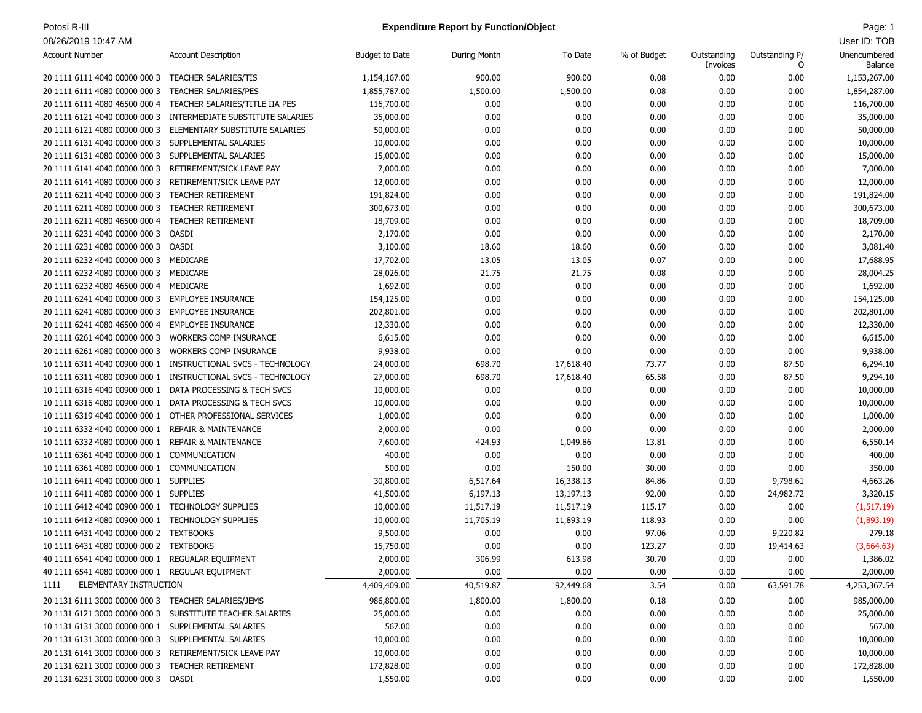### Potosi R-III **Page: 1 Page: 1 Expenditure Report by Function/Object Page: 1 Page: 1 Page: 1**

| <b>Account Number</b>                                                                   | <b>Account Description</b>                                | <b>Budget to Date</b> | During Month | To Date   | % of Budget  | Outstanding<br>Invoices | Outstanding P/<br>0 | Unencumbered<br>Balance |
|-----------------------------------------------------------------------------------------|-----------------------------------------------------------|-----------------------|--------------|-----------|--------------|-------------------------|---------------------|-------------------------|
| 20 1111 6111 4040 00000 000 3                                                           | <b>TEACHER SALARIES/TIS</b>                               | 1,154,167.00          | 900.00       | 900.00    | 0.08         | 0.00                    | 0.00                | 1,153,267.00            |
| 20 1111 6111 4080 00000 000 3                                                           | <b>TEACHER SALARIES/PES</b>                               | 1,855,787.00          | 1,500.00     | 1,500.00  | 0.08         | 0.00                    | 0.00                | 1,854,287.00            |
| 20 1111 6111 4080 46500 000 4                                                           | TEACHER SALARIES/TITLE IIA PES                            | 116,700.00            | 0.00         | 0.00      | 0.00         | 0.00                    | 0.00                | 116,700.00              |
| 20 1111 6121 4040 00000 000 3                                                           | INTERMEDIATE SUBSTITUTE SALARIES                          | 35,000.00             | 0.00         | 0.00      | 0.00         | 0.00                    | 0.00                | 35,000.00               |
| 20 1111 6121 4080 00000 000 3                                                           | ELEMENTARY SUBSTITUTE SALARIES                            | 50,000.00             | 0.00         | 0.00      | 0.00         | 0.00                    | 0.00                | 50,000.00               |
| 20 1111 6131 4040 00000 000 3                                                           | SUPPLEMENTAL SALARIES                                     | 10,000.00             | 0.00         | 0.00      | 0.00         | 0.00                    | 0.00                | 10,000.00               |
| 20 1111 6131 4080 00000 000 3                                                           | SUPPLEMENTAL SALARIES                                     | 15,000.00             | 0.00         | 0.00      | 0.00         | 0.00                    | 0.00                | 15,000.00               |
| 20 1111 6141 4040 00000 000 3                                                           | RETIREMENT/SICK LEAVE PAY                                 | 7,000.00              | 0.00         | 0.00      | 0.00         | 0.00                    | 0.00                | 7,000.00                |
| 20 1111 6141 4080 00000 000 3                                                           | RETIREMENT/SICK LEAVE PAY                                 | 12,000.00             | 0.00         | 0.00      | 0.00         | 0.00                    | 0.00                | 12,000.00               |
| 20 1111 6211 4040 00000 000 3                                                           | <b>TEACHER RETIREMENT</b>                                 | 191,824.00            | 0.00         | 0.00      | 0.00         | 0.00                    | 0.00                | 191,824.00              |
| 20 1111 6211 4080 00000 000 3                                                           | <b>TEACHER RETIREMENT</b>                                 | 300,673.00            | 0.00         | 0.00      | 0.00         | 0.00                    | 0.00                | 300,673.00              |
| 20 1111 6211 4080 46500 000 4                                                           | <b>TEACHER RETIREMENT</b>                                 | 18,709.00             | 0.00         | 0.00      | 0.00         | 0.00                    | 0.00                | 18,709.00               |
| 20 1111 6231 4040 00000 000 3                                                           | OASDI                                                     | 2,170.00              | 0.00         | 0.00      | 0.00         | 0.00                    | 0.00                | 2,170.00                |
| 20 1111 6231 4080 00000 000 3                                                           | OASDI                                                     | 3,100.00              | 18.60        | 18.60     | 0.60         | 0.00                    | 0.00                | 3,081.40                |
| 20 1111 6232 4040 00000 000 3 MEDICARE                                                  |                                                           | 17,702.00             | 13.05        | 13.05     | 0.07         | 0.00                    | 0.00                | 17,688.95               |
| 20 1111 6232 4080 00000 000 3                                                           | MEDICARE                                                  | 28,026.00             | 21.75        | 21.75     | 0.08         | 0.00                    | 0.00                | 28,004.25               |
| 20 1111 6232 4080 46500 000 4                                                           | MEDICARE                                                  | 1,692.00              | 0.00         | 0.00      | 0.00         | 0.00                    | 0.00                | 1,692.00                |
| 20 1111 6241 4040 00000 000 3                                                           | <b>EMPLOYEE INSURANCE</b>                                 | 154,125.00            | 0.00         | 0.00      | 0.00         | 0.00                    | 0.00                | 154,125.00              |
| 20 1111 6241 4080 00000 000 3                                                           | <b>EMPLOYEE INSURANCE</b>                                 | 202,801.00            | 0.00         | 0.00      | 0.00         | 0.00                    | 0.00                | 202,801.00              |
| 20 1111 6241 4080 46500 000 4                                                           | <b>EMPLOYEE INSURANCE</b>                                 | 12,330.00             | 0.00         | 0.00      | 0.00         | 0.00                    | 0.00                | 12,330.00               |
| 20 1111 6261 4040 00000 000 3                                                           | <b>WORKERS COMP INSURANCE</b>                             | 6,615.00              | 0.00         | 0.00      | 0.00         | 0.00                    | 0.00                | 6,615.00                |
| 20 1111 6261 4080 00000 000 3                                                           | <b>WORKERS COMP INSURANCE</b>                             | 9,938.00              | 0.00         | 0.00      | 0.00         | 0.00                    | 0.00                | 9,938.00                |
| 10 1111 6311 4040 00900 000 1                                                           | INSTRUCTIONAL SVCS - TECHNOLOGY                           | 24,000.00             | 698.70       | 17,618.40 | 73.77        | 0.00                    | 87.50               | 6,294.10                |
| 10 1111 6311 4080 00900 000 1                                                           | INSTRUCTIONAL SVCS - TECHNOLOGY                           | 27,000.00             | 698.70       | 17,618.40 | 65.58        | 0.00                    | 87.50               | 9,294.10                |
|                                                                                         | 10 1111 6316 4040 00900 000 1 DATA PROCESSING & TECH SVCS | 10,000.00             | 0.00         | 0.00      | 0.00         | 0.00                    | 0.00                | 10,000.00               |
| 10 1111 6316 4080 00900 000 1                                                           | DATA PROCESSING & TECH SVCS                               | 10,000.00             | 0.00         | 0.00      | 0.00         | 0.00                    | 0.00                | 10,000.00               |
|                                                                                         | 10 1111 6319 4040 00000 000 1 OTHER PROFESSIONAL SERVICES | 1,000.00              | 0.00         | 0.00      | 0.00         | 0.00                    | 0.00                | 1,000.00                |
| 10 1111 6332 4040 00000 000 1                                                           | <b>REPAIR &amp; MAINTENANCE</b>                           | 2,000.00              | 0.00         | 0.00      | 0.00         | 0.00                    | 0.00                | 2,000.00                |
| 10 1111 6332 4080 00000 000 1                                                           | <b>REPAIR &amp; MAINTENANCE</b>                           | 7,600.00              | 424.93       | 1,049.86  | 13.81        | 0.00                    | 0.00                | 6,550.14                |
| 10 1111 6361 4040 00000 000 1                                                           | COMMUNICATION                                             | 400.00                | 0.00         | 0.00      | 0.00         | 0.00                    | 0.00                | 400.00                  |
| 10 1111 6361 4080 00000 000 1                                                           | COMMUNICATION                                             | 500.00                | 0.00         | 150.00    | 30.00        | 0.00                    | 0.00                | 350.00                  |
| 10 1111 6411 4040 00000 000 1 SUPPLIES                                                  |                                                           | 30,800.00             | 6,517.64     | 16,338.13 | 84.86        | 0.00                    | 9,798.61            | 4,663.26                |
| 10 1111 6411 4080 00000 000 1 SUPPLIES                                                  |                                                           | 41,500.00             | 6,197.13     | 13,197.13 | 92.00        | 0.00                    | 24,982.72           | 3,320.15                |
| 10 1111 6412 4040 00900 000 1 TECHNOLOGY SUPPLIES                                       |                                                           | 10,000.00             | 11,517.19    | 11,517.19 | 115.17       | 0.00                    | 0.00                | (1,517.19)              |
| 10 1111 6412 4080 00900 000 1                                                           | <b>TECHNOLOGY SUPPLIES</b>                                | 10,000.00             | 11,705.19    | 11,893.19 | 118.93       | 0.00                    | 0.00                | (1,893.19)              |
| 10 1111 6431 4040 00000 000 2 TEXTBOOKS                                                 |                                                           | 9,500.00              | 0.00         | 0.00      | 97.06        | 0.00                    | 9,220.82            | 279.18                  |
| 10 1111 6431 4080 00000 000 2 TEXTBOOKS                                                 |                                                           | 15,750.00             | 0.00         | 0.00      | 123.27       | 0.00                    | 19,414.63           | (3,664.63)              |
| 40 1111 6541 4040 00000 000 1 REGUALAR EQUIPMENT                                        |                                                           | 2,000.00              | 306.99       | 613.98    | 30.70        | 0.00                    | 0.00                | 1,386.02                |
| 40 1111 6541 4080 00000 000 1 REGULAR EQUIPMENT                                         |                                                           | 2,000.00              | 0.00         | 0.00      | 0.00         | 0.00                    | 0.00                | 2,000.00                |
| ELEMENTARY INSTRUCTION<br>1111                                                          |                                                           | 4,409,409.00          | 40,519.87    | 92,449.68 | 3.54         | 0.00                    | 63,591.78           | 4,253,367.54            |
|                                                                                         |                                                           | 986,800.00            |              |           |              |                         |                     | 985,000.00              |
| 20 1131 6111 3000 00000 000 3 TEACHER SALARIES/JEMS                                     |                                                           |                       | 1,800.00     | 1,800.00  | 0.18<br>0.00 | 0.00                    | 0.00                |                         |
|                                                                                         | 20 1131 6121 3000 00000 000 3 SUBSTITUTE TEACHER SALARIES | 25,000.00             | 0.00         | 0.00      |              | 0.00                    | 0.00                | 25,000.00               |
| 10 1131 6131 3000 00000 000 1 SUPPLEMENTAL SALARIES                                     |                                                           | 567.00                | 0.00         | 0.00      | 0.00         | 0.00                    | 0.00                | 567.00                  |
| 20 1131 6131 3000 00000 000 3 SUPPLEMENTAL SALARIES                                     |                                                           | 10,000.00             | 0.00         | 0.00      | 0.00         | 0.00                    | 0.00                | 10,000.00               |
| 20 1131 6141 3000 00000 000 3 RETIREMENT/SICK LEAVE PAY                                 |                                                           | 10,000.00             | 0.00         | 0.00      | 0.00         | 0.00                    | 0.00                | 10,000.00               |
| 20 1131 6211 3000 00000 000 3 TEACHER RETIREMENT<br>20 1131 6231 3000 00000 000 3 OASDI |                                                           | 172,828.00            | 0.00         | 0.00      | 0.00         | 0.00                    | 0.00                | 172,828.00              |
|                                                                                         |                                                           | 1,550.00              | 0.00         | 0.00      | 0.00         | 0.00                    | 0.00                | 1,550.00                |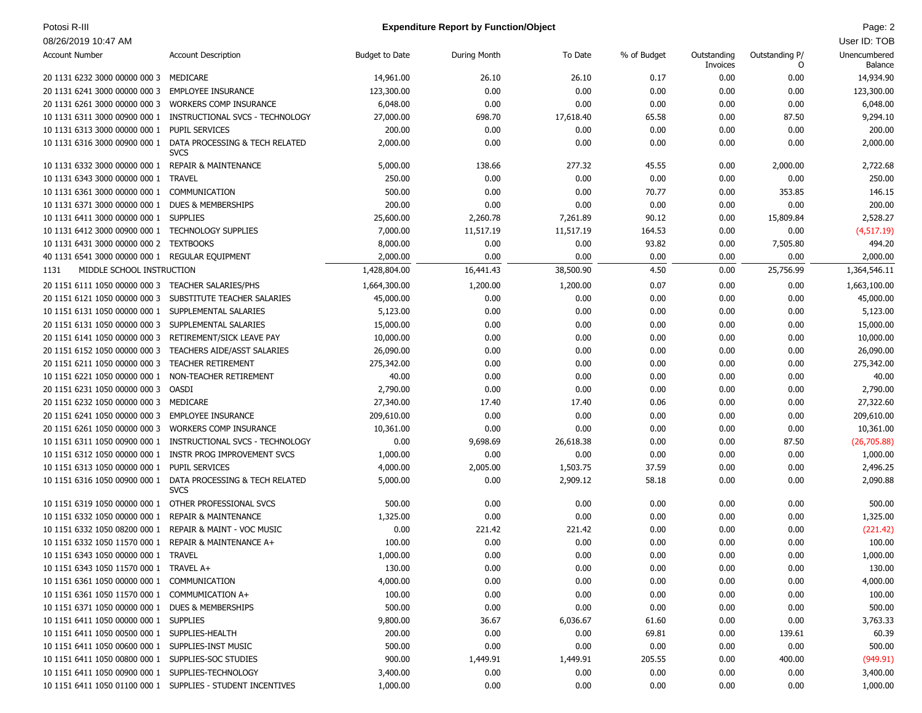# Potosi R-III **Page: 2 Page: 2 Expenditure Report by Function/Object Page: 2 Page: 2 Page: 2**

| <b>Account Number</b>                                    | <b>Account Description</b>                                                  | <b>Budget to Date</b> | During Month | To Date   | % of Budget | Outstanding<br>Invoices | Outstanding P/<br>0 | Unencumbered<br>Balance |
|----------------------------------------------------------|-----------------------------------------------------------------------------|-----------------------|--------------|-----------|-------------|-------------------------|---------------------|-------------------------|
| 20 1131 6232 3000 00000 000 3                            | MEDICARE                                                                    | 14,961.00             | 26.10        | 26.10     | 0.17        | 0.00                    | 0.00                | 14,934.90               |
| 20 1131 6241 3000 00000 000 3                            | <b>EMPLOYEE INSURANCE</b>                                                   | 123,300.00            | 0.00         | 0.00      | 0.00        | 0.00                    | 0.00                | 123,300.00              |
| 20 1131 6261 3000 00000 000 3                            | <b>WORKERS COMP INSURANCE</b>                                               | 6,048.00              | 0.00         | 0.00      | 0.00        | 0.00                    | 0.00                | 6,048.00                |
| 10 1131 6311 3000 00900 000 1                            | INSTRUCTIONAL SVCS - TECHNOLOGY                                             | 27,000.00             | 698.70       | 17,618.40 | 65.58       | 0.00                    | 87.50               | 9,294.10                |
| 10 1131 6313 3000 00000 000 1 PUPIL SERVICES             |                                                                             | 200.00                | 0.00         | 0.00      | 0.00        | 0.00                    | 0.00                | 200.00                  |
| 10 1131 6316 3000 00900 000 1                            | DATA PROCESSING & TECH RELATED<br><b>SVCS</b>                               | 2,000.00              | 0.00         | 0.00      | 0.00        | 0.00                    | 0.00                | 2,000.00                |
| 10 1131 6332 3000 00000 000 1 REPAIR & MAINTENANCE       |                                                                             | 5,000.00              | 138.66       | 277.32    | 45.55       | 0.00                    | 2,000.00            | 2,722.68                |
| 10 1131 6343 3000 00000 000 1 TRAVEL                     |                                                                             | 250.00                | 0.00         | 0.00      | 0.00        | 0.00                    | 0.00                | 250.00                  |
| 10 1131 6361 3000 00000 000 1 COMMUNICATION              |                                                                             | 500.00                | 0.00         | 0.00      | 70.77       | 0.00                    | 353.85              | 146.15                  |
| 10 1131 6371 3000 00000 000 1 DUES & MEMBERSHIPS         |                                                                             | 200.00                | 0.00         | 0.00      | 0.00        | 0.00                    | 0.00                | 200.00                  |
| 10 1131 6411 3000 00000 000 1 SUPPLIES                   |                                                                             | 25,600.00             | 2,260.78     | 7,261.89  | 90.12       | 0.00                    | 15,809.84           | 2,528.27                |
| 10 1131 6412 3000 00900 000 1 TECHNOLOGY SUPPLIES        |                                                                             | 7,000.00              | 11,517.19    | 11,517.19 | 164.53      | 0.00                    | 0.00                | (4, 517.19)             |
| 10 1131 6431 3000 00000 000 2 TEXTBOOKS                  |                                                                             | 8,000.00              | 0.00         | 0.00      | 93.82       | 0.00                    | 7,505.80            | 494.20                  |
| 40 1131 6541 3000 00000 000 1 REGULAR EQUIPMENT          |                                                                             | 2,000.00              | 0.00         | 0.00      | 0.00        | 0.00                    | 0.00                | 2,000.00                |
| MIDDLE SCHOOL INSTRUCTION<br>1131                        |                                                                             | 1,428,804.00          | 16,441.43    | 38,500.90 | 4.50        | 0.00                    | 25,756.99           | 1,364,546.11            |
| 20 1151 6111 1050 00000 000 3 TEACHER SALARIES/PHS       |                                                                             | 1,664,300.00          | 1,200.00     | 1,200.00  | 0.07        | 0.00                    | 0.00                | 1,663,100.00            |
| 20 1151 6121 1050 00000 000 3                            | SUBSTITUTE TEACHER SALARIES                                                 | 45,000.00             | 0.00         | 0.00      | 0.00        | 0.00                    | 0.00                | 45,000.00               |
| 10 1151 6131 1050 00000 000 1 SUPPLEMENTAL SALARIES      |                                                                             | 5,123.00              | 0.00         | 0.00      | 0.00        | 0.00                    | 0.00                | 5,123.00                |
| 20 1151 6131 1050 00000 000 3                            | SUPPLEMENTAL SALARIES                                                       | 15,000.00             | 0.00         | 0.00      | 0.00        | 0.00                    | 0.00                | 15,000.00               |
| 20 1151 6141 1050 00000 000 3                            | RETIREMENT/SICK LEAVE PAY                                                   | 10,000.00             | 0.00         | 0.00      | 0.00        | 0.00                    | 0.00                | 10,000.00               |
| 20 1151 6152 1050 00000 000 3                            | TEACHERS AIDE/ASST SALARIES                                                 | 26,090.00             | 0.00         | 0.00      | 0.00        | 0.00                    | 0.00                | 26,090.00               |
| 20 1151 6211 1050 00000 000 3                            | <b>TEACHER RETIREMENT</b>                                                   | 275,342.00            | 0.00         | 0.00      | 0.00        | 0.00                    | 0.00                | 275,342.00              |
|                                                          |                                                                             |                       |              |           |             |                         |                     |                         |
| 10 1151 6221 1050 00000 000 1                            | NON-TEACHER RETIREMENT                                                      | 40.00                 | 0.00         | 0.00      | 0.00        | 0.00                    | 0.00                | 40.00                   |
| 20 1151 6231 1050 00000 000 3                            | OASDI                                                                       | 2,790.00              | 0.00         | 0.00      | 0.00        | 0.00                    | 0.00                | 2,790.00                |
| 20 1151 6232 1050 00000 000 3                            | MEDICARE                                                                    | 27,340.00             | 17.40        | 17.40     | 0.06        | 0.00                    | 0.00                | 27,322.60               |
| 20 1151 6241 1050 00000 000 3                            | <b>EMPLOYEE INSURANCE</b>                                                   | 209,610.00            | 0.00         | 0.00      | 0.00        | 0.00                    | 0.00                | 209,610.00              |
| 20 1151 6261 1050 00000 000 3                            | <b>WORKERS COMP INSURANCE</b>                                               | 10,361.00             | 0.00         | 0.00      | 0.00        | 0.00                    | 0.00                | 10,361.00               |
| 10 1151 6311 1050 00900 000 1                            | INSTRUCTIONAL SVCS - TECHNOLOGY                                             | 0.00                  | 9,698.69     | 26,618.38 | 0.00        | 0.00                    | 87.50               | (26,705.88)             |
|                                                          | 10 1151 6312 1050 00000 000 1 INSTR PROG IMPROVEMENT SVCS                   | 1,000.00              | 0.00         | 0.00      | 0.00        | 0.00                    | 0.00                | 1,000.00                |
| 10 1151 6313 1050 00000 000 1                            | PUPIL SERVICES                                                              | 4,000.00              | 2,005.00     | 1,503.75  | 37.59       | 0.00                    | 0.00                | 2,496.25                |
|                                                          | 10 1151 6316 1050 00900 000 1 DATA PROCESSING & TECH RELATED<br><b>SVCS</b> | 5,000.00              | 0.00         | 2,909.12  | 58.18       | 0.00                    | 0.00                | 2,090.88                |
| 10 1151 6319 1050 00000 000 1 OTHER PROFESSIONAL SVCS    |                                                                             | 500.00                | 0.00         | 0.00      | 0.00        | 0.00                    | 0.00                | 500.00                  |
| 10 1151 6332 1050 00000 000 1 REPAIR & MAINTENANCE       |                                                                             | 1,325.00              | 0.00         | 0.00      | 0.00        | 0.00                    | 0.00                | 1,325.00                |
| 10 1151 6332 1050 08200 000 1 REPAIR & MAINT - VOC MUSIC |                                                                             | 0.00                  | 221.42       | 221.42    | 0.00        | 0.00                    | 0.00                | (221.42)                |
| 10 1151 6332 1050 11570 000 1 REPAIR & MAINTENANCE A+    |                                                                             | 100.00                | 0.00         | 0.00      | 0.00        | 0.00                    | 0.00                | 100.00                  |
| 10 1151 6343 1050 00000 000 1 TRAVEL                     |                                                                             | 1,000.00              | 0.00         | 0.00      | 0.00        | 0.00                    | 0.00                | 1,000.00                |
| 10 1151 6343 1050 11570 000 1 TRAVEL A+                  |                                                                             | 130.00                | 0.00         | 0.00      | 0.00        | 0.00                    | 0.00                | 130.00                  |
| 10 1151 6361 1050 00000 000 1 COMMUNICATION              |                                                                             | 4,000.00              | 0.00         | 0.00      | 0.00        | 0.00                    | 0.00                | 4,000.00                |
| 10 1151 6361 1050 11570 000 1 COMMUMICATION A+           |                                                                             | 100.00                | 0.00         | 0.00      | 0.00        | 0.00                    | 0.00                | 100.00                  |
| 10 1151 6371 1050 00000 000 1 DUES & MEMBERSHIPS         |                                                                             | 500.00                | 0.00         | 0.00      | 0.00        | 0.00                    | 0.00                | 500.00                  |
| 10 1151 6411 1050 00000 000 1 SUPPLIES                   |                                                                             | 9,800.00              | 36.67        | 6,036.67  | 61.60       | 0.00                    | 0.00                | 3,763.33                |
| 10 1151 6411 1050 00500 000 1 SUPPLIES-HEALTH            |                                                                             | 200.00                | 0.00         | 0.00      | 69.81       | 0.00                    | 139.61              | 60.39                   |
| 10 1151 6411 1050 00600 000 1 SUPPLIES-INST MUSIC        |                                                                             | 500.00                | 0.00         | 0.00      | 0.00        | 0.00                    | 0.00                | 500.00                  |
| 10 1151 6411 1050 00800 000 1 SUPPLIES-SOC STUDIES       |                                                                             | 900.00                | 1,449.91     | 1,449.91  | 205.55      | 0.00                    | 400.00              | (949.91)                |
| 10 1151 6411 1050 00900 000 1 SUPPLIES-TECHNOLOGY        |                                                                             | 3,400.00              | 0.00         | 0.00      | 0.00        | 0.00                    | 0.00                | 3,400.00                |
|                                                          | 10 1151 6411 1050 01100 000 1 SUPPLIES - STUDENT INCENTIVES                 | 1,000.00              | 0.00         | 0.00      | 0.00        | 0.00                    | 0.00                | 1,000.00                |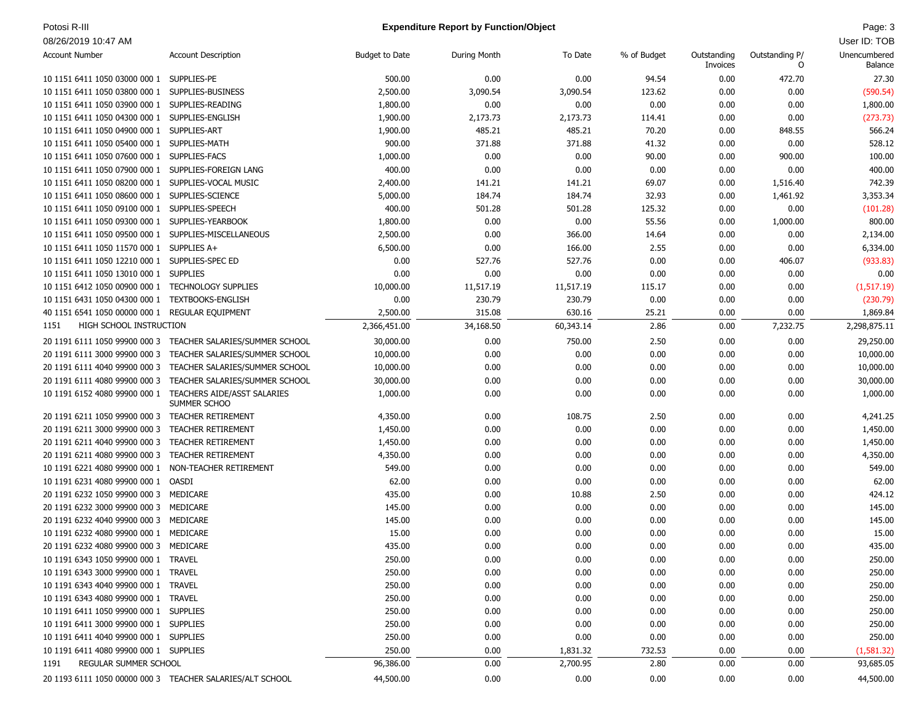# Potosi R-III **Page: 3 Page: 3 Expenditure Report by Function/Object Page: 3 Page: 3**

| <b>Account Number</b>                                | <b>Account Description</b>                                                | <b>Budget to Date</b> | During Month | To Date   | % of Budget | Outstanding<br>Invoices | Outstanding P/<br>O | Unencumbered<br>Balance |
|------------------------------------------------------|---------------------------------------------------------------------------|-----------------------|--------------|-----------|-------------|-------------------------|---------------------|-------------------------|
| 10 1151 6411 1050 03000 000 1 SUPPLIES-PE            |                                                                           | 500.00                | 0.00         | 0.00      | 94.54       | 0.00                    | 472.70              | 27.30                   |
| 10 1151 6411 1050 03800 000 1 SUPPLIES-BUSINESS      |                                                                           | 2,500.00              | 3,090.54     | 3,090.54  | 123.62      | 0.00                    | 0.00                | (590.54)                |
| 10 1151 6411 1050 03900 000 1 SUPPLIES-READING       |                                                                           | 1,800.00              | 0.00         | 0.00      | 0.00        | 0.00                    | 0.00                | 1,800.00                |
| 10 1151 6411 1050 04300 000 1 SUPPLIES-ENGLISH       |                                                                           | 1,900.00              | 2,173.73     | 2,173.73  | 114.41      | 0.00                    | 0.00                | (273.73)                |
| 10 1151 6411 1050 04900 000 1 SUPPLIES-ART           |                                                                           | 1,900.00              | 485.21       | 485.21    | 70.20       | 0.00                    | 848.55              | 566.24                  |
| 10 1151 6411 1050 05400 000 1 SUPPLIES-MATH          |                                                                           | 900.00                | 371.88       | 371.88    | 41.32       | 0.00                    | 0.00                | 528.12                  |
| 10 1151 6411 1050 07600 000 1 SUPPLIES-FACS          |                                                                           | 1,000.00              | 0.00         | 0.00      | 90.00       | 0.00                    | 900.00              | 100.00                  |
| 10 1151 6411 1050 07900 000 1 SUPPLIES-FOREIGN LANG  |                                                                           | 400.00                | 0.00         | 0.00      | 0.00        | 0.00                    | 0.00                | 400.00                  |
| 10 1151 6411 1050 08200 000 1 SUPPLIES-VOCAL MUSIC   |                                                                           | 2,400.00              | 141.21       | 141.21    | 69.07       | 0.00                    | 1,516.40            | 742.39                  |
| 10 1151 6411 1050 08600 000 1 SUPPLIES-SCIENCE       |                                                                           | 5,000.00              | 184.74       | 184.74    | 32.93       | 0.00                    | 1,461.92            | 3,353.34                |
| 10 1151 6411 1050 09100 000 1 SUPPLIES-SPEECH        |                                                                           | 400.00                | 501.28       | 501.28    | 125.32      | 0.00                    | 0.00                | (101.28)                |
| 10 1151 6411 1050 09300 000 1 SUPPLIES-YEARBOOK      |                                                                           | 1,800.00              | 0.00         | 0.00      | 55.56       | 0.00                    | 1,000.00            | 800.00                  |
| 10 1151 6411 1050 09500 000 1 SUPPLIES-MISCELLANEOUS |                                                                           | 2,500.00              | 0.00         | 366.00    | 14.64       | 0.00                    | 0.00                | 2,134.00                |
| 10 1151 6411 1050 11570 000 1 SUPPLIES A+            |                                                                           | 6,500.00              | 0.00         | 166.00    | 2.55        | 0.00                    | 0.00                | 6,334.00                |
| 10 1151 6411 1050 12210 000 1 SUPPLIES-SPEC ED       |                                                                           | 0.00                  | 527.76       | 527.76    | 0.00        | 0.00                    | 406.07              | (933.83)                |
| 10 1151 6411 1050 13010 000 1 SUPPLIES               |                                                                           | 0.00                  | 0.00         | 0.00      | 0.00        | 0.00                    | 0.00                | 0.00                    |
| 10 1151 6412 1050 00900 000 1 TECHNOLOGY SUPPLIES    |                                                                           | 10,000.00             | 11,517.19    | 11,517.19 | 115.17      | 0.00                    | 0.00                | (1,517.19)              |
| 10 1151 6431 1050 04300 000 1 TEXTBOOKS-ENGLISH      |                                                                           | 0.00                  | 230.79       | 230.79    | 0.00        | 0.00                    | 0.00                | (230.79)                |
| 40 1151 6541 1050 00000 000 1 REGULAR EQUIPMENT      |                                                                           | 2,500.00              | 315.08       | 630.16    | 25.21       | 0.00                    | 0.00                | 1,869.84                |
| HIGH SCHOOL INSTRUCTION<br>1151                      |                                                                           | 2,366,451.00          | 34,168.50    | 60,343.14 | 2.86        | 0.00                    | 7,232.75            | 2,298,875.11            |
|                                                      | 20 1191 6111 1050 99900 000 3 TEACHER SALARIES/SUMMER SCHOOL              | 30,000.00             | 0.00         | 750.00    | 2.50        | 0.00                    | 0.00                | 29,250.00               |
| 20 1191 6111 3000 99900 000 3                        | TEACHER SALARIES/SUMMER SCHOOL                                            | 10,000.00             | 0.00         | 0.00      | 0.00        | 0.00                    | 0.00                | 10,000.00               |
|                                                      | 20 1191 6111 4040 99900 000 3 TEACHER SALARIES/SUMMER SCHOOL              | 10,000.00             | 0.00         | 0.00      | 0.00        | 0.00                    | 0.00                | 10,000.00               |
| 20 1191 6111 4080 99900 000 3                        | TEACHER SALARIES/SUMMER SCHOOL                                            | 30,000.00             | 0.00         | 0.00      | 0.00        | 0.00                    | 0.00                | 30,000.00               |
|                                                      | 10 1191 6152 4080 99900 000 1 TEACHERS AIDE/ASST SALARIES<br>SUMMER SCHOO | 1,000.00              | 0.00         | 0.00      | 0.00        | 0.00                    | 0.00                | 1,000.00                |
| 20 1191 6211 1050 99900 000 3 TEACHER RETIREMENT     |                                                                           | 4,350.00              | 0.00         | 108.75    | 2.50        | 0.00                    | 0.00                | 4,241.25                |
| 20 1191 6211 3000 99900 000 3                        | TEACHER RETIREMENT                                                        | 1,450.00              | 0.00         | 0.00      | 0.00        | 0.00                    | 0.00                | 1,450.00                |
| 20 1191 6211 4040 99900 000 3 TEACHER RETIREMENT     |                                                                           | 1,450.00              | 0.00         | 0.00      | 0.00        | 0.00                    | 0.00                | 1,450.00                |
| 20 1191 6211 4080 99900 000 3 TEACHER RETIREMENT     |                                                                           | 4,350.00              | 0.00         | 0.00      | 0.00        | 0.00                    | 0.00                | 4,350.00                |
| 10 1191 6221 4080 99900 000 1                        | NON-TEACHER RETIREMENT                                                    | 549.00                | 0.00         | 0.00      | 0.00        | 0.00                    | 0.00                | 549.00                  |
| 10 1191 6231 4080 99900 000 1 OASDI                  |                                                                           | 62.00                 | 0.00         | 0.00      | 0.00        | 0.00                    | 0.00                | 62.00                   |
| 20 1191 6232 1050 99900 000 3 MEDICARE               |                                                                           | 435.00                | 0.00         | 10.88     | 2.50        | 0.00                    | 0.00                | 424.12                  |
| 20 1191 6232 3000 99900 000 3 MEDICARE               |                                                                           | 145.00                | 0.00         | 0.00      | 0.00        | 0.00                    | 0.00                | 145.00                  |
| 20 1191 6232 4040 99900 000 3 MEDICARE               |                                                                           | 145.00                | 0.00         | 0.00      | 0.00        | 0.00                    | 0.00                | 145.00                  |
| 10 1191 6232 4080 99900 000 1 MEDICARE               |                                                                           | 15.00                 | 0.00         | 0.00      | 0.00        | 0.00                    | 0.00                | 15.00                   |
| 20 1191 6232 4080 99900 000 3 MEDICARE               |                                                                           | 435.00                | 0.00         | 0.00      | 0.00        | 0.00                    | 0.00                | 435.00                  |
| 10 1191 6343 1050 99900 000 1 TRAVEL                 |                                                                           | 250.00                | 0.00         | 0.00      | 0.00        | 0.00                    | 0.00                | 250.00                  |
| 10 1191 6343 3000 99900 000 1 TRAVEL                 |                                                                           | 250.00                | 0.00         | 0.00      | 0.00        | 0.00                    | 0.00                | 250.00                  |
| 10 1191 6343 4040 99900 000 1 TRAVEL                 |                                                                           | 250.00                | 0.00         | 0.00      | 0.00        | 0.00                    | 0.00                | 250.00                  |
| 10 1191 6343 4080 99900 000 1 TRAVEL                 |                                                                           | 250.00                | 0.00         | 0.00      | 0.00        | 0.00                    | 0.00                | 250.00                  |
| 10 1191 6411 1050 99900 000 1 SUPPLIES               |                                                                           | 250.00                | 0.00         | 0.00      | 0.00        | 0.00                    | 0.00                | 250.00                  |
| 10 1191 6411 3000 99900 000 1 SUPPLIES               |                                                                           | 250.00                | 0.00         | 0.00      | 0.00        | 0.00                    | 0.00                | 250.00                  |
| 10 1191 6411 4040 99900 000 1 SUPPLIES               |                                                                           | 250.00                | 0.00         | 0.00      | 0.00        | 0.00                    | 0.00                | 250.00                  |
| 10 1191 6411 4080 99900 000 1 SUPPLIES               |                                                                           | 250.00                | 0.00         | 1,831.32  | 732.53      | 0.00                    | 0.00                | (1,581.32)              |
| REGULAR SUMMER SCHOOL<br>1191                        |                                                                           | 96,386.00             | 0.00         | 2,700.95  | 2.80        | 0.00                    | 0.00                | 93,685.05               |
|                                                      | 20 1193 6111 1050 00000 000 3 TEACHER SALARIES/ALT SCHOOL                 | 44,500.00             | 0.00         | 0.00      | 0.00        | 0.00                    | 0.00                | 44,500.00               |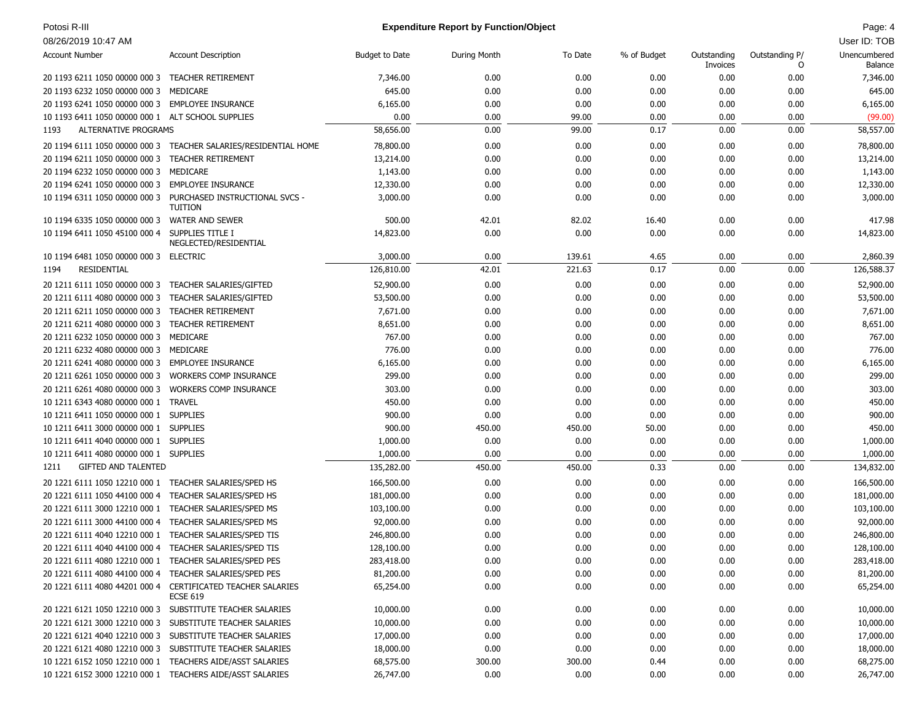### Potosi R-III **Page: 4 Page: 4 Expenditure Report by Function/Object Page: 4 Page: 4 Page: 4 Page: 4 Page: 4**

| <b>Account Number</b>                                                                   | <b>Account Description</b>                                                     | <b>Budget to Date</b> | During Month | To Date  | % of Budget | Outstanding<br>Invoices | Outstanding P/<br>0 | Unencumbered<br>Balance |
|-----------------------------------------------------------------------------------------|--------------------------------------------------------------------------------|-----------------------|--------------|----------|-------------|-------------------------|---------------------|-------------------------|
| 20 1193 6211 1050 00000 000 3 TEACHER RETIREMENT                                        |                                                                                | 7,346.00              | 0.00         | 0.00     | 0.00        | 0.00                    | 0.00                | 7,346.00                |
| 20 1193 6232 1050 00000 000 3 MEDICARE                                                  |                                                                                | 645.00                | 0.00         | 0.00     | 0.00        | 0.00                    | 0.00                | 645.00                  |
| 20 1193 6241 1050 00000 000 3 EMPLOYEE INSURANCE                                        |                                                                                | 6,165.00              | 0.00         | 0.00     | 0.00        | 0.00                    | 0.00                | 6,165.00                |
| 10 1193 6411 1050 00000 000 1 ALT SCHOOL SUPPLIES                                       |                                                                                | 0.00                  | 0.00         | 99.00    | 0.00        | 0.00                    | 0.00                | (99.00)                 |
| <b>ALTERNATIVE PROGRAMS</b><br>1193                                                     |                                                                                | 58,656.00             | 0.00         | 99.00    | 0.17        | 0.00                    | 0.00                | 58,557.00               |
|                                                                                         | 20 1194 6111 1050 00000 000 3 TEACHER SALARIES/RESIDENTIAL HOME                | 78,800.00             | 0.00         | 0.00     | 0.00        | 0.00                    | 0.00                | 78,800.00               |
| 20 1194 6211 1050 00000 000 3 TEACHER RETIREMENT                                        |                                                                                | 13,214.00             | 0.00         | 0.00     | 0.00        | 0.00                    | 0.00                | 13,214.00               |
| 20 1194 6232 1050 00000 000 3 MEDICARE                                                  |                                                                                | 1,143.00              | 0.00         | 0.00     | 0.00        | 0.00                    | 0.00                | 1,143.00                |
|                                                                                         |                                                                                |                       |              |          |             |                         |                     |                         |
| 20 1194 6241 1050 00000 000 3 EMPLOYEE INSURANCE                                        |                                                                                | 12,330.00             | 0.00         | 0.00     | 0.00        | 0.00                    | 0.00                | 12,330.00               |
|                                                                                         | 10 1194 6311 1050 00000 000 3 PURCHASED INSTRUCTIONAL SVCS -<br><b>TUITION</b> | 3,000.00              | 0.00         | 0.00     | 0.00        | 0.00                    | 0.00                | 3,000.00                |
| 10 1194 6335 1050 00000 000 3 WATER AND SEWER                                           |                                                                                | 500.00                | 42.01        | 82.02    | 16.40       | 0.00                    | 0.00                | 417.98                  |
| 10 1194 6411 1050 45100 000 4 SUPPLIES TITLE I                                          | NEGLECTED/RESIDENTIAL                                                          | 14,823.00             | 0.00         | 0.00     | 0.00        | 0.00                    | 0.00                | 14,823.00               |
| 10 1194 6481 1050 00000 000 3 ELECTRIC                                                  |                                                                                | 3,000.00              | 0.00         | 139.61   | 4.65        | 0.00                    | 0.00                | 2,860.39                |
| RESIDENTIAL<br>1194                                                                     |                                                                                | 126,810.00            | 42.01        | 221.63   | 0.17        | 0.00                    | 0.00                | 126,588.37              |
| 20 1211 6111 1050 00000 000 3 TEACHER SALARIES/GIFTED                                   |                                                                                | 52,900.00             | 0.00         | 0.00     | 0.00        | 0.00                    | 0.00                | 52,900.00               |
| 20 1211 6111 4080 00000 000 3 TEACHER SALARIES/GIFTED                                   |                                                                                | 53,500.00             | 0.00         | 0.00     | 0.00        | 0.00                    | 0.00                | 53,500.00               |
| 20 1211 6211 1050 00000 000 3 TEACHER RETIREMENT                                        |                                                                                | 7,671.00              | 0.00         | 0.00     | 0.00        | 0.00                    | 0.00                | 7,671.00                |
| 20 1211 6211 4080 00000 000 3 TEACHER RETIREMENT                                        |                                                                                | 8,651.00              | 0.00         | 0.00     | 0.00        | 0.00                    | 0.00                | 8,651.00                |
| 20 1211 6232 1050 00000 000 3 MEDICARE                                                  |                                                                                | 767.00                | 0.00         | 0.00     | 0.00        | 0.00                    | 0.00                | 767.00                  |
| 20 1211 6232 4080 00000 000 3 MEDICARE                                                  |                                                                                | 776.00                | 0.00         | 0.00     | 0.00        | 0.00                    | 0.00                | 776.00                  |
| 20 1211 6241 4080 00000 000 3 EMPLOYEE INSURANCE                                        |                                                                                | 6,165.00              | 0.00         | 0.00     | 0.00        | 0.00                    | 0.00                | 6,165.00                |
| 20 1211 6261 1050 00000 000 3 WORKERS COMP INSURANCE                                    |                                                                                | 299.00                | 0.00         | 0.00     | 0.00        | 0.00                    | 0.00                | 299.00                  |
| 20 1211 6261 4080 00000 000 3 WORKERS COMP INSURANCE                                    |                                                                                | 303.00                | 0.00         | 0.00     | 0.00        | 0.00                    | 0.00                | 303.00                  |
| 10 1211 6343 4080 00000 000 1 TRAVEL                                                    |                                                                                | 450.00                | 0.00         | 0.00     | 0.00        | 0.00                    | 0.00                | 450.00                  |
| 10 1211 6411 1050 00000 000 1 SUPPLIES                                                  |                                                                                | 900.00                | 0.00         | 0.00     | 0.00        | 0.00                    | 0.00                | 900.00                  |
| 10 1211 6411 3000 00000 000 1 SUPPLIES                                                  |                                                                                | 900.00                | 450.00       | 450.00   | 50.00       | 0.00                    | 0.00                | 450.00                  |
| 10 1211 6411 4040 00000 000 1 SUPPLIES                                                  |                                                                                | 1,000.00              | 0.00         | 0.00     | 0.00        | 0.00                    | 0.00                | 1,000.00                |
| 10 1211 6411 4080 00000 000 1 SUPPLIES                                                  |                                                                                | 1,000.00              | 0.00         | 0.00     | 0.00        | 0.00                    | 0.00                | 1,000.00                |
| <b>GIFTED AND TALENTED</b><br>1211                                                      |                                                                                | 135,282.00            | 450.00       | 450.00   | 0.33        | 0.00                    | 0.00                | 134,832.00              |
|                                                                                         | TEACHER SALARIES/SPED HS                                                       | 166,500.00            | 0.00         | 0.00     | 0.00        | 0.00                    | 0.00                | 166,500.00              |
| 20 1221 6111 1050 12210 000 1<br>20 1221 6111 1050 44100 000 4 TEACHER SALARIES/SPED HS |                                                                                |                       | 0.00         | 0.00     | 0.00        | 0.00                    |                     |                         |
|                                                                                         |                                                                                | 181,000.00            | 0.00         | 0.00     |             |                         | 0.00                | 181,000.00              |
| 20 1221 6111 3000 12210 000 1                                                           | TEACHER SALARIES/SPED MS                                                       | 103,100.00            |              | 0.00     | 0.00        | 0.00                    | 0.00                | 103,100.00              |
| 20 1221 6111 3000 44100 000 4 TEACHER SALARIES/SPED MS                                  |                                                                                | 92,000.00             | 0.00         |          | 0.00        | 0.00                    | 0.00                | 92,000.00               |
| 20 1221 6111 4040 12210 000 1 TEACHER SALARIES/SPED TIS                                 |                                                                                | 246,800.00            | 0.00         | 0.00     | 0.00        | 0.00                    | 0.00                | 246,800.00              |
| 20 1221 6111 4040 44100 000 4 TEACHER SALARIES/SPED TIS                                 |                                                                                | 128,100.00            | 0.00         | 0.00     | 0.00        | 0.00                    | 0.00                | 128,100.00              |
| 20 1221 6111 4080 12210 000 1 TEACHER SALARIES/SPED PES                                 |                                                                                | 283,418.00            | 0.00         | 0.00     | 0.00        | 0.00                    | 0.00                | 283,418.00              |
| 20 1221 6111 4080 44100 000 4 TEACHER SALARIES/SPED PES                                 |                                                                                | 81,200.00             | 0.00         | $0.00\,$ | $0.00\,$    | $0.00\,$                | $0.00\,$            | 81,200.00               |
|                                                                                         | 20 1221 6111 4080 44201 000 4 CERTIFICATED TEACHER SALARIES<br><b>ECSE 619</b> | 65,254.00             | 0.00         | 0.00     | 0.00        | 0.00                    | 0.00                | 65,254.00               |
|                                                                                         | 20 1221 6121 1050 12210 000 3 SUBSTITUTE TEACHER SALARIES                      | 10,000.00             | 0.00         | 0.00     | 0.00        | 0.00                    | 0.00                | 10,000.00               |
|                                                                                         | 20 1221 6121 3000 12210 000 3 SUBSTITUTE TEACHER SALARIES                      | 10,000.00             | 0.00         | 0.00     | 0.00        | 0.00                    | 0.00                | 10,000.00               |
|                                                                                         | 20 1221 6121 4040 12210 000 3 SUBSTITUTE TEACHER SALARIES                      | 17,000.00             | 0.00         | 0.00     | 0.00        | 0.00                    | 0.00                | 17,000.00               |
|                                                                                         | 20 1221 6121 4080 12210 000 3 SUBSTITUTE TEACHER SALARIES                      | 18,000.00             | 0.00         | 0.00     | 0.00        | 0.00                    | 0.00                | 18,000.00               |
|                                                                                         | 10 1221 6152 1050 12210 000 1 TEACHERS AIDE/ASST SALARIES                      | 68,575.00             | 300.00       | 300.00   | 0.44        | 0.00                    | 0.00                | 68,275.00               |
|                                                                                         | 10 1221 6152 3000 12210 000 1 TEACHERS AIDE/ASST SALARIES                      | 26,747.00             | 0.00         | 0.00     | 0.00        | 0.00                    | 0.00                | 26,747.00               |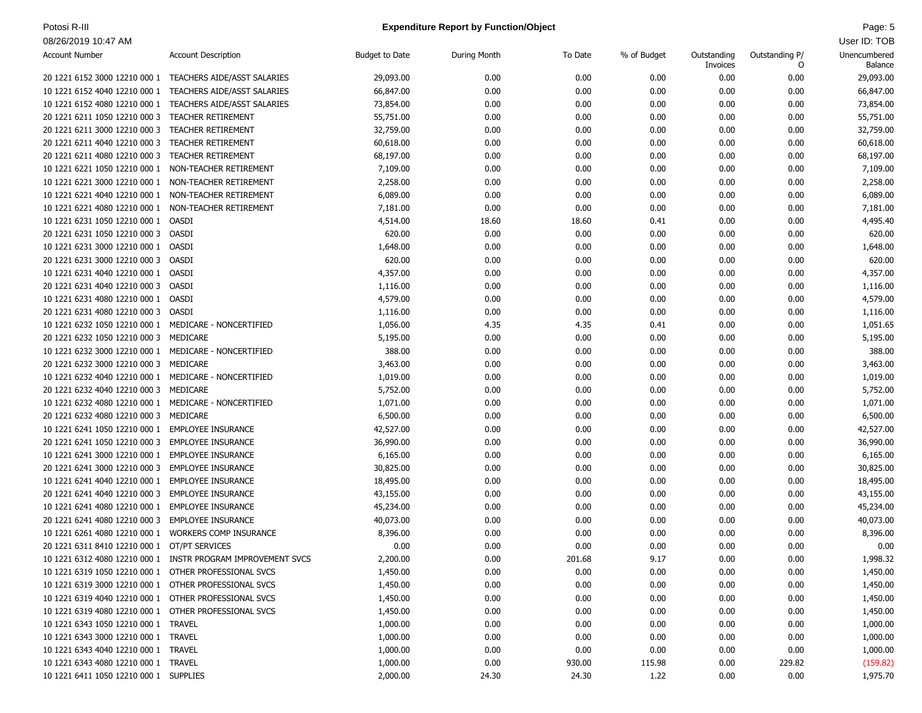### Potosi R-III **Page: 5 Page: 5 Expenditure Report by Function/Object Page: 5 Page: 5 Page: 5**

| <b>Account Number</b>                                 | <b>Account Description</b>                                   | <b>Budget to Date</b> | During Month | To Date  | % of Budget | Outstanding<br>Invoices | Outstanding P/<br>0 | Unencumbered<br>Balance |
|-------------------------------------------------------|--------------------------------------------------------------|-----------------------|--------------|----------|-------------|-------------------------|---------------------|-------------------------|
|                                                       | 20 1221 6152 3000 12210 000 1 TEACHERS AIDE/ASST SALARIES    | 29,093.00             | 0.00         | 0.00     | 0.00        | 0.00                    | 0.00                | 29,093.00               |
| 10 1221 6152 4040 12210 000 1                         | TEACHERS AIDE/ASST SALARIES                                  | 66,847.00             | 0.00         | 0.00     | 0.00        | 0.00                    | 0.00                | 66,847.00               |
| 10 1221 6152 4080 12210 000 1                         | TEACHERS AIDE/ASST SALARIES                                  | 73,854.00             | 0.00         | 0.00     | 0.00        | 0.00                    | 0.00                | 73,854.00               |
| 20 1221 6211 1050 12210 000 3                         | <b>TEACHER RETIREMENT</b>                                    | 55,751.00             | 0.00         | 0.00     | 0.00        | 0.00                    | 0.00                | 55,751.00               |
| 20 1221 6211 3000 12210 000 3                         | <b>TEACHER RETIREMENT</b>                                    | 32,759.00             | 0.00         | 0.00     | 0.00        | 0.00                    | 0.00                | 32,759.00               |
| 20 1221 6211 4040 12210 000 3                         | <b>TEACHER RETIREMENT</b>                                    | 60,618.00             | 0.00         | 0.00     | 0.00        | 0.00                    | 0.00                | 60,618.00               |
| 20 1221 6211 4080 12210 000 3                         | TEACHER RETIREMENT                                           | 68,197.00             | 0.00         | 0.00     | 0.00        | 0.00                    | 0.00                | 68,197.00               |
| 10 1221 6221 1050 12210 000 1                         | NON-TEACHER RETIREMENT                                       | 7,109.00              | 0.00         | 0.00     | 0.00        | 0.00                    | 0.00                | 7,109.00                |
| 10 1221 6221 3000 12210 000 1                         | NON-TEACHER RETIREMENT                                       | 2,258.00              | 0.00         | 0.00     | 0.00        | 0.00                    | 0.00                | 2,258.00                |
| 10 1221 6221 4040 12210 000 1                         | NON-TEACHER RETIREMENT                                       | 6,089.00              | 0.00         | 0.00     | 0.00        | 0.00                    | 0.00                | 6,089.00                |
| 10 1221 6221 4080 12210 000 1                         | NON-TEACHER RETIREMENT                                       | 7,181.00              | 0.00         | 0.00     | 0.00        | 0.00                    | 0.00                | 7,181.00                |
| 10 1221 6231 1050 12210 000 1 OASDI                   |                                                              | 4,514.00              | 18.60        | 18.60    | 0.41        | 0.00                    | 0.00                | 4,495.40                |
| 20 1221 6231 1050 12210 000 3                         | OASDI                                                        | 620.00                | 0.00         | 0.00     | 0.00        | 0.00                    | 0.00                | 620.00                  |
| 10 1221 6231 3000 12210 000 1 OASDI                   |                                                              | 1,648.00              | 0.00         | 0.00     | 0.00        | 0.00                    | 0.00                | 1,648.00                |
| 20 1221 6231 3000 12210 000 3                         | OASDI                                                        | 620.00                | 0.00         | 0.00     | 0.00        | 0.00                    | 0.00                | 620.00                  |
| 10 1221 6231 4040 12210 000 1 OASDI                   |                                                              | 4,357.00              | 0.00         | 0.00     | 0.00        | 0.00                    | 0.00                | 4,357.00                |
| 20 1221 6231 4040 12210 000 3                         | OASDI                                                        | 1,116.00              | 0.00         | 0.00     | 0.00        | 0.00                    | 0.00                | 1,116.00                |
| 10 1221 6231 4080 12210 000 1 OASDI                   |                                                              | 4,579.00              | 0.00         | 0.00     | 0.00        | 0.00                    | 0.00                | 4,579.00                |
| 20 1221 6231 4080 12210 000 3                         | OASDI                                                        | 1,116.00              | 0.00         | 0.00     | 0.00        | 0.00                    | 0.00                | 1,116.00                |
| 10 1221 6232 1050 12210 000 1                         | MEDICARE - NONCERTIFIED                                      | 1,056.00              | 4.35         | 4.35     | 0.41        | 0.00                    | 0.00                | 1,051.65                |
| 20 1221 6232 1050 12210 000 3                         | MEDICARE                                                     | 5,195.00              | 0.00         | 0.00     | 0.00        | 0.00                    | 0.00                | 5,195.00                |
| 10 1221 6232 3000 12210 000 1                         | MEDICARE - NONCERTIFIED                                      | 388.00                | 0.00         | 0.00     | 0.00        | 0.00                    | 0.00                | 388.00                  |
| 20 1221 6232 3000 12210 000 3                         | MEDICARE                                                     | 3,463.00              | 0.00         | 0.00     | 0.00        | 0.00                    | 0.00                | 3,463.00                |
| 10 1221 6232 4040 12210 000 1 MEDICARE - NONCERTIFIED |                                                              | 1,019.00              | 0.00         | 0.00     | 0.00        | 0.00                    | 0.00                | 1,019.00                |
| 20 1221 6232 4040 12210 000 3                         | MEDICARE                                                     | 5,752.00              | 0.00         | 0.00     | 0.00        | 0.00                    | 0.00                | 5,752.00                |
| 10 1221 6232 4080 12210 000 1 MEDICARE - NONCERTIFIED |                                                              | 1,071.00              | 0.00         | 0.00     | 0.00        | 0.00                    | 0.00                | 1,071.00                |
| 20 1221 6232 4080 12210 000 3 MEDICARE                |                                                              | 6,500.00              | 0.00         | 0.00     | 0.00        | 0.00                    | 0.00                | 6,500.00                |
| 10 1221 6241 1050 12210 000 1                         | <b>EMPLOYEE INSURANCE</b>                                    | 42,527.00             | 0.00         | 0.00     | 0.00        | 0.00                    | 0.00                | 42,527.00               |
| 20 1221 6241 1050 12210 000 3                         | <b>EMPLOYEE INSURANCE</b>                                    | 36,990.00             | 0.00         | 0.00     | 0.00        | 0.00                    | 0.00                | 36,990.00               |
| 10 1221 6241 3000 12210 000 1                         | <b>EMPLOYEE INSURANCE</b>                                    | 6,165.00              | 0.00         | 0.00     | 0.00        | 0.00                    | 0.00                | 6,165.00                |
| 20 1221 6241 3000 12210 000 3                         | <b>EMPLOYEE INSURANCE</b>                                    | 30,825.00             | 0.00         | 0.00     | 0.00        | 0.00                    | 0.00                | 30,825.00               |
| 10 1221 6241 4040 12210 000 1                         | <b>EMPLOYEE INSURANCE</b>                                    | 18,495.00             | 0.00         | 0.00     | 0.00        | 0.00                    | 0.00                | 18,495.00               |
| 20 1221 6241 4040 12210 000 3                         | <b>EMPLOYEE INSURANCE</b>                                    | 43,155.00             | 0.00         | 0.00     | 0.00        | 0.00                    | 0.00                | 43,155.00               |
| 10 1221 6241 4080 12210 000 1                         | <b>EMPLOYEE INSURANCE</b>                                    | 45,234.00             | 0.00         | 0.00     | 0.00        | 0.00                    | 0.00                | 45,234.00               |
| 20 1221 6241 4080 12210 000 3                         | <b>EMPLOYEE INSURANCE</b>                                    | 40,073.00             | 0.00         | 0.00     | 0.00        | 0.00                    | 0.00                | 40,073.00               |
| 10 1221 6261 4080 12210 000 1 WORKERS COMP INSURANCE  |                                                              | 8,396.00              | 0.00         | 0.00     | 0.00        | 0.00                    | 0.00                | 8,396.00                |
| 20 1221 6311 8410 12210 000 1 OT/PT SERVICES          |                                                              | 0.00                  | 0.00         | 0.00     | 0.00        | 0.00                    | 0.00                | 0.00                    |
|                                                       | 10 1221 6312 4080 12210 000 1 INSTR PROGRAM IMPROVEMENT SVCS | 2,200.00              | 0.00         | 201.68   | 9.17        | 0.00                    | 0.00                | 1,998.32                |
| 10 1221 6319 1050 12210 000 1 OTHER PROFESSIONAL SVCS |                                                              | 1,450.00              | 0.00         | $0.00\,$ | 0.00        | 0.00                    | 0.00                | 1,450.00                |
| 10 1221 6319 3000 12210 000 1 OTHER PROFESSIONAL SVCS |                                                              | 1,450.00              | 0.00         | 0.00     | 0.00        | 0.00                    | 0.00                | 1,450.00                |
| 10 1221 6319 4040 12210 000 1 OTHER PROFESSIONAL SVCS |                                                              | 1,450.00              | 0.00         | 0.00     | 0.00        | 0.00                    | 0.00                | 1,450.00                |
| 10 1221 6319 4080 12210 000 1 OTHER PROFESSIONAL SVCS |                                                              | 1,450.00              | 0.00         | 0.00     | 0.00        | 0.00                    | 0.00                | 1,450.00                |
| 10 1221 6343 1050 12210 000 1 TRAVEL                  |                                                              | 1,000.00              | 0.00         | 0.00     | 0.00        | 0.00                    | 0.00                | 1,000.00                |
| 10 1221 6343 3000 12210 000 1 TRAVEL                  |                                                              | 1,000.00              | 0.00         | 0.00     | 0.00        | 0.00                    | 0.00                | 1,000.00                |
| 10 1221 6343 4040 12210 000 1 TRAVEL                  |                                                              | 1,000.00              | 0.00         | 0.00     | 0.00        | 0.00                    | 0.00                | 1,000.00                |
| 10 1221 6343 4080 12210 000 1 TRAVEL                  |                                                              | 1,000.00              | 0.00         | 930.00   | 115.98      | 0.00                    | 229.82              | (159.82)                |
| 10 1221 6411 1050 12210 000 1 SUPPLIES                |                                                              | 2,000.00              | 24.30        | 24.30    | 1.22        | 0.00                    | 0.00                | 1,975.70                |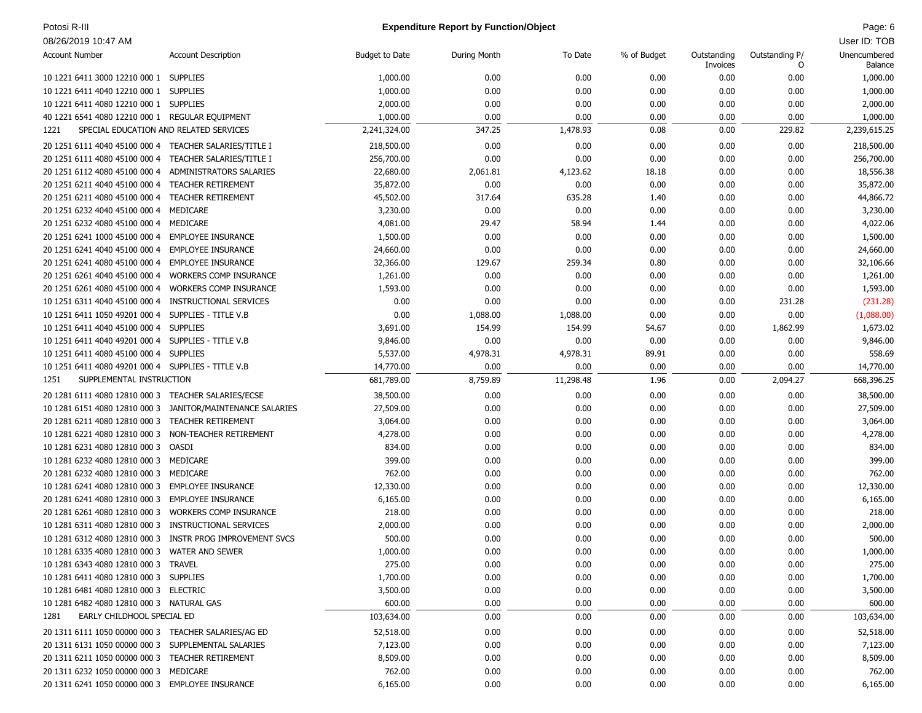### Potosi R-III **Page: 6 Page: 6 Expenditure Report by Function/Object Page: 6 Page: 6 Page: 6 Page: 6 Page: 6 Page: 6 Page: 6 Page: 6 Page: 6 Page: 6 Page: 6 Page: 6 Page: 6 Page: 6 Page: 6**

| <b>Account Number</b>                                          | <b>Account Description</b>                                 | <b>Budget to Date</b> | During Month | To Date      | % of Budget  | Outstanding<br>Invoices | Outstanding P/<br>0 | Unencumbered<br>Balance |
|----------------------------------------------------------------|------------------------------------------------------------|-----------------------|--------------|--------------|--------------|-------------------------|---------------------|-------------------------|
| 10 1221 6411 3000 12210 000 1                                  | <b>SUPPLIES</b>                                            | 1,000.00              | 0.00         | 0.00         | 0.00         | 0.00                    | 0.00                | 1,000.00                |
| 10 1221 6411 4040 12210 000 1                                  | <b>SUPPLIES</b>                                            | 1,000.00              | 0.00         | 0.00         | 0.00         | 0.00                    | 0.00                | 1,000.00                |
| 10 1221 6411 4080 12210 000 1                                  | <b>SUPPLIES</b>                                            | 2,000.00              | 0.00         | 0.00         | 0.00         | 0.00                    | 0.00                | 2,000.00                |
| 40 1221 6541 4080 12210 000 1 REGULAR EQUIPMENT                |                                                            | 1,000.00              | 0.00         | 0.00         | 0.00         | 0.00                    | 0.00                | 1,000.00                |
| SPECIAL EDUCATION AND RELATED SERVICES<br>1221                 |                                                            | 2,241,324.00          | 347.25       | 1,478.93     | 0.08         | 0.00                    | 229.82              | 2,239,615.25            |
| 20 1251 6111 4040 45100 000 4 TEACHER SALARIES/TITLE I         |                                                            | 218,500.00            | 0.00         | 0.00         | 0.00         | 0.00                    | 0.00                | 218,500.00              |
| 20 1251 6111 4080 45100 000 4 TEACHER SALARIES/TITLE I         |                                                            | 256,700.00            | 0.00         | 0.00         | 0.00         | 0.00                    | 0.00                | 256,700.00              |
| 20 1251 6112 4080 45100 000 4                                  | ADMINISTRATORS SALARIES                                    | 22,680.00             | 2,061.81     | 4,123.62     | 18.18        | 0.00                    | 0.00                | 18,556.38               |
| 20 1251 6211 4040 45100 000 4                                  | <b>TEACHER RETIREMENT</b>                                  | 35,872.00             | 0.00         | 0.00         | 0.00         | 0.00                    | 0.00                | 35,872.00               |
| 20 1251 6211 4080 45100 000 4                                  | <b>TEACHER RETIREMENT</b>                                  | 45,502.00             | 317.64       | 635.28       | 1.40         | 0.00                    | 0.00                | 44,866.72               |
| 20 1251 6232 4040 45100 000 4                                  | MEDICARE                                                   | 3,230.00              | 0.00         | 0.00         | 0.00         | 0.00                    | 0.00                | 3,230.00                |
| 20 1251 6232 4080 45100 000 4                                  | MEDICARE                                                   | 4,081.00              | 29.47        | 58.94        | 1.44         | 0.00                    | 0.00                | 4,022.06                |
| 20 1251 6241 1000 45100 000 4                                  | <b>EMPLOYEE INSURANCE</b>                                  | 1,500.00              | 0.00         | 0.00         | 0.00         | 0.00                    | 0.00                | 1,500.00                |
| 20 1251 6241 4040 45100 000 4                                  | <b>EMPLOYEE INSURANCE</b>                                  | 24,660.00             | 0.00         | 0.00         | 0.00         | 0.00                    | 0.00                | 24,660.00               |
| 20 1251 6241 4080 45100 000 4                                  | <b>EMPLOYEE INSURANCE</b>                                  | 32,366.00             | 129.67       | 259.34       | 0.80         | 0.00                    | 0.00                | 32,106.66               |
| 20 1251 6261 4040 45100 000 4                                  | <b>WORKERS COMP INSURANCE</b>                              | 1,261.00              | 0.00         | 0.00         | 0.00         | 0.00                    | 0.00                | 1,261.00                |
| 20 1251 6261 4080 45100 000 4                                  | <b>WORKERS COMP INSURANCE</b>                              | 1,593.00              | 0.00         | 0.00         | 0.00         | 0.00                    | 0.00                | 1,593.00                |
| 10 1251 6311 4040 45100 000 4                                  | INSTRUCTIONAL SERVICES                                     | 0.00                  | 0.00         | 0.00         | 0.00         | 0.00                    | 231.28              | (231.28)                |
| 10 1251 6411 1050 49201 000 4                                  | SUPPLIES - TITLE V.B                                       | 0.00                  | 1,088.00     | 1,088.00     | 0.00         | 0.00                    | 0.00                | (1,088.00)              |
| 10 1251 6411 4040 45100 000 4                                  | <b>SUPPLIES</b>                                            | 3,691.00              | 154.99       | 154.99       | 54.67        | 0.00                    | 1,862.99            | 1,673.02                |
| 10 1251 6411 4040 49201 000 4 SUPPLIES - TITLE V.B             |                                                            | 9,846.00              | 0.00         | 0.00         | 0.00         | 0.00                    | 0.00                | 9,846.00                |
| 10 1251 6411 4080 45100 000 4 SUPPLIES                         |                                                            | 5,537.00              | 4,978.31     | 4,978.31     | 89.91        | 0.00                    | 0.00                | 558.69                  |
| 10 1251 6411 4080 49201 000 4 SUPPLIES - TITLE V.B             |                                                            | 14,770.00             | 0.00         | 0.00         | 0.00         | 0.00                    | 0.00                | 14,770.00               |
| SUPPLEMENTAL INSTRUCTION<br>1251                               |                                                            | 681,789.00            | 8,759.89     | 11,298.48    | 1.96         | 0.00                    | 2,094.27            | 668,396.25              |
|                                                                |                                                            |                       |              |              |              |                         |                     |                         |
| 20 1281 6111 4080 12810 000 3 TEACHER SALARIES/ECSE            |                                                            | 38,500.00             | 0.00         | 0.00         | 0.00         | 0.00                    | 0.00                | 38,500.00               |
|                                                                | 10 1281 6151 4080 12810 000 3 JANITOR/MAINTENANCE SALARIES | 27,509.00             | 0.00         | 0.00         | 0.00         | 0.00                    | 0.00                | 27,509.00               |
| 20 1281 6211 4080 12810 000 3                                  | TEACHER RETIREMENT                                         | 3,064.00              | 0.00         | 0.00         | 0.00         | 0.00                    | 0.00                | 3,064.00                |
| 10 1281 6221 4080 12810 000 3                                  | NON-TEACHER RETIREMENT                                     | 4,278.00              | 0.00         | 0.00         | 0.00         | 0.00                    | 0.00                | 4,278.00                |
| 10 1281 6231 4080 12810 000 3                                  | OASDI                                                      | 834.00                | 0.00         | 0.00         | 0.00         | 0.00                    | 0.00                | 834.00                  |
| 10 1281 6232 4080 12810 000 3 MEDICARE                         |                                                            | 399.00                | 0.00         | 0.00         | 0.00         | 0.00                    | 0.00                | 399.00                  |
| 20 1281 6232 4080 12810 000 3                                  | MEDICARE                                                   | 762.00                | 0.00         | 0.00         | 0.00         | 0.00                    | 0.00                | 762.00                  |
| 10 1281 6241 4080 12810 000 3                                  | EMPLOYEE INSURANCE                                         | 12,330.00             | 0.00         | 0.00         | 0.00         | 0.00                    | 0.00                | 12,330.00               |
| 20 1281 6241 4080 12810 000 3                                  | <b>EMPLOYEE INSURANCE</b>                                  | 6,165.00              | 0.00         | 0.00         | 0.00         | 0.00                    | 0.00                | 6,165.00                |
| 20 1281 6261 4080 12810 000 3<br>10 1281 6311 4080 12810 000 3 | <b>WORKERS COMP INSURANCE</b><br>INSTRUCTIONAL SERVICES    | 218.00                | 0.00         | 0.00         | 0.00         | 0.00                    | 0.00                | 218.00                  |
|                                                                | INSTR PROG IMPROVEMENT SVCS                                | 2,000.00              | 0.00         | 0.00         | 0.00         | 0.00                    | 0.00                | 2,000.00<br>500.00      |
| 10 1281 6312 4080 12810 000 3<br>10 1281 6335 4080 12810 000 3 | <b>WATER AND SEWER</b>                                     | 500.00<br>1,000.00    | 0.00<br>0.00 | 0.00<br>0.00 | 0.00<br>0.00 | 0.00<br>0.00            | 0.00<br>0.00        | 1,000.00                |
| 10 1281 6343 4080 12810 000 3 TRAVEL                           |                                                            | 275.00                | 0.00         | 0.00         | 0.00         | 0.00                    | 0.00                | 275.00                  |
| 10 1281 6411 4080 12810 000 3 SUPPLIES                         |                                                            |                       |              | 0.00         | 0.00         | 0.00                    |                     |                         |
| 10 1281 6481 4080 12810 000 3 ELECTRIC                         |                                                            | 1,700.00              | 0.00         |              |              |                         | 0.00                | 1,700.00                |
| 10 1281 6482 4080 12810 000 3 NATURAL GAS                      |                                                            | 3,500.00<br>600.00    | 0.00         | 0.00         | 0.00         | 0.00                    | 0.00                | 3,500.00                |
|                                                                |                                                            |                       | 0.00         | 0.00         | 0.00         | 0.00                    | 0.00                | 600.00                  |
| EARLY CHILDHOOL SPECIAL ED<br>1281                             |                                                            | 103,634.00            | 0.00         | 0.00         | 0.00         | 0.00                    | 0.00                | 103,634.00              |
| 20 1311 6111 1050 00000 000 3 TEACHER SALARIES/AG ED           |                                                            | 52,518.00             | 0.00         | 0.00         | 0.00         | 0.00                    | 0.00                | 52,518.00               |
| 20 1311 6131 1050 00000 000 3 SUPPLEMENTAL SALARIES            |                                                            | 7,123.00              | 0.00         | 0.00         | 0.00         | 0.00                    | 0.00                | 7,123.00                |
| 20 1311 6211 1050 00000 000 3 TEACHER RETIREMENT               |                                                            | 8,509.00              | 0.00         | 0.00         | 0.00         | 0.00                    | 0.00                | 8,509.00                |
| 20 1311 6232 1050 00000 000 3 MEDICARE                         |                                                            | 762.00                | 0.00         | 0.00         | 0.00         | 0.00                    | 0.00                | 762.00                  |
| 20 1311 6241 1050 00000 000 3 EMPLOYEE INSURANCE               |                                                            | 6,165.00              | 0.00         | 0.00         | 0.00         | 0.00                    | 0.00                | 6,165.00                |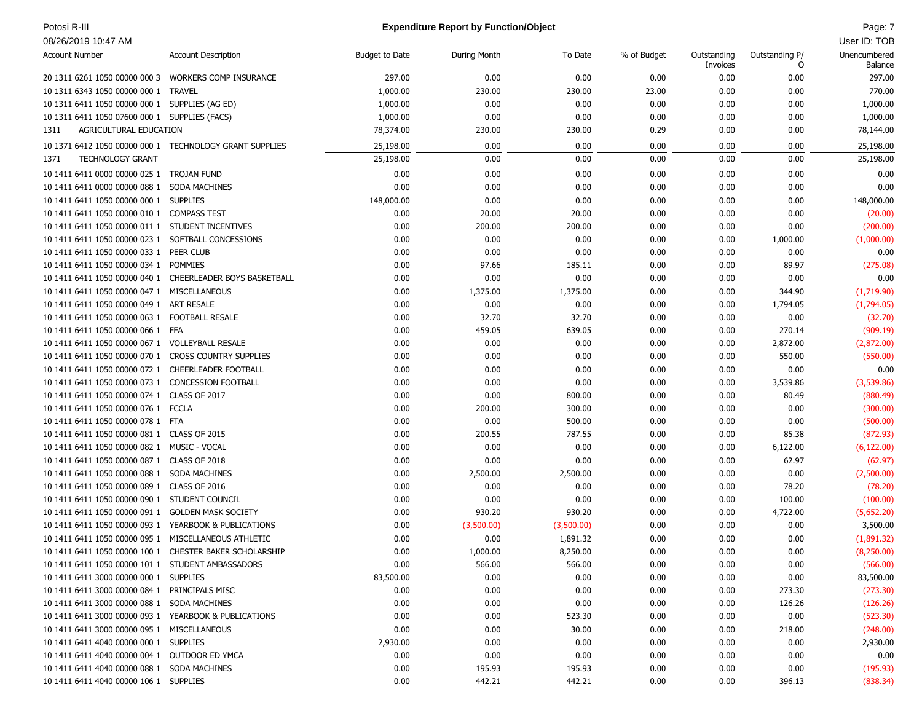### Potosi R-III Page: 7 **Page: 7** Page: 7 **Expenditure Report by Function/Object** Page: 7 **Page: 7** Page: 7

| <b>Account Number</b>                                 | <b>Account Description</b>                                | <b>Budget to Date</b> | During Month | To Date    | % of Budget | Outstanding | Outstanding P/ | Unencumbered |
|-------------------------------------------------------|-----------------------------------------------------------|-----------------------|--------------|------------|-------------|-------------|----------------|--------------|
|                                                       |                                                           |                       |              |            |             | Invoices    | 0              | Balance      |
| 20 1311 6261 1050 00000 000 3                         | <b>WORKERS COMP INSURANCE</b>                             | 297.00                | 0.00         | 0.00       | 0.00        | 0.00        | 0.00           | 297.00       |
| 10 1311 6343 1050 00000 000 1 TRAVEL                  |                                                           | 1,000.00              | 230.00       | 230.00     | 23.00       | 0.00        | 0.00           | 770.00       |
| 10 1311 6411 1050 00000 000 1 SUPPLIES (AG ED)        |                                                           | 1,000.00              | 0.00         | 0.00       | 0.00        | 0.00        | 0.00           | 1,000.00     |
| 10 1311 6411 1050 07600 000 1 SUPPLIES (FACS)         |                                                           | 1,000.00              | 0.00         | 0.00       | 0.00        | 0.00        | 0.00           | 1,000.00     |
| AGRICULTURAL EDUCATION<br>1311                        |                                                           | 78,374.00             | 230.00       | 230.00     | 0.29        | 0.00        | 0.00           | 78,144.00    |
|                                                       | 10 1371 6412 1050 00000 000 1 TECHNOLOGY GRANT SUPPLIES   | 25,198.00             | 0.00         | 0.00       | 0.00        | 0.00        | 0.00           | 25,198.00    |
| <b>TECHNOLOGY GRANT</b><br>1371                       |                                                           | 25,198.00             | 0.00         | 0.00       | 0.00        | 0.00        | 0.00           | 25,198.00    |
| 10 1411 6411 0000 00000 025 1 TROJAN FUND             |                                                           | 0.00                  | 0.00         | 0.00       | 0.00        | 0.00        | 0.00           | 0.00         |
| 10 1411 6411 0000 00000 088 1                         | SODA MACHINES                                             | 0.00                  | 0.00         | 0.00       | 0.00        | 0.00        | 0.00           | 0.00         |
| 10 1411 6411 1050 00000 000 1 SUPPLIES                |                                                           | 148,000.00            | 0.00         | 0.00       | 0.00        | 0.00        | 0.00           | 148,000.00   |
| 10 1411 6411 1050 00000 010 1 COMPASS TEST            |                                                           | 0.00                  | 20.00        | 20.00      | 0.00        | 0.00        | 0.00           | (20.00)      |
| 10 1411 6411 1050 00000 011 1 STUDENT INCENTIVES      |                                                           | 0.00                  | 200.00       | 200.00     | 0.00        | 0.00        | 0.00           | (200.00)     |
| 10 1411 6411 1050 00000 023 1 SOFTBALL CONCESSIONS    |                                                           | 0.00                  | 0.00         | 0.00       | 0.00        | 0.00        | 1,000.00       | (1,000.00)   |
| 10 1411 6411 1050 00000 033 1 PEER CLUB               |                                                           | 0.00                  | 0.00         | 0.00       | 0.00        | 0.00        | 0.00           | 0.00         |
| 10 1411 6411 1050 00000 034 1 POMMIES                 |                                                           | 0.00                  | 97.66        | 185.11     | 0.00        | 0.00        | 89.97          | (275.08)     |
|                                                       | 10 1411 6411 1050 00000 040 1 CHEERLEADER BOYS BASKETBALL | 0.00                  | 0.00         | 0.00       | 0.00        | 0.00        | 0.00           | 0.00         |
| 10 1411 6411 1050 00000 047 1 MISCELLANEOUS           |                                                           | 0.00                  | 1,375.00     | 1,375.00   | 0.00        | 0.00        | 344.90         | (1,719.90)   |
| 10 1411 6411 1050 00000 049 1 ART RESALE              |                                                           | 0.00                  | 0.00         | 0.00       | 0.00        | 0.00        | 1,794.05       | (1,794.05)   |
| 10 1411 6411 1050 00000 063 1 FOOTBALL RESALE         |                                                           | 0.00                  | 32.70        | 32.70      | 0.00        | 0.00        | 0.00           | (32.70)      |
| 10 1411 6411 1050 00000 066 1 FFA                     |                                                           | 0.00                  | 459.05       | 639.05     | 0.00        | 0.00        | 270.14         | (909.19)     |
| 10 1411 6411 1050 00000 067 1 VOLLEYBALL RESALE       |                                                           | 0.00                  | 0.00         | 0.00       | 0.00        | 0.00        | 2,872.00       | (2,872.00)   |
| 10 1411 6411 1050 00000 070 1 CROSS COUNTRY SUPPLIES  |                                                           | 0.00                  | 0.00         | 0.00       | 0.00        | 0.00        | 550.00         | (550.00)     |
| 10 1411 6411 1050 00000 072 1 CHEERLEADER FOOTBALL    |                                                           | 0.00                  | 0.00         | 0.00       | 0.00        | 0.00        | 0.00           | 0.00         |
| 10 1411 6411 1050 00000 073 1 CONCESSION FOOTBALL     |                                                           | 0.00                  | 0.00         | 0.00       | 0.00        | 0.00        | 3,539.86       | (3,539.86)   |
| 10 1411 6411 1050 00000 074 1 CLASS OF 2017           |                                                           | 0.00                  | 0.00         | 800.00     | 0.00        | 0.00        | 80.49          | (880.49)     |
| 10 1411 6411 1050 00000 076 1 FCCLA                   |                                                           | 0.00                  | 200.00       | 300.00     | 0.00        | 0.00        | 0.00           | (300.00)     |
| 10 1411 6411 1050 00000 078 1 FTA                     |                                                           | 0.00                  | 0.00         | 500.00     | 0.00        | 0.00        | 0.00           | (500.00)     |
| 10 1411 6411 1050 00000 081 1 CLASS OF 2015           |                                                           | 0.00                  | 200.55       | 787.55     | 0.00        | 0.00        | 85.38          | (872.93)     |
| 10 1411 6411 1050 00000 082 1 MUSIC - VOCAL           |                                                           | 0.00                  | 0.00         | 0.00       | 0.00        | 0.00        | 6,122.00       | (6, 122.00)  |
| 10 1411 6411 1050 00000 087 1 CLASS OF 2018           |                                                           | 0.00                  | 0.00         | 0.00       | 0.00        | 0.00        | 62.97          | (62.97)      |
| 10 1411 6411 1050 00000 088 1 SODA MACHINES           |                                                           | 0.00                  | 2,500.00     | 2,500.00   | 0.00        | 0.00        | 0.00           | (2,500.00)   |
| 10 1411 6411 1050 00000 089 1 CLASS OF 2016           |                                                           | 0.00                  | 0.00         | 0.00       | 0.00        | 0.00        | 78.20          | (78.20)      |
| 10 1411 6411 1050 00000 090 1 STUDENT COUNCIL         |                                                           | 0.00                  | 0.00         | 0.00       | 0.00        | 0.00        | 100.00         | (100.00)     |
| 10 1411 6411 1050 00000 091 1                         | <b>GOLDEN MASK SOCIETY</b>                                | 0.00                  | 930.20       | 930.20     | 0.00        | 0.00        | 4,722.00       | (5,652.20)   |
| 10 1411 6411 1050 00000 093 1 YEARBOOK & PUBLICATIONS |                                                           | 0.00                  | (3,500.00)   | (3,500.00) | 0.00        | 0.00        | 0.00           | 3,500.00     |
| 10 1411 6411 1050 00000 095 1 MISCELLANEOUS ATHLETIC  |                                                           | 0.00                  | 0.00         | 1,891.32   | 0.00        | 0.00        | 0.00           | (1,891.32)   |
| 10 1411 6411 1050 00000 100 1                         | CHESTER BAKER SCHOLARSHIP                                 | 0.00                  | 1,000.00     | 8,250.00   | 0.00        | 0.00        | 0.00           | (8,250.00)   |
| 10 1411 6411 1050 00000 101 1 STUDENT AMBASSADORS     |                                                           | 0.00                  | 566.00       | 566.00     | 0.00        | 0.00        | 0.00           | (566.00)     |
| 10 1411 6411 3000 00000 000 1 SUPPLIES                |                                                           | 83,500.00             | 0.00         | 0.00       | 0.00        | 0.00        | 0.00           | 83,500.00    |
| 10 1411 6411 3000 00000 084 1 PRINCIPALS MISC         |                                                           | 0.00                  | 0.00         | 0.00       | 0.00        | 0.00        | 273.30         | (273.30)     |
| 10 1411 6411 3000 00000 088 1 SODA MACHINES           |                                                           | 0.00                  | 0.00         | 0.00       | 0.00        | 0.00        | 126.26         | (126.26)     |
| 10 1411 6411 3000 00000 093 1 YEARBOOK & PUBLICATIONS |                                                           | 0.00                  | 0.00         | 523.30     | 0.00        | 0.00        | 0.00           | (523.30)     |
| 10 1411 6411 3000 00000 095 1 MISCELLANEOUS           |                                                           | 0.00                  | 0.00         | 30.00      | 0.00        | 0.00        | 218.00         | (248.00)     |
| 10 1411 6411 4040 00000 000 1 SUPPLIES                |                                                           | 2,930.00              | 0.00         | 0.00       | 0.00        | 0.00        | 0.00           | 2,930.00     |
| 10 1411 6411 4040 00000 004 1 OUTDOOR ED YMCA         |                                                           | 0.00                  | 0.00         | 0.00       | 0.00        | 0.00        | 0.00           | 0.00         |
| 10 1411 6411 4040 00000 088 1 SODA MACHINES           |                                                           | 0.00                  | 195.93       | 195.93     | 0.00        | 0.00        | 0.00           | (195.93)     |
| 10 1411 6411 4040 00000 106 1 SUPPLIES                |                                                           | 0.00                  | 442.21       | 442.21     | 0.00        | 0.00        | 396.13         | (838.34)     |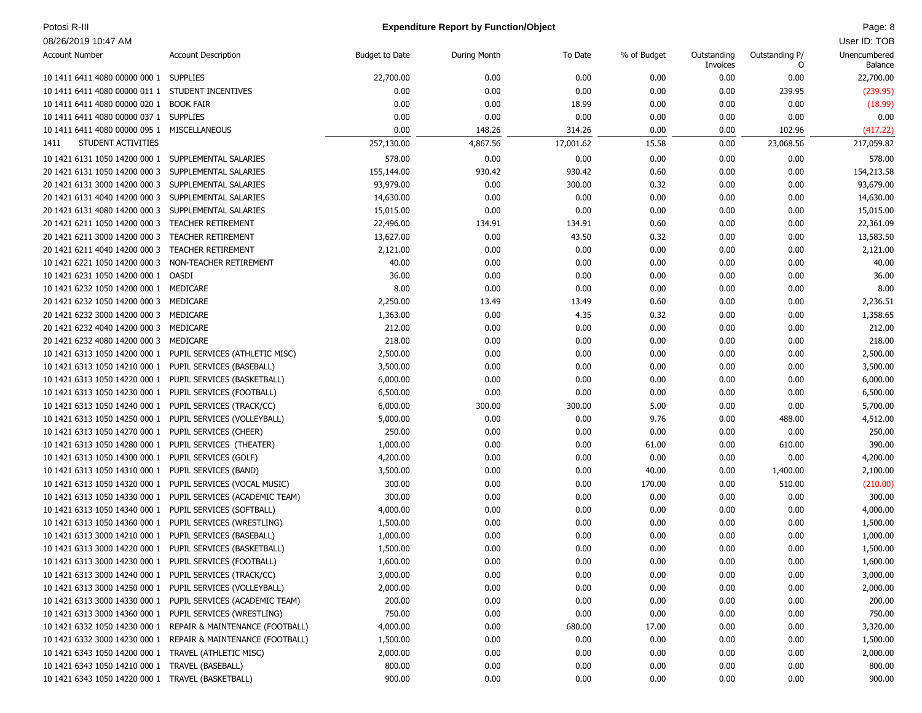### Potosi R-III **Page: 8** Page: 8 **Expenditure Report by Function/Object** And the Control of the Control of the Control of the Control of the Control of the Control of the Control of the Control of the Control of the Control

| <b>Account Number</b>                                     | <b>Account Description</b>                                    | Budget to Date | During Month | To Date   | % of Budget | Outstanding | Outstanding P/ | Unencumbered |
|-----------------------------------------------------------|---------------------------------------------------------------|----------------|--------------|-----------|-------------|-------------|----------------|--------------|
|                                                           |                                                               |                |              |           |             | Invoices    | 0              | Balance      |
| 10 1411 6411 4080 00000 000 1 SUPPLIES                    |                                                               | 22,700.00      | 0.00         | 0.00      | 0.00        | 0.00        | 0.00           | 22,700.00    |
| 10 1411 6411 4080 00000 011 1 STUDENT INCENTIVES          |                                                               | 0.00           | 0.00         | 0.00      | 0.00        | 0.00        | 239.95         | (239.95)     |
| 10 1411 6411 4080 00000 020 1                             | <b>BOOK FAIR</b>                                              | 0.00           | 0.00         | 18.99     | 0.00        | 0.00        | 0.00           | (18.99)      |
| 10 1411 6411 4080 00000 037 1 SUPPLIES                    |                                                               | 0.00           | 0.00         | 0.00      | 0.00        | 0.00        | 0.00           | 0.00         |
| 10 1411 6411 4080 00000 095 1 MISCELLANEOUS               |                                                               | 0.00           | 148.26       | 314.26    | 0.00        | 0.00        | 102.96         | (417.22)     |
| STUDENT ACTIVITIES<br>1411                                |                                                               | 257,130.00     | 4,867.56     | 17,001.62 | 15.58       | 0.00        | 23,068.56      | 217,059.82   |
| 10 1421 6131 1050 14200 000 1 SUPPLEMENTAL SALARIES       |                                                               | 578.00         | 0.00         | 0.00      | 0.00        | 0.00        | 0.00           | 578.00       |
| 20 1421 6131 1050 14200 000 3                             | SUPPLEMENTAL SALARIES                                         | 155,144.00     | 930.42       | 930.42    | 0.60        | 0.00        | 0.00           | 154,213.58   |
| 20 1421 6131 3000 14200 000 3 SUPPLEMENTAL SALARIES       |                                                               | 93,979.00      | 0.00         | 300.00    | 0.32        | 0.00        | 0.00           | 93,679.00    |
| 20 1421 6131 4040 14200 000 3                             | SUPPLEMENTAL SALARIES                                         | 14,630.00      | 0.00         | 0.00      | 0.00        | 0.00        | 0.00           | 14,630.00    |
| 20 1421 6131 4080 14200 000 3                             | SUPPLEMENTAL SALARIES                                         | 15,015.00      | 0.00         | 0.00      | 0.00        | 0.00        | 0.00           | 15,015.00    |
| 20 1421 6211 1050 14200 000 3                             | TEACHER RETIREMENT                                            | 22,496.00      | 134.91       | 134.91    | 0.60        | 0.00        | 0.00           | 22,361.09    |
| 20 1421 6211 3000 14200 000 3                             | TEACHER RETIREMENT                                            | 13,627.00      | 0.00         | 43.50     | 0.32        | 0.00        | 0.00           | 13,583.50    |
| 20 1421 6211 4040 14200 000 3                             | TEACHER RETIREMENT                                            | 2,121.00       | 0.00         | 0.00      | 0.00        | 0.00        | 0.00           | 2,121.00     |
| 10 1421 6221 1050 14200 000 3                             | NON-TEACHER RETIREMENT                                        | 40.00          | 0.00         | 0.00      | 0.00        | 0.00        | 0.00           | 40.00        |
| 10 1421 6231 1050 14200 000 1 OASDI                       |                                                               | 36.00          | 0.00         | 0.00      | 0.00        | 0.00        | 0.00           | 36.00        |
| 10 1421 6232 1050 14200 000 1 MEDICARE                    |                                                               | 8.00           | 0.00         | 0.00      | 0.00        | 0.00        | 0.00           | 8.00         |
| 20 1421 6232 1050 14200 000 3                             | MEDICARE                                                      | 2,250.00       | 13.49        | 13.49     | 0.60        | 0.00        | 0.00           | 2,236.51     |
| 20 1421 6232 3000 14200 000 3                             | MEDICARE                                                      | 1,363.00       | 0.00         | 4.35      | 0.32        | 0.00        | 0.00           | 1,358.65     |
| 20 1421 6232 4040 14200 000 3                             | MEDICARE                                                      | 212.00         | 0.00         | 0.00      | 0.00        | 0.00        | 0.00           | 212.00       |
| 20 1421 6232 4080 14200 000 3                             | MEDICARE                                                      | 218.00         | 0.00         | 0.00      | 0.00        | 0.00        | 0.00           | 218.00       |
| 10 1421 6313 1050 14200 000 1                             | PUPIL SERVICES (ATHLETIC MISC)                                | 2,500.00       | 0.00         | 0.00      | 0.00        | 0.00        | 0.00           | 2,500.00     |
| 10 1421 6313 1050 14210 000 1                             | PUPIL SERVICES (BASEBALL)                                     | 3,500.00       | 0.00         | 0.00      | 0.00        | 0.00        | 0.00           | 3,500.00     |
| 10 1421 6313 1050 14220 000 1                             | PUPIL SERVICES (BASKETBALL)                                   | 6,000.00       | 0.00         | 0.00      | 0.00        | 0.00        | 0.00           | 6,000.00     |
| 10 1421 6313 1050 14230 000 1                             | PUPIL SERVICES (FOOTBALL)                                     | 6,500.00       | 0.00         | 0.00      | 0.00        | 0.00        | 0.00           | 6,500.00     |
| 10 1421 6313 1050 14240 000 1 PUPIL SERVICES (TRACK/CC)   |                                                               | 6,000.00       | 300.00       | 300.00    | 5.00        | 0.00        | 0.00           | 5,700.00     |
| 10 1421 6313 1050 14250 000 1                             | PUPIL SERVICES (VOLLEYBALL)                                   | 5,000.00       | 0.00         | 0.00      | 9.76        | 0.00        | 488.00         | 4,512.00     |
| 10 1421 6313 1050 14270 000 1                             | PUPIL SERVICES (CHEER)                                        | 250.00         | 0.00         | 0.00      | 0.00        | 0.00        | 0.00           | 250.00       |
| 10 1421 6313 1050 14280 000 1                             | PUPIL SERVICES (THEATER)                                      | 1,000.00       | 0.00         | 0.00      | 61.00       | 0.00        | 610.00         | 390.00       |
| 10 1421 6313 1050 14300 000 1                             | PUPIL SERVICES (GOLF)                                         | 4,200.00       | 0.00         | 0.00      | 0.00        | 0.00        | 0.00           | 4,200.00     |
| 10 1421 6313 1050 14310 000 1                             | PUPIL SERVICES (BAND)                                         | 3,500.00       | 0.00         | 0.00      | 40.00       | 0.00        | 1,400.00       | 2,100.00     |
| 10 1421 6313 1050 14320 000 1                             | PUPIL SERVICES (VOCAL MUSIC)                                  | 300.00         | 0.00         | 0.00      | 170.00      | 0.00        | 510.00         | (210.00)     |
| 10 1421 6313 1050 14330 000 1                             | PUPIL SERVICES (ACADEMIC TEAM)                                | 300.00         | 0.00         | 0.00      | 0.00        | 0.00        | 0.00           | 300.00       |
| 10 1421 6313 1050 14340 000 1                             | PUPIL SERVICES (SOFTBALL)                                     | 4,000.00       | 0.00         | 0.00      | 0.00        | 0.00        | 0.00           | 4,000.00     |
| 10 1421 6313 1050 14360 000 1                             | PUPIL SERVICES (WRESTLING)                                    | 1,500.00       | 0.00         | 0.00      | 0.00        | 0.00        | 0.00           | 1,500.00     |
| 10 1421 6313 3000 14210 000 1                             | PUPIL SERVICES (BASEBALL)                                     | 1,000.00       | 0.00         | 0.00      | 0.00        | 0.00        | 0.00           | 1,000.00     |
| 10 1421 6313 3000 14220 000 1 PUPIL SERVICES (BASKETBALL) |                                                               | 1,500.00       | 0.00         | 0.00      | 0.00        | 0.00        | 0.00           | 1,500.00     |
| 10 1421 6313 3000 14230 000 1 PUPIL SERVICES (FOOTBALL)   |                                                               | 1,600.00       | 0.00         | 0.00      | 0.00        | 0.00        | 0.00           | 1,600.00     |
| 10 1421 6313 3000 14240 000 1 PUPIL SERVICES (TRACK/CC)   |                                                               | 3,000.00       | 0.00         | 0.00      | 0.00        | 0.00        | 0.00           | 3,000.00     |
| 10 1421 6313 3000 14250 000 1 PUPIL SERVICES (VOLLEYBALL) |                                                               | 2,000.00       | 0.00         | 0.00      | 0.00        | 0.00        | 0.00           | 2,000.00     |
|                                                           | 10 1421 6313 3000 14330 000 1 PUPIL SERVICES (ACADEMIC TEAM)  | 200.00         | 0.00         | 0.00      | 0.00        | 0.00        | 0.00           | 200.00       |
| 10 1421 6313 3000 14360 000 1 PUPIL SERVICES (WRESTLING)  |                                                               | 750.00         | 0.00         | 0.00      | 0.00        | 0.00        | 0.00           | 750.00       |
|                                                           | 10 1421 6332 1050 14230 000 1 REPAIR & MAINTENANCE (FOOTBALL) | 4,000.00       | 0.00         | 680.00    | 17.00       | 0.00        | 0.00           | 3,320.00     |
|                                                           | 10 1421 6332 3000 14230 000 1 REPAIR & MAINTENANCE (FOOTBALL) | 1,500.00       | 0.00         | 0.00      | 0.00        | 0.00        | 0.00           | 1,500.00     |
| 10 1421 6343 1050 14200 000 1 TRAVEL (ATHLETIC MISC)      |                                                               | 2,000.00       | 0.00         | 0.00      | 0.00        | 0.00        | 0.00           | 2,000.00     |
| 10 1421 6343 1050 14210 000 1 TRAVEL (BASEBALL)           |                                                               | 800.00         | 0.00         | 0.00      | 0.00        | 0.00        | 0.00           | 800.00       |
| 10 1421 6343 1050 14220 000 1 TRAVEL (BASKETBALL)         |                                                               | 900.00         | 0.00         | 0.00      | 0.00        | 0.00        | 0.00           | 900.00       |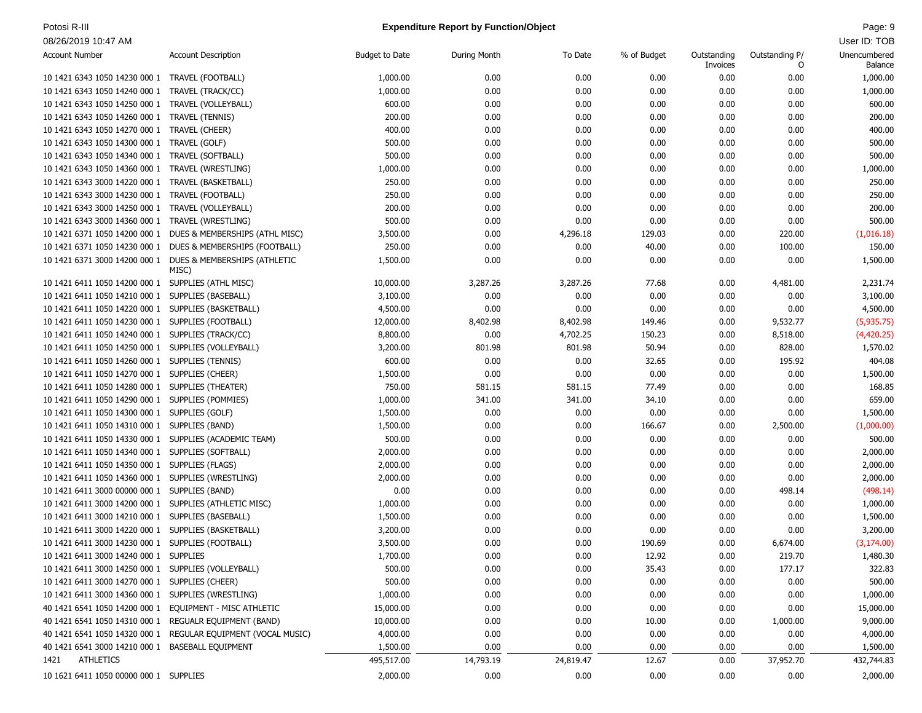# Potosi R-III **Page: 9** Page: 9 **Expenditure Report by Function/Object** And the Control of the Control of the Control of the Control of the Control of the Control of the Control of the Control of the Control of the Control

| <b>Account Number</b>                                   | <b>Account Description</b>                                 | <b>Budget to Date</b> | During Month | To Date   | % of Budget | Outstanding<br>Invoices | Outstanding P/<br>0 | Unencumbered<br>Balance |
|---------------------------------------------------------|------------------------------------------------------------|-----------------------|--------------|-----------|-------------|-------------------------|---------------------|-------------------------|
| 10 1421 6343 1050 14230 000 1                           | TRAVEL (FOOTBALL)                                          | 1,000.00              | 0.00         | 0.00      | 0.00        | 0.00                    | 0.00                | 1,000.00                |
| 10 1421 6343 1050 14240 000 1                           | TRAVEL (TRACK/CC)                                          | 1,000.00              | 0.00         | 0.00      | 0.00        | 0.00                    | 0.00                | 1,000.00                |
| 10 1421 6343 1050 14250 000 1                           | TRAVEL (VOLLEYBALL)                                        | 600.00                | 0.00         | 0.00      | 0.00        | 0.00                    | 0.00                | 600.00                  |
| 10 1421 6343 1050 14260 000 1                           | <b>TRAVEL (TENNIS)</b>                                     | 200.00                | 0.00         | 0.00      | 0.00        | 0.00                    | 0.00                | 200.00                  |
| 10 1421 6343 1050 14270 000 1                           | TRAVEL (CHEER)                                             | 400.00                | 0.00         | 0.00      | 0.00        | 0.00                    | 0.00                | 400.00                  |
| 10 1421 6343 1050 14300 000 1                           | TRAVEL (GOLF)                                              | 500.00                | 0.00         | 0.00      | 0.00        | 0.00                    | 0.00                | 500.00                  |
| 10 1421 6343 1050 14340 000 1                           | TRAVEL (SOFTBALL)                                          | 500.00                | 0.00         | 0.00      | 0.00        | 0.00                    | 0.00                | 500.00                  |
| 10 1421 6343 1050 14360 000 1                           | TRAVEL (WRESTLING)                                         | 1,000.00              | 0.00         | 0.00      | 0.00        | 0.00                    | 0.00                | 1,000.00                |
| 10 1421 6343 3000 14220 000 1                           | TRAVEL (BASKETBALL)                                        | 250.00                | 0.00         | 0.00      | 0.00        | 0.00                    | 0.00                | 250.00                  |
| 10 1421 6343 3000 14230 000 1                           | TRAVEL (FOOTBALL)                                          | 250.00                | 0.00         | 0.00      | 0.00        | 0.00                    | 0.00                | 250.00                  |
| 10 1421 6343 3000 14250 000 1                           | TRAVEL (VOLLEYBALL)                                        | 200.00                | 0.00         | 0.00      | 0.00        | 0.00                    | 0.00                | 200.00                  |
| 10 1421 6343 3000 14360 000 1                           | TRAVEL (WRESTLING)                                         | 500.00                | 0.00         | 0.00      | 0.00        | 0.00                    | 0.00                | 500.00                  |
| 10 1421 6371 1050 14200 000 1                           | DUES & MEMBERSHIPS (ATHL MISC)                             | 3,500.00              | 0.00         | 4,296.18  | 129.03      | 0.00                    | 220.00              | (1,016.18)              |
| 10 1421 6371 1050 14230 000 1                           | DUES & MEMBERSHIPS (FOOTBALL)                              | 250.00                | 0.00         | 0.00      | 40.00       | 0.00                    | 100.00              | 150.00                  |
|                                                         | 10 1421 6371 3000 14200 000 1 DUES & MEMBERSHIPS (ATHLETIC | 1,500.00              | 0.00         | 0.00      | 0.00        | 0.00                    | 0.00                | 1,500.00                |
|                                                         | MISC)                                                      |                       |              |           |             |                         |                     |                         |
| 10 1421 6411 1050 14200 000 1 SUPPLIES (ATHL MISC)      |                                                            | 10,000.00             | 3,287.26     | 3,287.26  | 77.68       | 0.00                    | 4,481.00            | 2,231.74                |
| 10 1421 6411 1050 14210 000 1                           | SUPPLIES (BASEBALL)                                        | 3,100.00              | 0.00         | 0.00      | 0.00        | 0.00                    | 0.00                | 3,100.00                |
| 10 1421 6411 1050 14220 000 1                           | SUPPLIES (BASKETBALL)                                      | 4,500.00              | 0.00         | 0.00      | 0.00        | 0.00                    | 0.00                | 4,500.00                |
| 10 1421 6411 1050 14230 000 1                           | SUPPLIES (FOOTBALL)                                        | 12,000.00             | 8,402.98     | 8,402.98  | 149.46      | 0.00                    | 9,532.77            | (5,935.75)              |
| 10 1421 6411 1050 14240 000 1                           | SUPPLIES (TRACK/CC)                                        | 8,800.00              | 0.00         | 4,702.25  | 150.23      | 0.00                    | 8,518.00            | (4,420.25)              |
| 10 1421 6411 1050 14250 000 1                           | SUPPLIES (VOLLEYBALL)                                      | 3,200.00              | 801.98       | 801.98    | 50.94       | 0.00                    | 828.00              | 1,570.02                |
| 10 1421 6411 1050 14260 000 1                           | SUPPLIES (TENNIS)                                          | 600.00                | 0.00         | 0.00      | 32.65       | 0.00                    | 195.92              | 404.08                  |
| 10 1421 6411 1050 14270 000 1                           | SUPPLIES (CHEER)                                           | 1,500.00              | 0.00         | 0.00      | 0.00        | 0.00                    | 0.00                | 1,500.00                |
| 10 1421 6411 1050 14280 000 1                           | SUPPLIES (THEATER)                                         | 750.00                | 581.15       | 581.15    | 77.49       | 0.00                    | 0.00                | 168.85                  |
| 10 1421 6411 1050 14290 000 1                           | SUPPLIES (POMMIES)                                         | 1,000.00              | 341.00       | 341.00    | 34.10       | 0.00                    | 0.00                | 659.00                  |
| 10 1421 6411 1050 14300 000 1                           | SUPPLIES (GOLF)                                            | 1,500.00              | 0.00         | 0.00      | 0.00        | 0.00                    | 0.00                | 1,500.00                |
| 10 1421 6411 1050 14310 000 1                           | SUPPLIES (BAND)                                            | 1,500.00              | 0.00         | 0.00      | 166.67      | 0.00                    | 2,500.00            | (1,000.00)              |
| 10 1421 6411 1050 14330 000 1                           | SUPPLIES (ACADEMIC TEAM)                                   | 500.00                | 0.00         | 0.00      | 0.00        | 0.00                    | 0.00                | 500.00                  |
| 10 1421 6411 1050 14340 000 1                           | SUPPLIES (SOFTBALL)                                        | 2,000.00              | 0.00         | 0.00      | 0.00        | 0.00                    | 0.00                | 2,000.00                |
| 10 1421 6411 1050 14350 000 1                           | SUPPLIES (FLAGS)                                           | 2,000.00              | 0.00         | 0.00      | 0.00        | 0.00                    | 0.00                | 2,000.00                |
| 10 1421 6411 1050 14360 000 1                           | SUPPLIES (WRESTLING)                                       | 2,000.00              | 0.00         | 0.00      | 0.00        | 0.00                    | 0.00                | 2,000.00                |
| 10 1421 6411 3000 00000 000 1                           | SUPPLIES (BAND)                                            | 0.00                  | 0.00         | 0.00      | 0.00        | 0.00                    | 498.14              | (498.14)                |
| 10 1421 6411 3000 14200 000 1                           | SUPPLIES (ATHLETIC MISC)                                   | 1,000.00              | 0.00         | 0.00      | 0.00        | 0.00                    | 0.00                | 1,000.00                |
| 10 1421 6411 3000 14210 000 1                           | SUPPLIES (BASEBALL)                                        | 1,500.00              | 0.00         | 0.00      | 0.00        | 0.00                    | 0.00                | 1,500.00                |
| 10 1421 6411 3000 14220 000 1                           | SUPPLIES (BASKETBALL)                                      | 3,200.00              | 0.00         | 0.00      | 0.00        | 0.00                    | 0.00                | 3,200.00                |
| 10 1421 6411 3000 14230 000 1                           | SUPPLIES (FOOTBALL)                                        | 3,500.00              | 0.00         | 0.00      | 190.69      | 0.00                    | 6,674.00            | (3, 174.00)             |
| 10 1421 6411 3000 14240 000 1                           | <b>SUPPLIES</b>                                            | 1,700.00              | 0.00         | 0.00      | 12.92       | 0.00                    | 219.70              | 1,480.30                |
| 10 1421 6411 3000 14250 000 1 SUPPLIES (VOLLEYBALL)     |                                                            | 500.00                | 0.00         | 0.00      | 35.43       | 0.00                    | 177.17              | 322.83                  |
| 10 1421 6411 3000 14270 000 1 SUPPLIES (CHEER)          |                                                            | 500.00                | 0.00         | 0.00      | 0.00        | 0.00                    | 0.00                | 500.00                  |
| 10 1421 6411 3000 14360 000 1 SUPPLIES (WRESTLING)      |                                                            | 1,000.00              | 0.00         | 0.00      | 0.00        | 0.00                    | 0.00                | 1,000.00                |
| 40 1421 6541 1050 14200 000 1 EQUIPMENT - MISC ATHLETIC |                                                            | 15,000.00             | 0.00         | 0.00      | 0.00        | 0.00                    | 0.00                | 15,000.00               |
| 40 1421 6541 1050 14310 000 1                           | REGUALR EQUIPMENT (BAND)                                   | 10,000.00             | 0.00         | 0.00      | 10.00       | 0.00                    | 1,000.00            | 9,000.00                |
| 40 1421 6541 1050 14320 000 1                           | REGULAR EQUIPMENT (VOCAL MUSIC)                            | 4,000.00              | 0.00         | 0.00      | 0.00        | 0.00                    | 0.00                | 4,000.00                |
| 40 1421 6541 3000 14210 000 1                           | <b>BASEBALL EQUIPMENT</b>                                  | 1,500.00              | 0.00         | 0.00      | 0.00        | 0.00                    | 0.00                | 1,500.00                |
| <b>ATHLETICS</b><br>1421                                |                                                            | 495,517.00            | 14,793.19    | 24,819.47 | 12.67       | 0.00                    | 37,952.70           | 432,744.83              |
| 10 1621 6411 1050 00000 000 1 SUPPLIES                  |                                                            | 2,000.00              | 0.00         | 0.00      | 0.00        | 0.00                    | 0.00                | 2,000.00                |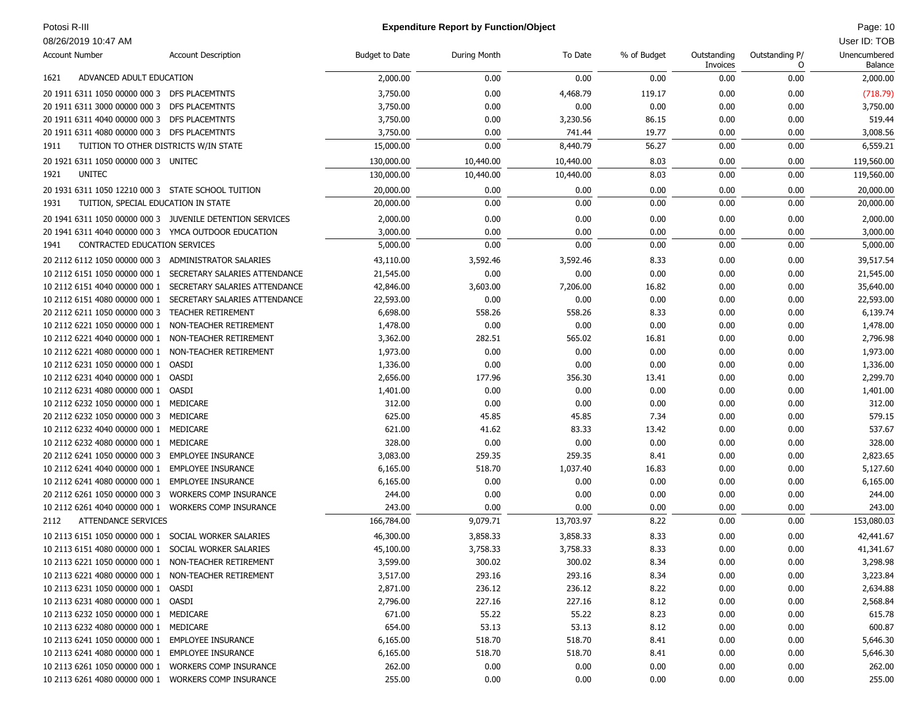# Potosi R-III **Page: 10 Expenditure Report by Function/Object Page: 10 Page: 10 Page: 10**

| <b>Account Number</b>                                | <b>Account Description</b>                                | <b>Budget to Date</b> | During Month | To Date   | % of Budget | Outstanding<br>Invoices | Outstanding P/<br>O | Unencumbered<br>Balance |
|------------------------------------------------------|-----------------------------------------------------------|-----------------------|--------------|-----------|-------------|-------------------------|---------------------|-------------------------|
| ADVANCED ADULT EDUCATION<br>1621                     |                                                           | 2,000.00              | 0.00         | 0.00      | 0.00        | 0.00                    | 0.00                | 2,000.00                |
| 20 1911 6311 1050 00000 000 3 DFS PLACEMTNTS         |                                                           | 3,750.00              | 0.00         | 4,468.79  | 119.17      | 0.00                    | 0.00                | (718.79)                |
| 20 1911 6311 3000 00000 000 3 DFS PLACEMTNTS         |                                                           | 3,750.00              | 0.00         | 0.00      | 0.00        | 0.00                    | 0.00                | 3,750.00                |
| 20 1911 6311 4040 00000 000 3 DFS PLACEMTNTS         |                                                           | 3,750.00              | 0.00         | 3,230.56  | 86.15       | 0.00                    | 0.00                | 519.44                  |
| 20 1911 6311 4080 00000 000 3 DFS PLACEMTNTS         |                                                           | 3,750.00              | 0.00         | 741.44    | 19.77       | 0.00                    | 0.00                | 3,008.56                |
| 1911<br>TUITION TO OTHER DISTRICTS W/IN STATE        |                                                           | 15,000.00             | 0.00         | 8,440.79  | 56.27       | 0.00                    | 0.00                | 6,559.21                |
| 20 1921 6311 1050 00000 000 3 UNITEC                 |                                                           | 130,000.00            | 10,440.00    | 10,440.00 | 8.03        | 0.00                    | 0.00                | 119,560.00              |
| <b>UNITEC</b><br>1921                                |                                                           | 130,000.00            | 10,440.00    | 10,440.00 | 8.03        | 0.00                    | 0.00                | 119,560.00              |
| 20 1931 6311 1050 12210 000 3 STATE SCHOOL TUITION   |                                                           | 20,000.00             | 0.00         | 0.00      | 0.00        | 0.00                    | 0.00                | 20,000.00               |
| 1931<br>TUITION, SPECIAL EDUCATION IN STATE          |                                                           | 20,000.00             | 0.00         | 0.00      | 0.00        | 0.00                    | 0.00                | 20,000.00               |
|                                                      | 20 1941 6311 1050 00000 000 3 JUVENILE DETENTION SERVICES | 2,000.00              | 0.00         | 0.00      | 0.00        | 0.00                    | 0.00                | 2,000.00                |
| 20 1941 6311 4040 00000 000 3 YMCA OUTDOOR EDUCATION |                                                           | 3,000.00              | 0.00         | 0.00      | 0.00        | 0.00                    | 0.00                | 3,000.00                |
| CONTRACTED EDUCATION SERVICES<br>1941                |                                                           | 5,000.00              | 0.00         | 0.00      | 0.00        | 0.00                    | 0.00                | 5,000.00                |
| 20 2112 6112 1050 00000 000 3 ADMINISTRATOR SALARIES |                                                           | 43,110.00             | 3,592.46     | 3,592.46  | 8.33        | 0.00                    | 0.00                | 39,517.54               |
| 10 2112 6151 1050 00000 000 1                        | SECRETARY SALARIES ATTENDANCE                             | 21,545.00             | 0.00         | 0.00      | 0.00        | 0.00                    | 0.00                | 21,545.00               |
| 10 2112 6151 4040 00000 000 1                        | SECRETARY SALARIES ATTENDANCE                             | 42,846.00             | 3,603.00     | 7,206.00  | 16.82       | 0.00                    | 0.00                | 35,640.00               |
| 10 2112 6151 4080 00000 000 1                        | SECRETARY SALARIES ATTENDANCE                             | 22,593.00             | 0.00         | 0.00      | 0.00        | 0.00                    | 0.00                | 22,593.00               |
| 20 2112 6211 1050 00000 000 3                        | <b>TEACHER RETIREMENT</b>                                 | 6,698.00              | 558.26       | 558.26    | 8.33        | 0.00                    | 0.00                | 6,139.74                |
| 10 2112 6221 1050 00000 000 1                        | NON-TEACHER RETIREMENT                                    | 1,478.00              | 0.00         | 0.00      | 0.00        | 0.00                    | 0.00                | 1,478.00                |
| 10 2112 6221 4040 00000 000 1                        | NON-TEACHER RETIREMENT                                    | 3,362.00              | 282.51       | 565.02    | 16.81       | 0.00                    | 0.00                | 2,796.98                |
| 10 2112 6221 4080 00000 000 1 NON-TEACHER RETIREMENT |                                                           | 1,973.00              | 0.00         | 0.00      | 0.00        | 0.00                    | 0.00                | 1,973.00                |
| 10 2112 6231 1050 00000 000 1                        | OASDI                                                     | 1,336.00              | 0.00         | 0.00      | 0.00        | 0.00                    | 0.00                | 1,336.00                |
| 10 2112 6231 4040 00000 000 1                        | OASDI                                                     | 2,656.00              | 177.96       | 356.30    | 13.41       | 0.00                    | 0.00                | 2,299.70                |
| 10 2112 6231 4080 00000 000 1                        | OASDI                                                     | 1,401.00              | 0.00         | 0.00      | 0.00        | 0.00                    | 0.00                | 1,401.00                |
| 10 2112 6232 1050 00000 000 1 MEDICARE               |                                                           | 312.00                | 0.00         | 0.00      | 0.00        | 0.00                    | 0.00                | 312.00                  |
| 20 2112 6232 1050 00000 000 3 MEDICARE               |                                                           | 625.00                | 45.85        | 45.85     | 7.34        | 0.00                    | 0.00                | 579.15                  |
| 10 2112 6232 4040 00000 000 1 MEDICARE               |                                                           | 621.00                | 41.62        | 83.33     | 13.42       | 0.00                    | 0.00                | 537.67                  |
| 10 2112 6232 4080 00000 000 1 MEDICARE               |                                                           | 328.00                | 0.00         | 0.00      | 0.00        | 0.00                    | 0.00                | 328.00                  |
| 20 2112 6241 1050 00000 000 3                        | <b>EMPLOYEE INSURANCE</b>                                 | 3,083.00              | 259.35       | 259.35    | 8.41        | 0.00                    | 0.00                | 2,823.65                |
| 10 2112 6241 4040 00000 000 1 EMPLOYEE INSURANCE     |                                                           | 6,165.00              | 518.70       | 1,037.40  | 16.83       | 0.00                    | 0.00                | 5,127.60                |
| 10 2112 6241 4080 00000 000 1                        | <b>EMPLOYEE INSURANCE</b>                                 | 6,165.00              | 0.00         | 0.00      | 0.00        | 0.00                    | 0.00                | 6,165.00                |
| 20 2112 6261 1050 00000 000 3                        | <b>WORKERS COMP INSURANCE</b>                             | 244.00                | 0.00         | 0.00      | 0.00        | 0.00                    | 0.00                | 244.00                  |
| 10 2112 6261 4040 00000 000 1                        | <b>WORKERS COMP INSURANCE</b>                             | 243.00                | 0.00         | 0.00      | 0.00        | 0.00                    | 0.00                | 243.00                  |
| <b>ATTENDANCE SERVICES</b><br>2112                   |                                                           | 166,784.00            | 9,079.71     | 13,703.97 | 8.22        | 0.00                    | 0.00                | 153,080.03              |
|                                                      |                                                           |                       |              |           |             |                         |                     |                         |
| 10 2113 6151 1050 00000 000 1                        | SOCIAL WORKER SALARIES                                    | 46,300.00             | 3,858.33     | 3,858.33  | 8.33        | 0.00                    | 0.00                | 42,441.67               |
| 10 2113 6151 4080 00000 000 1                        | SOCIAL WORKER SALARIES                                    | 45,100.00             | 3,758.33     | 3,758.33  | 8.33        | 0.00                    | 0.00                | 41,341.67               |
| 10 2113 6221 1050 00000 000 1 NON-TEACHER RETIREMENT |                                                           | 3,599.00              | 300.02       | 300.02    | 8.34        | 0.00                    | 0.00                | 3,298.98                |
| 10 2113 6221 4080 00000 000 1 NON-TEACHER RETIREMENT |                                                           | 3,517.00              | 293.16       | 293.16    | 8.34        | 0.00                    | 0.00                | 3,223.84                |
| 10 2113 6231 1050 00000 000 1 OASDI                  |                                                           | 2,871.00              | 236.12       | 236.12    | 8.22        | 0.00                    | 0.00                | 2,634.88                |
| 10 2113 6231 4080 00000 000 1 OASDI                  |                                                           | 2,796.00              | 227.16       | 227.16    | 8.12        | 0.00                    | 0.00                | 2,568.84                |
| 10 2113 6232 1050 00000 000 1 MEDICARE               |                                                           | 671.00                | 55.22        | 55.22     | 8.23        | 0.00                    | 0.00                | 615.78                  |
| 10 2113 6232 4080 00000 000 1 MEDICARE               |                                                           | 654.00                | 53.13        | 53.13     | 8.12        | 0.00                    | 0.00                | 600.87                  |
| 10 2113 6241 1050 00000 000 1 EMPLOYEE INSURANCE     |                                                           | 6,165.00              | 518.70       | 518.70    | 8.41        | 0.00                    | 0.00                | 5,646.30                |
| 10 2113 6241 4080 00000 000 1 EMPLOYEE INSURANCE     |                                                           | 6,165.00              | 518.70       | 518.70    | 8.41        | 0.00                    | 0.00                | 5,646.30                |
| 10 2113 6261 1050 00000 000 1 WORKERS COMP INSURANCE |                                                           | 262.00                | 0.00         | 0.00      | 0.00        | 0.00                    | 0.00                | 262.00                  |
| 10 2113 6261 4080 00000 000 1 WORKERS COMP INSURANCE |                                                           | 255.00                | 0.00         | 0.00      | 0.00        | 0.00                    | 0.00                | 255.00                  |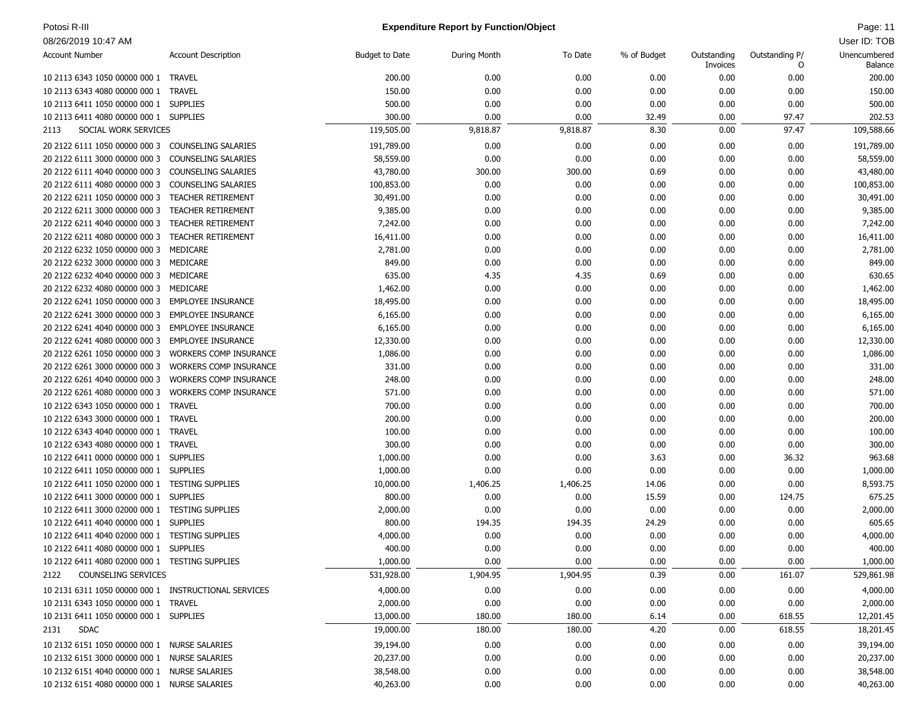### Potosi R-III **Page: 11 Page: 11 Expenditure Report by Function/Object Page: 11 Page: 11 Page: 11**

| <b>Account Number</b>                                | <b>Account Description</b>    | <b>Budget to Date</b> | During Month | To Date        | % of Budget | Outstanding | Outstanding P/ | Unencumbered       |
|------------------------------------------------------|-------------------------------|-----------------------|--------------|----------------|-------------|-------------|----------------|--------------------|
|                                                      |                               |                       |              |                |             | Invoices    | 0              | Balance            |
| 10 2113 6343 1050 00000 000 1 TRAVEL                 |                               | 200.00                | 0.00         | 0.00           | 0.00        | 0.00        | 0.00           | 200.00             |
| 10 2113 6343 4080 00000 000 1 TRAVEL                 |                               | 150.00                | 0.00         | 0.00           | 0.00        | 0.00        | 0.00           | 150.00             |
| 10 2113 6411 1050 00000 000 1 SUPPLIES               |                               | 500.00                | 0.00         | 0.00           | 0.00        | 0.00        | 0.00           | 500.00             |
| 10 2113 6411 4080 00000 000 1 SUPPLIES               |                               | 300.00                | 0.00         | 0.00           | 32.49       | 0.00        | 97.47          | 202.53             |
| SOCIAL WORK SERVICES<br>2113                         |                               | 119,505.00            | 9,818.87     | 9,818.87       | 8.30        | 0.00        | 97.47          | 109,588.66         |
| 20 2122 6111 1050 00000 000 3 COUNSELING SALARIES    |                               | 191,789.00            | 0.00         | 0.00           | 0.00        | 0.00        | 0.00           | 191,789.00         |
| 20 2122 6111 3000 00000 000 3 COUNSELING SALARIES    |                               | 58,559.00             | 0.00         | 0.00           | 0.00        | 0.00        | 0.00           | 58,559.00          |
| 20 2122 6111 4040 00000 000 3 COUNSELING SALARIES    |                               | 43,780.00             | 300.00       | 300.00         | 0.69        | 0.00        | 0.00           | 43,480.00          |
| 20 2122 6111 4080 00000 000 3 COUNSELING SALARIES    |                               | 100,853.00            | 0.00         | 0.00           | 0.00        | 0.00        | 0.00           | 100,853.00         |
| 20 2122 6211 1050 00000 000 3                        | <b>TEACHER RETIREMENT</b>     | 30,491.00             | 0.00         | 0.00           | 0.00        | 0.00        | 0.00           | 30,491.00          |
| 20 2122 6211 3000 00000 000 3                        | <b>TEACHER RETIREMENT</b>     | 9,385.00              | 0.00         | 0.00           | 0.00        | 0.00        | 0.00           | 9,385.00           |
| 20 2122 6211 4040 00000 000 3                        | <b>TEACHER RETIREMENT</b>     | 7,242.00              | 0.00         | 0.00           | 0.00        | 0.00        | 0.00           | 7,242.00           |
| 20 2122 6211 4080 00000 000 3 TEACHER RETIREMENT     |                               | 16,411.00             | 0.00         | 0.00           | 0.00        | 0.00        | 0.00           | 16,411.00          |
| 20 2122 6232 1050 00000 000 3 MEDICARE               |                               | 2,781.00              | 0.00         | 0.00           | 0.00        | 0.00        | 0.00           | 2,781.00           |
| 20 2122 6232 3000 00000 000 3                        | MEDICARE                      | 849.00                | 0.00         | 0.00           | 0.00        | 0.00        | 0.00           | 849.00             |
| 20 2122 6232 4040 00000 000 3 MEDICARE               |                               | 635.00                | 4.35         | 4.35           | 0.69        | 0.00        | 0.00           | 630.65             |
| 20 2122 6232 4080 00000 000 3 MEDICARE               |                               | 1,462.00              | 0.00         | 0.00           | 0.00        | 0.00        | 0.00           | 1,462.00           |
| 20 2122 6241 1050 00000 000 3 EMPLOYEE INSURANCE     |                               | 18,495.00             | 0.00         | 0.00           | 0.00        | 0.00        | 0.00           | 18,495.00          |
| 20 2122 6241 3000 00000 000 3                        | <b>EMPLOYEE INSURANCE</b>     | 6,165.00              | 0.00         | 0.00           | 0.00        | 0.00        | 0.00           | 6,165.00           |
| 20 2122 6241 4040 00000 000 3                        | EMPLOYEE INSURANCE            | 6,165.00              | 0.00         | 0.00           | 0.00        | 0.00        | 0.00           | 6,165.00           |
| 20 2122 6241 4080 00000 000 3 EMPLOYEE INSURANCE     |                               | 12,330.00             | 0.00         | 0.00           | 0.00        | 0.00        | 0.00           | 12,330.00          |
| 20 2122 6261 1050 00000 000 3                        | <b>WORKERS COMP INSURANCE</b> | 1,086.00              | 0.00         | 0.00           | 0.00        | 0.00        | 0.00           | 1,086.00           |
| 20 2122 6261 3000 00000 000 3                        | <b>WORKERS COMP INSURANCE</b> | 331.00                | 0.00         | 0.00           | 0.00        | 0.00        | 0.00           | 331.00             |
| 20 2122 6261 4040 00000 000 3                        | <b>WORKERS COMP INSURANCE</b> | 248.00                | 0.00         | 0.00           | 0.00        | 0.00        | 0.00           | 248.00             |
| 20 2122 6261 4080 00000 000 3                        | <b>WORKERS COMP INSURANCE</b> | 571.00                | 0.00         | 0.00           | 0.00        | 0.00        | 0.00           | 571.00             |
| 10 2122 6343 1050 00000 000 1 TRAVEL                 |                               | 700.00                | 0.00         | 0.00           | 0.00        | 0.00        | 0.00           | 700.00             |
| 10 2122 6343 3000 00000 000 1 TRAVEL                 |                               | 200.00                | 0.00         | 0.00           | 0.00        | 0.00        | 0.00           | 200.00             |
| 10 2122 6343 4040 00000 000 1 TRAVEL                 |                               | 100.00                | 0.00         | 0.00           | 0.00        | 0.00        | 0.00           | 100.00             |
| 10 2122 6343 4080 00000 000 1 TRAVEL                 |                               | 300.00                | 0.00         | 0.00           | 0.00        | 0.00        | 0.00           | 300.00             |
| 10 2122 6411 0000 00000 000 1 SUPPLIES               |                               | 1,000.00              | 0.00         | 0.00           | 3.63        | 0.00        | 36.32          | 963.68             |
| 10 2122 6411 1050 00000 000 1 SUPPLIES               |                               | 1,000.00              | 0.00         | 0.00           | 0.00        | 0.00        | 0.00           | 1,000.00           |
| 10 2122 6411 1050 02000 000 1 TESTING SUPPLIES       |                               | 10,000.00             | 1,406.25     | 1,406.25       | 14.06       | 0.00        | 0.00           | 8,593.75           |
| 10 2122 6411 3000 00000 000 1 SUPPLIES               |                               | 800.00                | 0.00         | 0.00           | 15.59       | 0.00        | 124.75         | 675.25             |
| 10 2122 6411 3000 02000 000 1 TESTING SUPPLIES       |                               | 2,000.00              | 0.00         | 0.00           | 0.00        | 0.00        | 0.00           | 2,000.00           |
|                                                      |                               | 800.00                | 194.35       |                |             |             |                |                    |
| 10 2122 6411 4040 00000 000 1 SUPPLIES               |                               |                       | 0.00         | 194.35<br>0.00 | 24.29       | 0.00        | 0.00           | 605.65             |
| 10 2122 6411 4040 02000 000 1 TESTING SUPPLIES       |                               | 4,000.00<br>400.00    | 0.00         |                | 0.00        | 0.00        | 0.00           | 4,000.00<br>400.00 |
| 10 2122 6411 4080 00000 000 1 SUPPLIES               |                               |                       |              | 0.00           | 0.00        | 0.00        | 0.00           |                    |
| 10 2122 6411 4080 02000 000 1 TESTING SUPPLIES       |                               | 1,000.00              | 0.00         | 0.00           | 0.00        | 0.00        | 0.00           | 1,000.00           |
| COUNSELING SERVICES<br>2122                          |                               | 531,928.00            | 1,904.95     | 1,904.95       | 0.39        | 0.00        | 161.07         | 529,861.98         |
| 10 2131 6311 1050 00000 000 1 INSTRUCTIONAL SERVICES |                               | 4,000.00              | 0.00         | 0.00           | 0.00        | 0.00        | 0.00           | 4,000.00           |
| 10 2131 6343 1050 00000 000 1 TRAVEL                 |                               | 2,000.00              | 0.00         | 0.00           | 0.00        | 0.00        | 0.00           | 2,000.00           |
| 10 2131 6411 1050 00000 000 1 SUPPLIES               |                               | 13,000.00             | 180.00       | 180.00         | 6.14        | 0.00        | 618.55         | 12,201.45          |
| <b>SDAC</b><br>2131                                  |                               | 19,000.00             | 180.00       | 180.00         | 4.20        | 0.00        | 618.55         | 18,201.45          |
| 10 2132 6151 1050 00000 000 1 NURSE SALARIES         |                               | 39,194.00             | 0.00         | 0.00           | 0.00        | 0.00        | 0.00           | 39,194.00          |
| 10 2132 6151 3000 00000 000 1 NURSE SALARIES         |                               | 20,237.00             | 0.00         | 0.00           | 0.00        | 0.00        | 0.00           | 20,237.00          |
| 10 2132 6151 4040 00000 000 1 NURSE SALARIES         |                               | 38,548.00             | 0.00         | 0.00           | 0.00        | 0.00        | 0.00           | 38,548.00          |
| 10 2132 6151 4080 00000 000 1 NURSE SALARIES         |                               | 40,263.00             | 0.00         | 0.00           | 0.00        | 0.00        | 0.00           | 40,263.00          |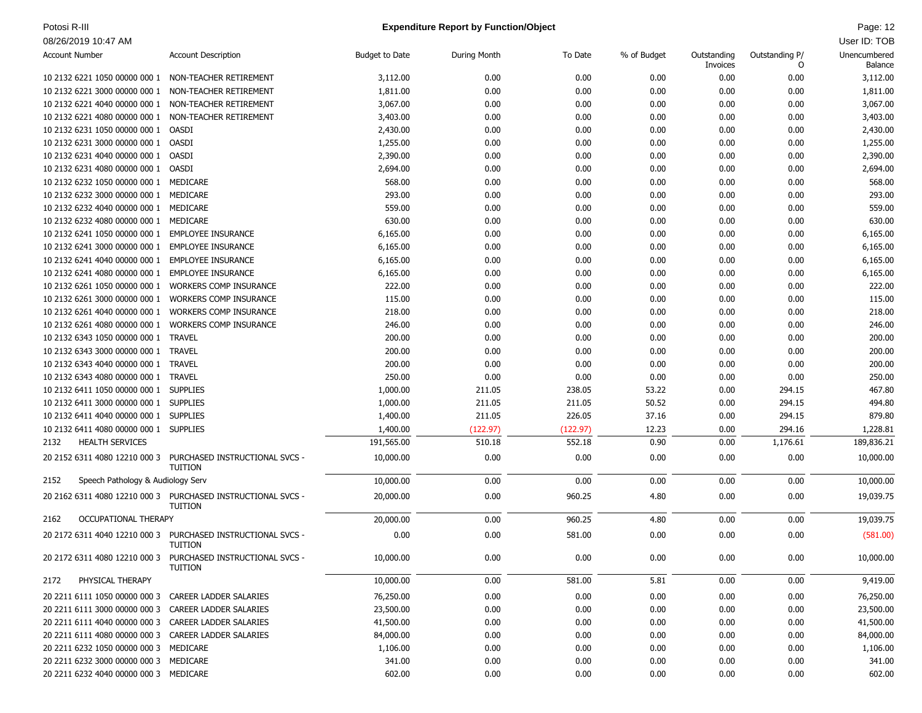# Potosi R-III **Page: 12** Potosi R-III Page: 12

| <b>Account Number</b>                                | <b>Account Description</b>                       | <b>Budget to Date</b> | During Month | To Date  | % of Budget | Outstanding | Outstanding P/ | Unencumbered |
|------------------------------------------------------|--------------------------------------------------|-----------------------|--------------|----------|-------------|-------------|----------------|--------------|
|                                                      |                                                  |                       |              |          |             | Invoices    | 0              | Balance      |
| 10 2132 6221 1050 00000 000 1 NON-TEACHER RETIREMENT |                                                  | 3,112.00              | 0.00         | 0.00     | 0.00        | 0.00        | 0.00           | 3,112.00     |
| 10 2132 6221 3000 00000 000 1 NON-TEACHER RETIREMENT |                                                  | 1,811.00              | 0.00         | 0.00     | 0.00        | 0.00        | 0.00           | 1,811.00     |
| 10 2132 6221 4040 00000 000 1 NON-TEACHER RETIREMENT |                                                  | 3,067.00              | 0.00         | 0.00     | 0.00        | 0.00        | 0.00           | 3,067.00     |
| 10 2132 6221 4080 00000 000 1 NON-TEACHER RETIREMENT |                                                  | 3,403.00              | 0.00         | 0.00     | 0.00        | 0.00        | 0.00           | 3,403.00     |
| 10 2132 6231 1050 00000 000 1 OASDI                  |                                                  | 2,430.00              | 0.00         | 0.00     | 0.00        | 0.00        | 0.00           | 2,430.00     |
| 10 2132 6231 3000 00000 000 1 OASDI                  |                                                  | 1,255.00              | 0.00         | 0.00     | 0.00        | 0.00        | 0.00           | 1,255.00     |
| 10 2132 6231 4040 00000 000 1                        | OASDI                                            | 2,390.00              | 0.00         | 0.00     | 0.00        | 0.00        | 0.00           | 2,390.00     |
| 10 2132 6231 4080 00000 000 1 OASDI                  |                                                  | 2,694.00              | 0.00         | 0.00     | 0.00        | 0.00        | 0.00           | 2,694.00     |
| 10 2132 6232 1050 00000 000 1 MEDICARE               |                                                  | 568.00                | 0.00         | 0.00     | 0.00        | 0.00        | 0.00           | 568.00       |
| 10 2132 6232 3000 00000 000 1 MEDICARE               |                                                  | 293.00                | 0.00         | 0.00     | 0.00        | 0.00        | 0.00           | 293.00       |
| 10 2132 6232 4040 00000 000 1 MEDICARE               |                                                  | 559.00                | 0.00         | 0.00     | 0.00        | 0.00        | 0.00           | 559.00       |
| 10 2132 6232 4080 00000 000 1 MEDICARE               |                                                  | 630.00                | 0.00         | 0.00     | 0.00        | 0.00        | 0.00           | 630.00       |
| 10 2132 6241 1050 00000 000 1 EMPLOYEE INSURANCE     |                                                  | 6,165.00              | 0.00         | 0.00     | 0.00        | 0.00        | 0.00           | 6,165.00     |
| 10 2132 6241 3000 00000 000 1 EMPLOYEE INSURANCE     |                                                  | 6,165.00              | 0.00         | 0.00     | 0.00        | 0.00        | 0.00           | 6,165.00     |
| 10 2132 6241 4040 00000 000 1 EMPLOYEE INSURANCE     |                                                  | 6,165.00              | 0.00         | 0.00     | 0.00        | 0.00        | 0.00           | 6,165.00     |
| 10 2132 6241 4080 00000 000 1                        | EMPLOYEE INSURANCE                               | 6,165.00              | 0.00         | 0.00     | 0.00        | 0.00        | 0.00           | 6,165.00     |
| 10 2132 6261 1050 00000 000 1 WORKERS COMP INSURANCE |                                                  | 222.00                | 0.00         | 0.00     | 0.00        | 0.00        | 0.00           | 222.00       |
| 10 2132 6261 3000 00000 000 1                        | <b>WORKERS COMP INSURANCE</b>                    | 115.00                | 0.00         | 0.00     | 0.00        | 0.00        | 0.00           | 115.00       |
| 10 2132 6261 4040 00000 000 1                        | <b>WORKERS COMP INSURANCE</b>                    | 218.00                | 0.00         | 0.00     | 0.00        | 0.00        | 0.00           | 218.00       |
| 10 2132 6261 4080 00000 000 1 WORKERS COMP INSURANCE |                                                  | 246.00                | 0.00         | 0.00     | 0.00        | 0.00        | 0.00           | 246.00       |
| 10 2132 6343 1050 00000 000 1 TRAVEL                 |                                                  | 200.00                | 0.00         | 0.00     | 0.00        | 0.00        | 0.00           | 200.00       |
| 10 2132 6343 3000 00000 000 1 TRAVEL                 |                                                  | 200.00                | 0.00         | 0.00     | 0.00        | 0.00        | 0.00           | 200.00       |
| 10 2132 6343 4040 00000 000 1 TRAVEL                 |                                                  | 200.00                | 0.00         | 0.00     | 0.00        | 0.00        | 0.00           | 200.00       |
| 10 2132 6343 4080 00000 000 1 TRAVEL                 |                                                  | 250.00                | 0.00         | 0.00     | 0.00        | 0.00        | 0.00           | 250.00       |
| 10 2132 6411 1050 00000 000 1 SUPPLIES               |                                                  | 1,000.00              | 211.05       | 238.05   | 53.22       | 0.00        | 294.15         | 467.80       |
| 10 2132 6411 3000 00000 000 1 SUPPLIES               |                                                  | 1,000.00              | 211.05       | 211.05   | 50.52       | 0.00        | 294.15         | 494.80       |
| 10 2132 6411 4040 00000 000 1 SUPPLIES               |                                                  | 1,400.00              | 211.05       | 226.05   | 37.16       | 0.00        | 294.15         | 879.80       |
| 10 2132 6411 4080 00000 000 1 SUPPLIES               |                                                  | 1,400.00              | (122.97)     | (122.97) | 12.23       | 0.00        | 294.16         | 1,228.81     |
| <b>HEALTH SERVICES</b><br>2132                       |                                                  | 191,565.00            | 510.18       | 552.18   | 0.90        | 0.00        | 1,176.61       | 189,836.21   |
|                                                      |                                                  |                       |              |          |             |             |                |              |
| 20 2152 6311 4080 12210 000 3                        | PURCHASED INSTRUCTIONAL SVCS -<br><b>TUITION</b> | 10,000.00             | 0.00         | 0.00     | 0.00        | 0.00        | 0.00           | 10,000.00    |
| 2152<br>Speech Pathology & Audiology Serv            |                                                  | 10,000.00             | 0.00         | 0.00     | 0.00        | 0.00        | 0.00           | 10,000.00    |
| 20 2162 6311 4080 12210 000 3                        | PURCHASED INSTRUCTIONAL SVCS -<br><b>TUITION</b> | 20,000.00             | 0.00         | 960.25   | 4.80        | 0.00        | 0.00           | 19,039.75    |
| <b>OCCUPATIONAL THERAPY</b><br>2162                  |                                                  | 20,000.00             | 0.00         | 960.25   | 4.80        | 0.00        | 0.00           | 19,039.75    |
| 20 2172 6311 4040 12210 000 3                        | PURCHASED INSTRUCTIONAL SVCS -<br><b>TUITION</b> | 0.00                  | 0.00         | 581.00   | 0.00        | 0.00        | 0.00           | (581.00)     |
| 20 2172 6311 4080 12210 000 3                        | PURCHASED INSTRUCTIONAL SVCS -<br><b>TUITION</b> | 10,000.00             | 0.00         | 0.00     | 0.00        | 0.00        | 0.00           | 10,000.00    |
| PHYSICAL THERAPY<br>2172                             |                                                  | 10,000.00             | 0.00         | 581.00   | 5.81        | 0.00        | 0.00           | 9,419.00     |
| 20 2211 6111 1050 00000 000 3 CAREER LADDER SALARIES |                                                  | 76,250.00             | 0.00         | 0.00     | 0.00        | 0.00        | 0.00           | 76,250.00    |
| 20 2211 6111 3000 00000 000 3 CAREER LADDER SALARIES |                                                  | 23,500.00             | 0.00         | 0.00     | 0.00        | 0.00        | 0.00           | 23,500.00    |
| 20 2211 6111 4040 00000 000 3 CAREER LADDER SALARIES |                                                  | 41,500.00             | 0.00         | 0.00     | 0.00        | 0.00        | 0.00           | 41,500.00    |
| 20 2211 6111 4080 00000 000 3 CAREER LADDER SALARIES |                                                  | 84,000.00             | 0.00         | 0.00     | 0.00        | 0.00        | 0.00           | 84,000.00    |
| 20 2211 6232 1050 00000 000 3 MEDICARE               |                                                  | 1,106.00              | 0.00         | 0.00     | 0.00        | 0.00        | 0.00           | 1,106.00     |
| 20 2211 6232 3000 00000 000 3 MEDICARE               |                                                  | 341.00                | 0.00         | 0.00     | 0.00        | 0.00        | 0.00           | 341.00       |
| 20 2211 6232 4040 00000 000 3 MEDICARE               |                                                  | 602.00                | 0.00         | 0.00     | 0.00        | 0.00        | 0.00           | 602.00       |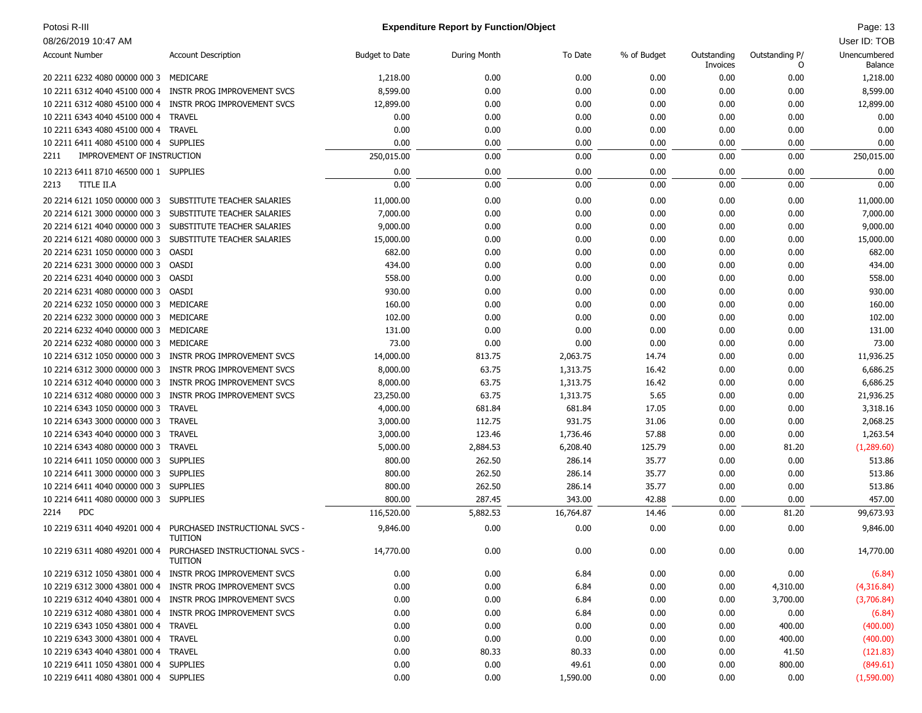# Potosi R-III **Page: 13** Page: 13 **Expenditure Report by Function/Object** Page: 14 **Page: 13**

| 08/26/2019 10:47 AM                                            |                                                                         |                       |              |              |             |                         |                     | User ID: TOB            |
|----------------------------------------------------------------|-------------------------------------------------------------------------|-----------------------|--------------|--------------|-------------|-------------------------|---------------------|-------------------------|
| <b>Account Number</b>                                          | <b>Account Description</b>                                              | <b>Budget to Date</b> | During Month | To Date      | % of Budget | Outstanding<br>Invoices | Outstanding P/<br>O | Unencumbered<br>Balance |
| 20 2211 6232 4080 00000 000 3                                  | MEDICARE                                                                | 1,218.00              | 0.00         | 0.00         | 0.00        | 0.00                    | 0.00                | 1,218.00                |
|                                                                | 10 2211 6312 4040 45100 000 4 INSTR PROG IMPROVEMENT SVCS               | 8,599.00              | 0.00         | 0.00         | 0.00        | 0.00                    | 0.00                | 8,599.00                |
| 10 2211 6312 4080 45100 000 4                                  | INSTR PROG IMPROVEMENT SVCS                                             | 12,899.00             | 0.00         | 0.00         | 0.00        | 0.00                    | 0.00                | 12,899.00               |
| 10 2211 6343 4040 45100 000 4 TRAVEL                           |                                                                         | 0.00                  | 0.00         | 0.00         | 0.00        | 0.00                    | 0.00                | 0.00                    |
| 10 2211 6343 4080 45100 000 4                                  | <b>TRAVEL</b>                                                           | 0.00                  | 0.00         | 0.00         | 0.00        | 0.00                    | 0.00                | 0.00                    |
| 10 2211 6411 4080 45100 000 4 SUPPLIES                         |                                                                         | 0.00                  | 0.00         | 0.00         | 0.00        | 0.00                    | 0.00                | 0.00                    |
| IMPROVEMENT OF INSTRUCTION<br>2211                             |                                                                         | 250,015.00            | 0.00         | 0.00         | 0.00        | 0.00                    | 0.00                | 250,015.00              |
| 10 2213 6411 8710 46500 000 1 SUPPLIES                         |                                                                         | 0.00                  | 0.00         | 0.00         | 0.00        | 0.00                    | 0.00                | 0.00                    |
| TITLE II.A<br>2213                                             |                                                                         | 0.00                  | 0.00         | 0.00         | 0.00        | 0.00                    | 0.00                | 0.00                    |
| 20 2214 6121 1050 00000 000 3                                  | SUBSTITUTE TEACHER SALARIES                                             | 11,000.00             | 0.00         | 0.00         | 0.00        | 0.00                    | 0.00                | 11,000.00               |
| 20 2214 6121 3000 00000 000 3                                  | SUBSTITUTE TEACHER SALARIES                                             | 7,000.00              | 0.00         | 0.00         | 0.00        | 0.00                    | 0.00                | 7,000.00                |
|                                                                | 20 2214 6121 4040 00000 000 3 SUBSTITUTE TEACHER SALARIES               | 9,000.00              | 0.00         | 0.00         | 0.00        | 0.00                    | 0.00                | 9,000.00                |
|                                                                | 20 2214 6121 4080 00000 000 3 SUBSTITUTE TEACHER SALARIES               | 15,000.00             | 0.00         | 0.00         | 0.00        | 0.00                    | 0.00                | 15,000.00               |
| 20 2214 6231 1050 00000 000 3                                  | OASDI                                                                   | 682.00                | 0.00         | 0.00         | 0.00        | 0.00                    | 0.00                | 682.00                  |
| 20 2214 6231 3000 00000 000 3                                  | OASDI                                                                   | 434.00                | 0.00         | 0.00         | 0.00        | 0.00                    | 0.00                | 434.00                  |
| 20 2214 6231 4040 00000 000 3                                  | OASDI                                                                   |                       | 0.00         | 0.00         |             |                         | 0.00                | 558.00                  |
|                                                                |                                                                         | 558.00                |              |              | 0.00        | 0.00                    |                     |                         |
| 20 2214 6231 4080 00000 000 3<br>20 2214 6232 1050 00000 000 3 | OASDI<br>MEDICARE                                                       | 930.00                | 0.00         | 0.00<br>0.00 | 0.00        | 0.00                    | 0.00                | 930.00                  |
|                                                                |                                                                         | 160.00                | 0.00         |              | 0.00        | 0.00                    | 0.00                | 160.00                  |
| 20 2214 6232 3000 00000 000 3                                  | MEDICARE                                                                | 102.00                | 0.00         | 0.00         | 0.00        | 0.00                    | 0.00                | 102.00                  |
| 20 2214 6232 4040 00000 000 3                                  | MEDICARE                                                                | 131.00                | 0.00         | 0.00         | 0.00        | 0.00                    | 0.00                | 131.00                  |
| 20 2214 6232 4080 00000 000 3                                  | MEDICARE                                                                | 73.00                 | 0.00         | 0.00         | 0.00        | 0.00                    | 0.00                | 73.00                   |
| 10 2214 6312 1050 00000 000 3                                  | INSTR PROG IMPROVEMENT SVCS                                             | 14,000.00             | 813.75       | 2,063.75     | 14.74       | 0.00                    | 0.00                | 11,936.25               |
| 10 2214 6312 3000 00000 000 3                                  | INSTR PROG IMPROVEMENT SVCS                                             | 8,000.00              | 63.75        | 1,313.75     | 16.42       | 0.00                    | 0.00                | 6,686.25                |
| 10 2214 6312 4040 00000 000 3                                  | INSTR PROG IMPROVEMENT SVCS                                             | 8,000.00              | 63.75        | 1,313.75     | 16.42       | 0.00                    | 0.00                | 6,686.25                |
| 10 2214 6312 4080 00000 000 3                                  | INSTR PROG IMPROVEMENT SVCS                                             | 23,250.00             | 63.75        | 1,313.75     | 5.65        | 0.00                    | 0.00                | 21,936.25               |
| 10 2214 6343 1050 00000 000 3                                  | <b>TRAVEL</b>                                                           | 4,000.00              | 681.84       | 681.84       | 17.05       | 0.00                    | 0.00                | 3,318.16                |
| 10 2214 6343 3000 00000 000 3 TRAVEL                           |                                                                         | 3,000.00              | 112.75       | 931.75       | 31.06       | 0.00                    | 0.00                | 2,068.25                |
| 10 2214 6343 4040 00000 000 3                                  | TRAVEL                                                                  | 3,000.00              | 123.46       | 1,736.46     | 57.88       | 0.00                    | 0.00                | 1,263.54                |
| 10 2214 6343 4080 00000 000 3                                  | TRAVEL                                                                  | 5,000.00              | 2,884.53     | 6,208.40     | 125.79      | 0.00                    | 81.20               | (1,289.60)              |
| 10 2214 6411 1050 00000 000 3                                  | <b>SUPPLIES</b>                                                         | 800.00                | 262.50       | 286.14       | 35.77       | 0.00                    | 0.00                | 513.86                  |
| 10 2214 6411 3000 00000 000 3                                  | <b>SUPPLIES</b>                                                         | 800.00                | 262.50       | 286.14       | 35.77       | 0.00                    | 0.00                | 513.86                  |
| 10 2214 6411 4040 00000 000 3                                  | <b>SUPPLIES</b>                                                         | 800.00                | 262.50       | 286.14       | 35.77       | 0.00                    | 0.00                | 513.86                  |
| 10 2214 6411 4080 00000 000 3 SUPPLIES                         |                                                                         | 800.00                | 287.45       | 343.00       | 42.88       | 0.00                    | 0.00                | 457.00                  |
| <b>PDC</b><br>2214                                             |                                                                         | 116,520.00            | 5,882.53     | 16,764.87    | 14.46       | 0.00                    | 81.20               | 99,673.93               |
| 10 2219 6311 4040 49201 000 4                                  | PURCHASED INSTRUCTIONAL SVCS -<br><b>TUITION</b>                        | 9,846.00              | 0.00         | 0.00         | 0.00        | 0.00                    | 0.00                | 9,846.00                |
|                                                                | 10 2219 6311 4080 49201 000 4 PURCHASED INSTRUCTIONAL SVCS -<br>TUITION | 14,770.00             | 0.00         | 0.00         | 0.00        | 0.00                    | 0.00                | 14,770.00               |
|                                                                | 10 2219 6312 1050 43801 000 4 INSTR PROG IMPROVEMENT SVCS               | 0.00                  | 0.00         | 6.84         | 0.00        | 0.00                    | 0.00                | (6.84)                  |
|                                                                | 10 2219 6312 3000 43801 000 4 INSTR PROG IMPROVEMENT SVCS               | 0.00                  | 0.00         | 6.84         | 0.00        | 0.00                    | 4,310.00            | (4,316.84)              |
|                                                                | 10 2219 6312 4040 43801 000 4 INSTR PROG IMPROVEMENT SVCS               | 0.00                  | 0.00         | 6.84         | 0.00        | 0.00                    | 3,700.00            | (3,706.84)              |
|                                                                | 10 2219 6312 4080 43801 000 4 INSTR PROG IMPROVEMENT SVCS               | 0.00                  | 0.00         | 6.84         | 0.00        | 0.00                    | 0.00                | (6.84)                  |
| 10 2219 6343 1050 43801 000 4 TRAVEL                           |                                                                         | 0.00                  | 0.00         | 0.00         | 0.00        | 0.00                    | 400.00              | (400.00)                |
| 10 2219 6343 3000 43801 000 4 TRAVEL                           |                                                                         | 0.00                  | 0.00         | 0.00         | 0.00        | 0.00                    | 400.00              | (400.00)                |
| 10 2219 6343 4040 43801 000 4 TRAVEL                           |                                                                         | 0.00                  | 80.33        | 80.33        | 0.00        | 0.00                    | 41.50               | (121.83)                |
| 10 2219 6411 1050 43801 000 4 SUPPLIES                         |                                                                         | 0.00                  | 0.00         | 49.61        | 0.00        | 0.00                    | 800.00              | (849.61)                |
| 10 2219 6411 4080 43801 000 4 SUPPLIES                         |                                                                         | 0.00                  | 0.00         | 1,590.00     | 0.00        | 0.00                    | 0.00                | (1,590.00)              |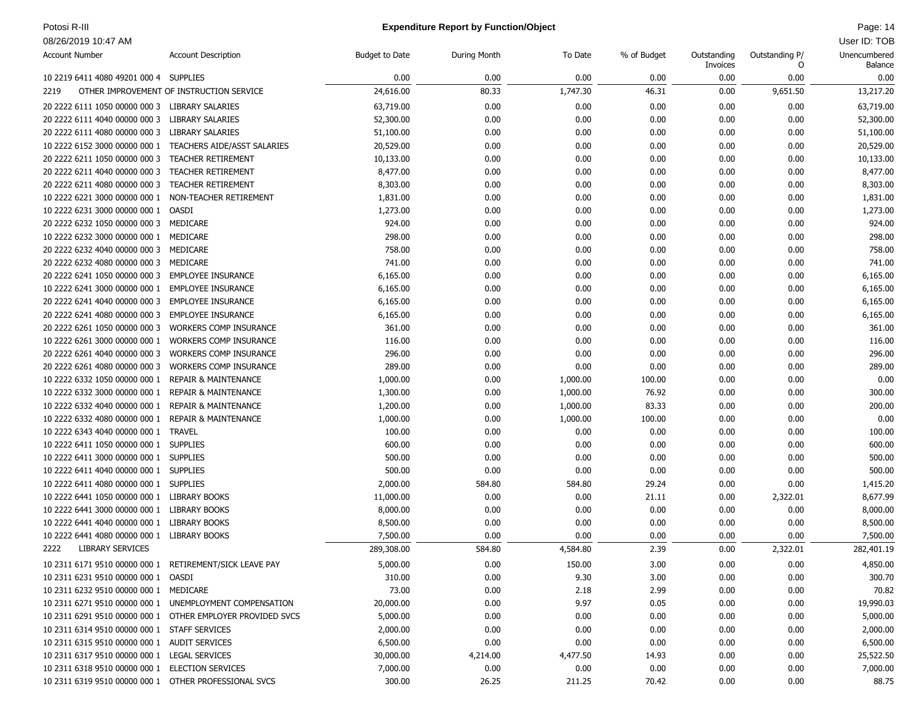# Potosi R-III **Page: 14** Page: 14 **Expenditure Report by Function/Object** Page: 14 **Page: 14** Page: 14

| <b>Account Number</b>                                   | <b>Account Description</b>                                 | <b>Budget to Date</b> | During Month | To Date  | % of Budget | Outstanding<br>Invoices | Outstanding P/<br>0 | Unencumbered<br>Balance |
|---------------------------------------------------------|------------------------------------------------------------|-----------------------|--------------|----------|-------------|-------------------------|---------------------|-------------------------|
| 10 2219 6411 4080 49201 000 4 SUPPLIES                  |                                                            | 0.00                  | 0.00         | 0.00     | 0.00        | 0.00                    | 0.00                | 0.00                    |
| 2219                                                    | OTHER IMPROVEMENT OF INSTRUCTION SERVICE                   | 24,616.00             | 80.33        | 1,747.30 | 46.31       | 0.00                    | 9,651.50            | 13,217.20               |
| 20 2222 6111 1050 00000 000 3                           | LIBRARY SALARIES                                           | 63,719.00             | 0.00         | 0.00     | 0.00        | 0.00                    | 0.00                | 63,719.00               |
| 20 2222 6111 4040 00000 000 3                           | LIBRARY SALARIES                                           | 52,300.00             | 0.00         | 0.00     | 0.00        | 0.00                    | 0.00                | 52,300.00               |
| 20 2222 6111 4080 00000 000 3                           | <b>LIBRARY SALARIES</b>                                    | 51,100.00             | 0.00         | 0.00     | 0.00        | 0.00                    | 0.00                | 51,100.00               |
| 10 2222 6152 3000 00000 000 1                           | <b>TEACHERS AIDE/ASST SALARIES</b>                         | 20,529.00             | 0.00         | 0.00     | 0.00        | 0.00                    | 0.00                | 20,529.00               |
| 20 2222 6211 1050 00000 000 3                           | <b>TEACHER RETIREMENT</b>                                  | 10,133.00             | 0.00         | 0.00     | 0.00        | 0.00                    | 0.00                | 10,133.00               |
| 20 2222 6211 4040 00000 000 3                           | <b>TEACHER RETIREMENT</b>                                  | 8,477.00              | 0.00         | 0.00     | 0.00        | 0.00                    | 0.00                | 8,477.00                |
| 20 2222 6211 4080 00000 000 3                           | <b>TEACHER RETIREMENT</b>                                  | 8,303.00              | 0.00         | 0.00     | 0.00        | 0.00                    | 0.00                | 8,303.00                |
| 10 2222 6221 3000 00000 000 1 NON-TEACHER RETIREMENT    |                                                            | 1,831.00              | 0.00         | 0.00     | 0.00        | 0.00                    | 0.00                | 1,831.00                |
| 10 2222 6231 3000 00000 000 1                           | <b>OASDI</b>                                               | 1,273.00              | 0.00         | 0.00     | 0.00        | 0.00                    | 0.00                | 1,273.00                |
| 20 2222 6232 1050 00000 000 3                           | MEDICARE                                                   | 924.00                | 0.00         | 0.00     | 0.00        | 0.00                    | 0.00                | 924.00                  |
| 10 2222 6232 3000 00000 000 1                           | MEDICARE                                                   | 298.00                | 0.00         | 0.00     | 0.00        | 0.00                    | 0.00                | 298.00                  |
| 20 2222 6232 4040 00000 000 3                           | MEDICARE                                                   | 758.00                | 0.00         | 0.00     | 0.00        | 0.00                    | 0.00                | 758.00                  |
| 20 2222 6232 4080 00000 000 3                           | MEDICARE                                                   | 741.00                | 0.00         | 0.00     | 0.00        | 0.00                    | 0.00                | 741.00                  |
| 20 2222 6241 1050 00000 000 3                           | <b>EMPLOYEE INSURANCE</b>                                  | 6,165.00              | 0.00         | 0.00     | 0.00        | 0.00                    | 0.00                | 6,165.00                |
| 10 2222 6241 3000 00000 000 1                           | <b>EMPLOYEE INSURANCE</b>                                  | 6,165.00              | 0.00         | 0.00     | 0.00        | 0.00                    | 0.00                | 6,165.00                |
| 20 2222 6241 4040 00000 000 3                           | <b>EMPLOYEE INSURANCE</b>                                  | 6,165.00              | 0.00         | 0.00     | 0.00        | 0.00                    | 0.00                | 6,165.00                |
| 20 2222 6241 4080 00000 000 3                           | <b>EMPLOYEE INSURANCE</b>                                  | 6,165.00              | 0.00         | 0.00     | 0.00        | 0.00                    | 0.00                | 6,165.00                |
| 20 2222 6261 1050 00000 000 3                           | <b>WORKERS COMP INSURANCE</b>                              | 361.00                | 0.00         | 0.00     | 0.00        | 0.00                    | 0.00                | 361.00                  |
| 10 2222 6261 3000 00000 000 1                           | <b>WORKERS COMP INSURANCE</b>                              | 116.00                | 0.00         | 0.00     | 0.00        | 0.00                    | 0.00                | 116.00                  |
| 20 2222 6261 4040 00000 000 3                           | <b>WORKERS COMP INSURANCE</b>                              | 296.00                | 0.00         | 0.00     | 0.00        | 0.00                    | 0.00                | 296.00                  |
| 20 2222 6261 4080 00000 000 3                           | <b>WORKERS COMP INSURANCE</b>                              | 289.00                | 0.00         | 0.00     | 0.00        | 0.00                    | 0.00                | 289.00                  |
| 10 2222 6332 1050 00000 000 1                           | <b>REPAIR &amp; MAINTENANCE</b>                            | 1,000.00              | 0.00         | 1,000.00 | 100.00      | 0.00                    | 0.00                | 0.00                    |
| 10 2222 6332 3000 00000 000 1                           | <b>REPAIR &amp; MAINTENANCE</b>                            | 1,300.00              | 0.00         | 1,000.00 | 76.92       | 0.00                    | 0.00                | 300.00                  |
| 10 2222 6332 4040 00000 000 1                           | <b>REPAIR &amp; MAINTENANCE</b>                            | 1,200.00              | 0.00         | 1,000.00 | 83.33       | 0.00                    | 0.00                | 200.00                  |
| 10 2222 6332 4080 00000 000 1                           | <b>REPAIR &amp; MAINTENANCE</b>                            | 1,000.00              | 0.00         | 1,000.00 | 100.00      | 0.00                    | 0.00                | 0.00                    |
| 10 2222 6343 4040 00000 000 1                           | <b>TRAVEL</b>                                              | 100.00                | 0.00         | 0.00     | 0.00        | 0.00                    | 0.00                | 100.00                  |
| 10 2222 6411 1050 00000 000 1 SUPPLIES                  |                                                            | 600.00                | 0.00         | 0.00     | 0.00        | 0.00                    | 0.00                | 600.00                  |
| 10 2222 6411 3000 00000 000 1 SUPPLIES                  |                                                            | 500.00                | 0.00         | 0.00     | 0.00        | 0.00                    | 0.00                | 500.00                  |
| 10 2222 6411 4040 00000 000 1 SUPPLIES                  |                                                            | 500.00                | 0.00         | 0.00     | 0.00        | 0.00                    | 0.00                | 500.00                  |
| 10 2222 6411 4080 00000 000 1 SUPPLIES                  |                                                            | 2,000.00              | 584.80       | 584.80   | 29.24       | 0.00                    | 0.00                | 1,415.20                |
| 10 2222 6441 1050 00000 000 1 LIBRARY BOOKS             |                                                            | 11,000.00             | 0.00         | 0.00     | 21.11       | 0.00                    | 2,322.01            | 8,677.99                |
| 10 2222 6441 3000 00000 000 1 LIBRARY BOOKS             |                                                            | 8,000.00              | 0.00         | 0.00     | 0.00        | 0.00                    | 0.00                | 8,000.00                |
| 10 2222 6441 4040 00000 000 1 LIBRARY BOOKS             |                                                            | 8,500.00              | 0.00         | 0.00     | 0.00        | 0.00                    | 0.00                | 8,500.00                |
| 10 2222 6441 4080 00000 000 1 LIBRARY BOOKS             |                                                            | 7,500.00              | 0.00         | 0.00     | 0.00        | 0.00                    | 0.00                | 7,500.00                |
| <b>LIBRARY SERVICES</b><br>2222                         |                                                            | 289,308.00            | 584.80       | 4,584.80 | 2.39        | 0.00                    | 2,322.01            | 282,401.19              |
| 10 2311 6171 9510 00000 000 1 RETIREMENT/SICK LEAVE PAY |                                                            | 5,000.00              | 0.00         | 150.00   | 3.00        | 0.00                    | 0.00                | 4,850.00                |
| 10 2311 6231 9510 00000 000 1 OASDI                     |                                                            | 310.00                | 0.00         | 9.30     | 3.00        | 0.00                    | 0.00                | 300.70                  |
| 10 2311 6232 9510 00000 000 1 MEDICARE                  |                                                            | 73.00                 | 0.00         | 2.18     | 2.99        | 0.00                    | 0.00                | 70.82                   |
|                                                         | 10 2311 6271 9510 00000 000 1 UNEMPLOYMENT COMPENSATION    | 20,000.00             | 0.00         | 9.97     | 0.05        | 0.00                    | 0.00                | 19,990.03               |
|                                                         | 10 2311 6291 9510 00000 000 1 OTHER EMPLOYER PROVIDED SVCS | 5,000.00              | 0.00         | 0.00     | 0.00        | 0.00                    | 0.00                | 5,000.00                |
| 10 2311 6314 9510 00000 000 1 STAFF SERVICES            |                                                            | 2,000.00              | 0.00         | 0.00     | 0.00        | 0.00                    | 0.00                | 2,000.00                |
| 10 2311 6315 9510 00000 000 1 AUDIT SERVICES            |                                                            | 6,500.00              | 0.00         | 0.00     | 0.00        | 0.00                    | 0.00                | 6,500.00                |
| 10 2311 6317 9510 00000 000 1 LEGAL SERVICES            |                                                            | 30,000.00             | 4,214.00     | 4,477.50 | 14.93       | 0.00                    | 0.00                | 25,522.50               |
| 10 2311 6318 9510 00000 000 1 ELECTION SERVICES         |                                                            | 7,000.00              | 0.00         | 0.00     | 0.00        | 0.00                    | 0.00                | 7,000.00                |
| 10 2311 6319 9510 00000 000 1 OTHER PROFESSIONAL SVCS   |                                                            | 300.00                | 26.25        | 211.25   | 70.42       | 0.00                    | 0.00                | 88.75                   |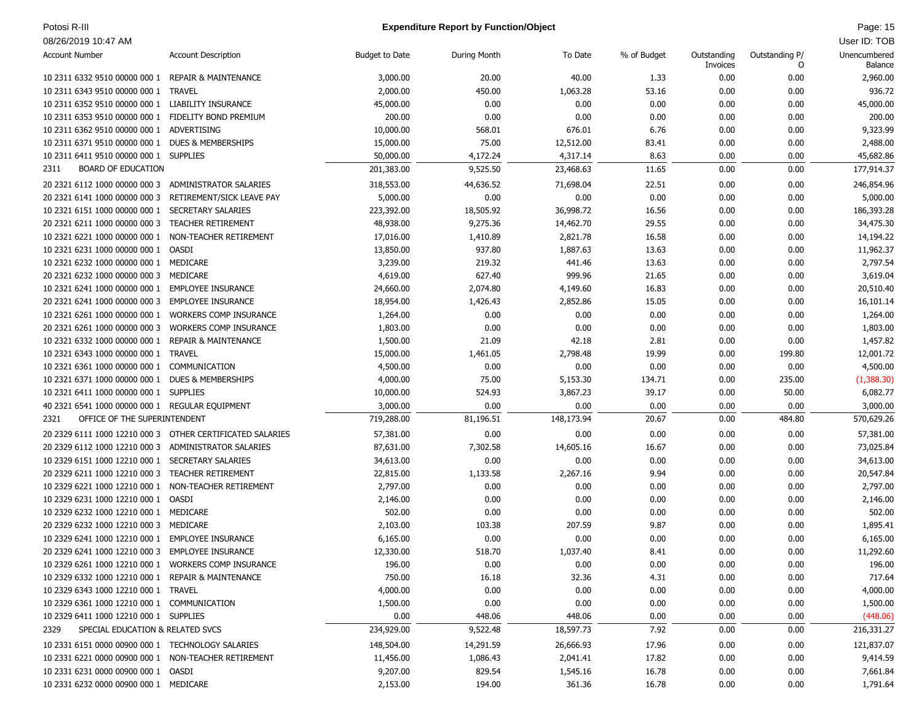# Potosi R-III **Page: 15** Potosi R-III Page: 15 Page: 15

| <b>Account Number</b>                                | <b>Account Description</b>                                | <b>Budget to Date</b> | <b>During Month</b> | To Date    | % of Budget | Outstanding<br>Invoices | Outstanding P/<br>O | Unencumbered<br>Balance |
|------------------------------------------------------|-----------------------------------------------------------|-----------------------|---------------------|------------|-------------|-------------------------|---------------------|-------------------------|
| 10 2311 6332 9510 00000 000 1 REPAIR & MAINTENANCE   |                                                           | 3,000.00              | 20.00               | 40.00      | 1.33        | 0.00                    | 0.00                | 2,960.00                |
| 10 2311 6343 9510 00000 000 1                        | TRAVEL                                                    | 2,000.00              | 450.00              | 1,063.28   | 53.16       | 0.00                    | 0.00                | 936.72                  |
| 10 2311 6352 9510 00000 000 1 LIABILITY INSURANCE    |                                                           | 45,000.00             | 0.00                | 0.00       | 0.00        | 0.00                    | 0.00                | 45,000.00               |
| 10 2311 6353 9510 00000 000 1 FIDELITY BOND PREMIUM  |                                                           | 200.00                | 0.00                | 0.00       | 0.00        | 0.00                    | 0.00                | 200.00                  |
| 10 2311 6362 9510 00000 000 1                        | ADVERTISING                                               | 10,000.00             | 568.01              | 676.01     | 6.76        | 0.00                    | 0.00                | 9,323.99                |
| 10 2311 6371 9510 00000 000 1                        | <b>DUES &amp; MEMBERSHIPS</b>                             | 15,000.00             | 75.00               | 12,512.00  | 83.41       | 0.00                    | 0.00                | 2,488.00                |
| 10 2311 6411 9510 00000 000 1 SUPPLIES               |                                                           | 50,000.00             | 4,172.24            | 4,317.14   | 8.63        | 0.00                    | 0.00                | 45,682.86               |
| <b>BOARD OF EDUCATION</b><br>2311                    |                                                           | 201,383.00            | 9,525.50            | 23,468.63  | 11.65       | 0.00                    | 0.00                | 177,914.37              |
| 20 2321 6112 1000 00000 000 3                        | ADMINISTRATOR SALARIES                                    | 318,553.00            | 44,636.52           | 71,698.04  | 22.51       | 0.00                    | 0.00                | 246,854.96              |
| 20 2321 6141 1000 00000 000 3                        | RETIREMENT/SICK LEAVE PAY                                 | 5,000.00              | 0.00                | 0.00       | 0.00        | 0.00                    | 0.00                | 5,000.00                |
| 10 2321 6151 1000 00000 000 1                        | <b>SECRETARY SALARIES</b>                                 | 223,392.00            | 18,505.92           | 36,998.72  | 16.56       | 0.00                    | 0.00                | 186,393.28              |
| 20 2321 6211 1000 00000 000 3                        | <b>TEACHER RETIREMENT</b>                                 | 48,938.00             | 9,275.36            | 14,462.70  | 29.55       | 0.00                    | 0.00                | 34,475.30               |
| 10 2321 6221 1000 00000 000 1                        | NON-TEACHER RETIREMENT                                    | 17,016.00             | 1,410.89            | 2,821.78   | 16.58       | 0.00                    | 0.00                | 14,194.22               |
| 10 2321 6231 1000 00000 000 1                        | OASDI                                                     | 13,850.00             | 937.80              | 1,887.63   | 13.63       | 0.00                    | 0.00                | 11,962.37               |
| 10 2321 6232 1000 00000 000 1 MEDICARE               |                                                           | 3,239.00              | 219.32              | 441.46     | 13.63       | 0.00                    | 0.00                | 2,797.54                |
| 20 2321 6232 1000 00000 000 3                        | MEDICARE                                                  | 4,619.00              | 627.40              | 999.96     | 21.65       | 0.00                    | 0.00                | 3,619.04                |
| 10 2321 6241 1000 00000 000 1 EMPLOYEE INSURANCE     |                                                           | 24,660.00             | 2,074.80            | 4,149.60   | 16.83       | 0.00                    | 0.00                | 20,510.40               |
| 20 2321 6241 1000 00000 000 3                        | <b>EMPLOYEE INSURANCE</b>                                 | 18,954.00             | 1,426.43            | 2,852.86   | 15.05       | 0.00                    | 0.00                | 16,101.14               |
| 10 2321 6261 1000 00000 000 1                        | <b>WORKERS COMP INSURANCE</b>                             | 1,264.00              | 0.00                | 0.00       | 0.00        | 0.00                    | 0.00                | 1,264.00                |
| 20 2321 6261 1000 00000 000 3                        | <b>WORKERS COMP INSURANCE</b>                             | 1,803.00              | 0.00                | 0.00       | 0.00        | 0.00                    | 0.00                | 1,803.00                |
| 10 2321 6332 1000 00000 000 1                        | <b>REPAIR &amp; MAINTENANCE</b>                           | 1,500.00              | 21.09               | 42.18      | 2.81        | 0.00                    | 0.00                | 1,457.82                |
| 10 2321 6343 1000 00000 000 1                        | <b>TRAVEL</b>                                             | 15,000.00             | 1,461.05            | 2,798.48   | 19.99       | 0.00                    | 199.80              | 12,001.72               |
| 10 2321 6361 1000 00000 000 1                        | COMMUNICATION                                             | 4,500.00              | 0.00                | 0.00       | 0.00        | 0.00                    | 0.00                | 4,500.00                |
| 10 2321 6371 1000 00000 000 1 DUES & MEMBERSHIPS     |                                                           | 4,000.00              | 75.00               | 5,153.30   | 134.71      | 0.00                    | 235.00              | (1,388.30)              |
| 10 2321 6411 1000 00000 000 1 SUPPLIES               |                                                           | 10,000.00             | 524.93              | 3,867.23   | 39.17       | 0.00                    | 50.00               | 6,082.77                |
| 40 2321 6541 1000 00000 000 1 REGULAR EQUIPMENT      |                                                           | 3,000.00              | 0.00                | 0.00       | 0.00        | 0.00                    | 0.00                | 3,000.00                |
| OFFICE OF THE SUPERINTENDENT<br>2321                 |                                                           | 719,288.00            | 81,196.51           | 148,173.94 | 20.67       | 0.00                    | 484.80              | 570,629.26              |
|                                                      |                                                           |                       |                     |            |             |                         |                     |                         |
|                                                      | 20 2329 6111 1000 12210 000 3 OTHER CERTIFICATED SALARIES | 57,381.00             | 0.00                | 0.00       | 0.00        | 0.00                    | 0.00                | 57,381.00               |
| 20 2329 6112 1000 12210 000 3                        | ADMINISTRATOR SALARIES                                    | 87,631.00             | 7,302.58            | 14,605.16  | 16.67       | 0.00                    | 0.00                | 73,025.84               |
| 10 2329 6151 1000 12210 000 1                        | <b>SECRETARY SALARIES</b>                                 | 34,613.00             | 0.00                | 0.00       | 0.00        | 0.00                    | 0.00                | 34,613.00               |
| 20 2329 6211 1000 12210 000 3                        | <b>TEACHER RETIREMENT</b>                                 | 22,815.00             | 1,133.58            | 2,267.16   | 9.94        | 0.00                    | 0.00                | 20,547.84               |
| 10 2329 6221 1000 12210 000 1                        | NON-TEACHER RETIREMENT                                    | 2,797.00              | 0.00                | 0.00       | 0.00        | 0.00                    | 0.00                | 2,797.00                |
| 10 2329 6231 1000 12210 000 1                        | OASDI                                                     | 2,146.00              | 0.00                | 0.00       | 0.00        | 0.00                    | 0.00                | 2,146.00                |
| 10 2329 6232 1000 12210 000 1 MEDICARE               |                                                           | 502.00                | 0.00                | 0.00       | 0.00        | 0.00                    | 0.00                | 502.00                  |
| 20 2329 6232 1000 12210 000 3                        | MEDICARE                                                  | 2,103.00              | 103.38              | 207.59     | 9.87        | 0.00                    | 0.00                | 1,895.41                |
| 10 2329 6241 1000 12210 000 1 EMPLOYEE INSURANCE     |                                                           | 6,165.00              | 0.00                | 0.00       | 0.00        | 0.00                    | 0.00                | 6,165.00                |
| 20 2329 6241 1000 12210 000 3                        | <b>EMPLOYEE INSURANCE</b>                                 | 12,330.00             | 518.70              | 1,037.40   | 8.41        | 0.00                    | 0.00                | 11,292.60               |
| 10 2329 6261 1000 12210 000 1 WORKERS COMP INSURANCE |                                                           | 196.00                | 0.00                | 0.00       | 0.00        | 0.00                    | 0.00                | 196.00                  |
| 10 2329 6332 1000 12210 000 1 REPAIR & MAINTENANCE   |                                                           | 750.00                | 16.18               | 32.36      | 4.31        | 0.00                    | 0.00                | 717.64                  |
| 10 2329 6343 1000 12210 000 1 TRAVEL                 |                                                           | 4,000.00              | 0.00                | 0.00       | 0.00        | 0.00                    | 0.00                | 4,000.00                |
| 10 2329 6361 1000 12210 000 1 COMMUNICATION          |                                                           | 1,500.00              | 0.00                | 0.00       | 0.00        | 0.00                    | 0.00                | 1,500.00                |
| 10 2329 6411 1000 12210 000 1 SUPPLIES               |                                                           | 0.00                  | 448.06              | 448.06     | 0.00        | 0.00                    | 0.00                | (448.06)                |
| SPECIAL EDUCATION & RELATED SVCS<br>2329             |                                                           | 234,929.00            | 9,522.48            | 18,597.73  | 7.92        | 0.00                    | 0.00                | 216,331.27              |
| 10 2331 6151 0000 00900 000 1 TECHNOLOGY SALARIES    |                                                           | 148,504.00            | 14,291.59           | 26,666.93  | 17.96       | 0.00                    | 0.00                | 121,837.07              |
| 10 2331 6221 0000 00900 000 1 NON-TEACHER RETIREMENT |                                                           | 11,456.00             | 1,086.43            | 2,041.41   | 17.82       | 0.00                    | 0.00                | 9,414.59                |
| 10 2331 6231 0000 00900 000 1 OASDI                  |                                                           | 9,207.00              | 829.54              | 1,545.16   | 16.78       | 0.00                    | 0.00                | 7,661.84                |
| 10 2331 6232 0000 00900 000 1 MEDICARE               |                                                           | 2,153.00              | 194.00              | 361.36     | 16.78       | 0.00                    | 0.00                | 1,791.64                |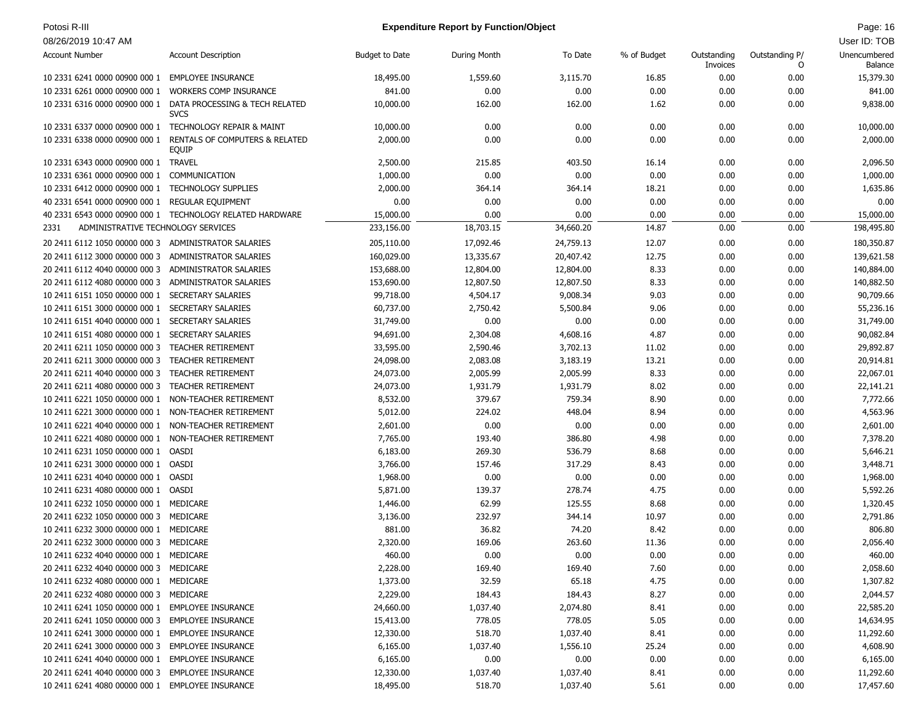# Potosi R-III **Page: 16** Page: 16 Page: 16 Page: 16 Page: 16 Page: 16 Page: 16 Page: 16 Page: 16 Page: 16 Page: 16

| 08/26/2019 10:47 AM                                     |                                                           |                       |                     |           |             |                         |                     | User ID: TOB            |
|---------------------------------------------------------|-----------------------------------------------------------|-----------------------|---------------------|-----------|-------------|-------------------------|---------------------|-------------------------|
| <b>Account Number</b>                                   | <b>Account Description</b>                                | <b>Budget to Date</b> | <b>During Month</b> | To Date   | % of Budget | Outstanding<br>Invoices | Outstanding P/<br>0 | Unencumbered<br>Balance |
| 10 2331 6241 0000 00900 000 1                           | <b>EMPLOYEE INSURANCE</b>                                 | 18,495.00             | 1,559.60            | 3,115.70  | 16.85       | 0.00                    | 0.00                | 15,379.30               |
| 10 2331 6261 0000 00900 000 1                           | <b>WORKERS COMP INSURANCE</b>                             | 841.00                | 0.00                | 0.00      | 0.00        | 0.00                    | 0.00                | 841.00                  |
| 10 2331 6316 0000 00900 000 1                           | DATA PROCESSING & TECH RELATED<br><b>SVCS</b>             | 10,000.00             | 162.00              | 162.00    | 1.62        | 0.00                    | 0.00                | 9,838.00                |
| 10 2331 6337 0000 00900 000 1 TECHNOLOGY REPAIR & MAINT |                                                           | 10,000.00             | 0.00                | 0.00      | 0.00        | 0.00                    | 0.00                | 10,000.00               |
| 10 2331 6338 0000 00900 000 1                           | RENTALS OF COMPUTERS & RELATED<br>EQUIP                   | 2,000.00              | 0.00                | 0.00      | 0.00        | 0.00                    | 0.00                | 2,000.00                |
| 10 2331 6343 0000 00900 000 1 TRAVEL                    |                                                           | 2,500.00              | 215.85              | 403.50    | 16.14       | 0.00                    | 0.00                | 2,096.50                |
| 10 2331 6361 0000 00900 000 1                           | COMMUNICATION                                             | 1,000.00              | 0.00                | 0.00      | 0.00        | 0.00                    | 0.00                | 1,000.00                |
| 10 2331 6412 0000 00900 000 1                           | <b>TECHNOLOGY SUPPLIES</b>                                | 2,000.00              | 364.14              | 364.14    | 18.21       | 0.00                    | 0.00                | 1,635.86                |
| 40 2331 6541 0000 00900 000 1                           | <b>REGULAR EQUIPMENT</b>                                  | 0.00                  | 0.00                | 0.00      | 0.00        | 0.00                    | 0.00                | 0.00                    |
|                                                         | 40 2331 6543 0000 00900 000 1 TECHNOLOGY RELATED HARDWARE | 15,000.00             | 0.00                | 0.00      | 0.00        | 0.00                    | 0.00                | 15,000.00               |
| ADMINISTRATIVE TECHNOLOGY SERVICES<br>2331              |                                                           | 233,156.00            | 18,703.15           | 34,660.20 | 14.87       | 0.00                    | 0.00                | 198,495.80              |
| 20 2411 6112 1050 00000 000 3                           | ADMINISTRATOR SALARIES                                    | 205,110.00            | 17,092.46           | 24,759.13 | 12.07       | 0.00                    | 0.00                | 180,350.87              |
| 20 2411 6112 3000 00000 000 3                           | ADMINISTRATOR SALARIES                                    | 160,029.00            | 13,335.67           | 20,407.42 | 12.75       | 0.00                    | 0.00                | 139,621.58              |
| 20 2411 6112 4040 00000 000 3                           | <b>ADMINISTRATOR SALARIES</b>                             | 153,688.00            | 12,804.00           | 12,804.00 | 8.33        | 0.00                    | 0.00                | 140,884.00              |
| 20 2411 6112 4080 00000 000 3                           | <b>ADMINISTRATOR SALARIES</b>                             | 153,690.00            | 12,807.50           | 12,807.50 | 8.33        | 0.00                    | 0.00                | 140,882.50              |
| 10 2411 6151 1050 00000 000 1                           | <b>SECRETARY SALARIES</b>                                 | 99,718.00             | 4,504.17            | 9,008.34  | 9.03        | 0.00                    | 0.00                | 90,709.66               |
| 10 2411 6151 3000 00000 000 1                           | <b>SECRETARY SALARIES</b>                                 | 60,737.00             | 2,750.42            | 5,500.84  | 9.06        | 0.00                    | 0.00                | 55,236.16               |
| 10 2411 6151 4040 00000 000 1                           | <b>SECRETARY SALARIES</b>                                 | 31,749.00             | 0.00                | 0.00      | 0.00        | 0.00                    | 0.00                | 31,749.00               |
| 10 2411 6151 4080 00000 000 1                           | <b>SECRETARY SALARIES</b>                                 | 94,691.00             | 2,304.08            | 4,608.16  | 4.87        | 0.00                    | 0.00                | 90,082.84               |
| 20 2411 6211 1050 00000 000 3                           | <b>TEACHER RETIREMENT</b>                                 | 33,595.00             | 2,590.46            | 3,702.13  | 11.02       | 0.00                    | 0.00                | 29,892.87               |
| 20 2411 6211 3000 00000 000 3                           | <b>TEACHER RETIREMENT</b>                                 | 24,098.00             | 2,083.08            | 3,183.19  | 13.21       | 0.00                    | 0.00                | 20,914.81               |
| 20 2411 6211 4040 00000 000 3                           | <b>TEACHER RETIREMENT</b>                                 | 24,073.00             | 2,005.99            | 2,005.99  | 8.33        | 0.00                    | 0.00                | 22,067.01               |
| 20 2411 6211 4080 00000 000 3                           | <b>TEACHER RETIREMENT</b>                                 | 24,073.00             | 1,931.79            | 1,931.79  | 8.02        | 0.00                    | 0.00                | 22,141.21               |
| 10 2411 6221 1050 00000 000 1                           | NON-TEACHER RETIREMENT                                    | 8,532.00              | 379.67              | 759.34    | 8.90        | 0.00                    | 0.00                | 7,772.66                |
| 10 2411 6221 3000 00000 000 1                           | NON-TEACHER RETIREMENT                                    | 5,012.00              | 224.02              | 448.04    | 8.94        | 0.00                    | 0.00                | 4,563.96                |
| 10 2411 6221 4040 00000 000 1                           | NON-TEACHER RETIREMENT                                    | 2,601.00              | 0.00                | 0.00      | 0.00        | 0.00                    | 0.00                | 2,601.00                |
| 10 2411 6221 4080 00000 000 1                           | NON-TEACHER RETIREMENT                                    | 7,765.00              | 193.40              | 386.80    | 4.98        | 0.00                    | 0.00                | 7,378.20                |
| 10 2411 6231 1050 00000 000 1                           | <b>OASDI</b>                                              | 6,183.00              | 269.30              | 536.79    | 8.68        | 0.00                    | 0.00                | 5,646.21                |
| 10 2411 6231 3000 00000 000 1 OASDI                     |                                                           | 3,766.00              | 157.46              | 317.29    | 8.43        | 0.00                    | 0.00                | 3,448.71                |
| 10 2411 6231 4040 00000 000 1                           | OASDI                                                     | 1,968.00              | 0.00                | 0.00      | 0.00        | 0.00                    | 0.00                | 1,968.00                |
| 10 2411 6231 4080 00000 000 1 OASDI                     |                                                           | 5,871.00              | 139.37              | 278.74    | 4.75        | 0.00                    | 0.00                | 5,592.26                |
| 10 2411 6232 1050 00000 000 1 MEDICARE                  |                                                           | 1,446.00              | 62.99               | 125.55    | 8.68        | 0.00                    | 0.00                | 1,320.45                |
| 20 2411 6232 1050 00000 000 3                           | MEDICARE                                                  | 3,136.00              | 232.97              | 344.14    | 10.97       | 0.00                    | 0.00                | 2,791.86                |
| 10 2411 6232 3000 00000 000 1                           | MEDICARE                                                  | 881.00                | 36.82               | 74.20     | 8.42        | 0.00                    | 0.00                | 806.80                  |
| 20 2411 6232 3000 00000 000 3                           | MEDICARE                                                  | 2,320.00              | 169.06              | 263.60    | 11.36       | 0.00                    | 0.00                | 2,056.40                |
| 10 2411 6232 4040 00000 000 1                           | MEDICARE                                                  | 460.00                | 0.00                | 0.00      | 0.00        | 0.00                    | 0.00                | 460.00                  |
| 20 2411 6232 4040 00000 000 3 MEDICARE                  |                                                           | 2,228.00              | 169.40              | 169.40    | 7.60        | 0.00                    | 0.00                | 2,058.60                |
| 10 2411 6232 4080 00000 000 1 MEDICARE                  |                                                           | 1,373.00              | 32.59               | 65.18     | 4.75        | 0.00                    | 0.00                | 1,307.82                |
| 20 2411 6232 4080 00000 000 3 MEDICARE                  |                                                           | 2,229.00              | 184.43              | 184.43    | 8.27        | 0.00                    | 0.00                | 2,044.57                |
| 10 2411 6241 1050 00000 000 1 EMPLOYEE INSURANCE        |                                                           | 24,660.00             | 1,037.40            | 2,074.80  | 8.41        | 0.00                    | 0.00                | 22,585.20               |
| 20 2411 6241 1050 00000 000 3                           | <b>EMPLOYEE INSURANCE</b>                                 | 15,413.00             | 778.05              | 778.05    | 5.05        | 0.00                    | 0.00                | 14,634.95               |
| 10 2411 6241 3000 00000 000 1 EMPLOYEE INSURANCE        |                                                           | 12,330.00             | 518.70              | 1,037.40  | 8.41        | 0.00                    | 0.00                | 11,292.60               |
| 20 2411 6241 3000 00000 000 3                           | <b>EMPLOYEE INSURANCE</b>                                 | 6,165.00              | 1,037.40            | 1,556.10  | 25.24       | 0.00                    | 0.00                | 4,608.90                |
| 10 2411 6241 4040 00000 000 1 EMPLOYEE INSURANCE        |                                                           | 6,165.00              | 0.00                | 0.00      | 0.00        | 0.00                    | 0.00                | 6,165.00                |
| 20 2411 6241 4040 00000 000 3 EMPLOYEE INSURANCE        |                                                           | 12,330.00             | 1,037.40            | 1,037.40  | 8.41        | 0.00                    | 0.00                | 11,292.60               |
| 10 2411 6241 4080 00000 000 1 EMPLOYEE INSURANCE        |                                                           | 18,495.00             | 518.70              | 1,037.40  | 5.61        | 0.00                    | 0.00                | 17,457.60               |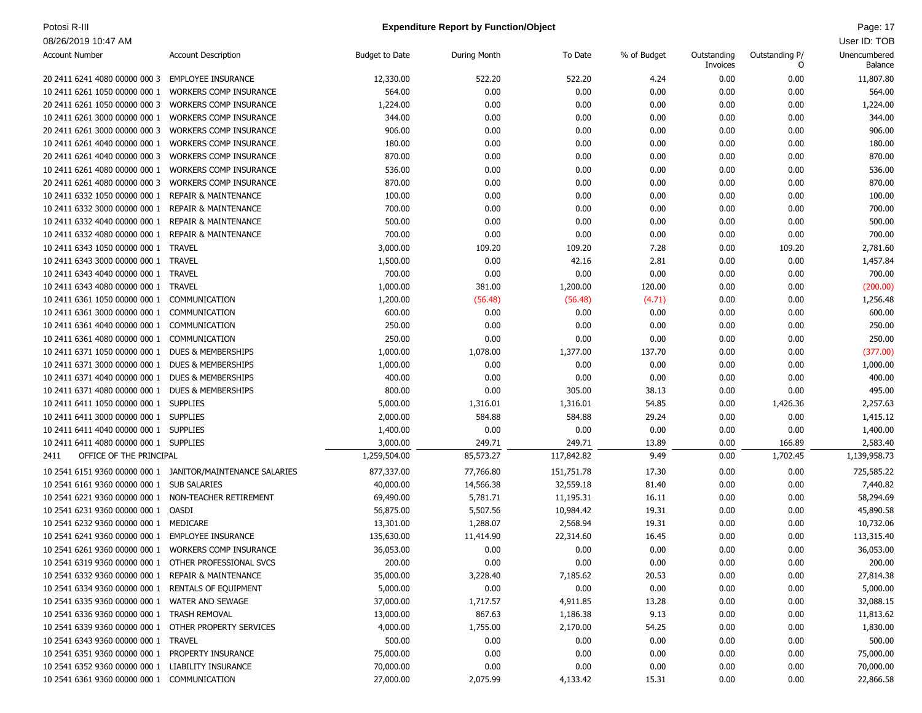### Potosi R-III **Page: 17** Page: 17 **Expenditure Report by Function/Object** And the Control of the Cage: 17

| <b>Account Number</b>                                 | <b>Account Description</b>                                 | <b>Budget to Date</b> | During Month | To Date    | % of Budget | Outstanding<br>Invoices | Outstanding P/<br>0 | Unencumbered<br>Balance |
|-------------------------------------------------------|------------------------------------------------------------|-----------------------|--------------|------------|-------------|-------------------------|---------------------|-------------------------|
| 20 2411 6241 4080 00000 000 3                         | <b>EMPLOYEE INSURANCE</b>                                  | 12,330.00             | 522.20       | 522.20     | 4.24        | 0.00                    | 0.00                | 11,807.80               |
| 10 2411 6261 1050 00000 000 1                         | <b>WORKERS COMP INSURANCE</b>                              | 564.00                | 0.00         | 0.00       | 0.00        | 0.00                    | 0.00                | 564.00                  |
| 20 2411 6261 1050 00000 000 3                         | <b>WORKERS COMP INSURANCE</b>                              | 1,224.00              | 0.00         | 0.00       | 0.00        | 0.00                    | 0.00                | 1,224.00                |
| 10 2411 6261 3000 00000 000 1                         | <b>WORKERS COMP INSURANCE</b>                              | 344.00                | 0.00         | 0.00       | 0.00        | 0.00                    | 0.00                | 344.00                  |
| 20 2411 6261 3000 00000 000 3                         | <b>WORKERS COMP INSURANCE</b>                              | 906.00                | 0.00         | 0.00       | 0.00        | 0.00                    | 0.00                | 906.00                  |
| 10 2411 6261 4040 00000 000 1                         | <b>WORKERS COMP INSURANCE</b>                              | 180.00                | 0.00         | 0.00       | 0.00        | 0.00                    | 0.00                | 180.00                  |
| 20 2411 6261 4040 00000 000 3                         | <b>WORKERS COMP INSURANCE</b>                              | 870.00                | 0.00         | 0.00       | 0.00        | 0.00                    | 0.00                | 870.00                  |
| 10 2411 6261 4080 00000 000 1                         | <b>WORKERS COMP INSURANCE</b>                              | 536.00                | 0.00         | 0.00       | 0.00        | 0.00                    | 0.00                | 536.00                  |
| 20 2411 6261 4080 00000 000 3                         | WORKERS COMP INSURANCE                                     | 870.00                | 0.00         | 0.00       | 0.00        | 0.00                    | 0.00                | 870.00                  |
| 10 2411 6332 1050 00000 000 1                         | <b>REPAIR &amp; MAINTENANCE</b>                            | 100.00                | 0.00         | 0.00       | 0.00        | 0.00                    | 0.00                | 100.00                  |
| 10 2411 6332 3000 00000 000 1                         | <b>REPAIR &amp; MAINTENANCE</b>                            | 700.00                | 0.00         | 0.00       | 0.00        | 0.00                    | 0.00                | 700.00                  |
| 10 2411 6332 4040 00000 000 1                         | <b>REPAIR &amp; MAINTENANCE</b>                            | 500.00                | 0.00         | 0.00       | 0.00        | 0.00                    | 0.00                | 500.00                  |
| 10 2411 6332 4080 00000 000 1                         | <b>REPAIR &amp; MAINTENANCE</b>                            | 700.00                | 0.00         | 0.00       | 0.00        | 0.00                    | 0.00                | 700.00                  |
| 10 2411 6343 1050 00000 000 1                         | <b>TRAVEL</b>                                              | 3,000.00              | 109.20       | 109.20     | 7.28        | 0.00                    | 109.20              | 2,781.60                |
| 10 2411 6343 3000 00000 000 1 TRAVEL                  |                                                            | 1,500.00              | 0.00         | 42.16      | 2.81        | 0.00                    | 0.00                | 1,457.84                |
| 10 2411 6343 4040 00000 000 1 TRAVEL                  |                                                            | 700.00                | 0.00         | 0.00       | 0.00        | 0.00                    | 0.00                | 700.00                  |
| 10 2411 6343 4080 00000 000 1 TRAVEL                  |                                                            | 1,000.00              | 381.00       | 1,200.00   | 120.00      | 0.00                    | 0.00                | (200.00)                |
| 10 2411 6361 1050 00000 000 1                         | COMMUNICATION                                              | 1,200.00              | (56.48)      | (56.48)    | (4.71)      | 0.00                    | 0.00                | 1,256.48                |
| 10 2411 6361 3000 00000 000 1                         | COMMUNICATION                                              | 600.00                | 0.00         | 0.00       | 0.00        | 0.00                    | 0.00                | 600.00                  |
| 10 2411 6361 4040 00000 000 1                         | COMMUNICATION                                              | 250.00                | 0.00         | 0.00       | 0.00        | 0.00                    | 0.00                | 250.00                  |
| 10 2411 6361 4080 00000 000 1                         | COMMUNICATION                                              | 250.00                | 0.00         | 0.00       | 0.00        | 0.00                    | 0.00                | 250.00                  |
| 10 2411 6371 1050 00000 000 1                         | <b>DUES &amp; MEMBERSHIPS</b>                              | 1,000.00              | 1,078.00     | 1,377.00   | 137.70      | 0.00                    | 0.00                | (377.00)                |
| 10 2411 6371 3000 00000 000 1                         | <b>DUES &amp; MEMBERSHIPS</b>                              | 1,000.00              | 0.00         | 0.00       | 0.00        | 0.00                    | 0.00                | 1,000.00                |
| 10 2411 6371 4040 00000 000 1                         | <b>DUES &amp; MEMBERSHIPS</b>                              | 400.00                | 0.00         | 0.00       | 0.00        | 0.00                    | 0.00                | 400.00                  |
| 10 2411 6371 4080 00000 000 1 DUES & MEMBERSHIPS      |                                                            | 800.00                | 0.00         | 305.00     | 38.13       | 0.00                    | 0.00                | 495.00                  |
|                                                       |                                                            |                       |              |            | 54.85       |                         |                     |                         |
| 10 2411 6411 1050 00000 000 1 SUPPLIES                |                                                            | 5,000.00              | 1,316.01     | 1,316.01   |             | 0.00                    | 1,426.36            | 2,257.63                |
| 10 2411 6411 3000 00000 000 1 SUPPLIES                |                                                            | 2,000.00              | 584.88       | 584.88     | 29.24       | 0.00                    | 0.00                | 1,415.12                |
| 10 2411 6411 4040 00000 000 1 SUPPLIES                |                                                            | 1,400.00              | 0.00         | 0.00       | 0.00        | 0.00                    | 0.00                | 1,400.00                |
| 10 2411 6411 4080 00000 000 1 SUPPLIES                |                                                            | 3,000.00              | 249.71       | 249.71     | 13.89       | 0.00                    | 166.89              | 2,583.40                |
| OFFICE OF THE PRINCIPAL<br>2411                       |                                                            | 1,259,504.00          | 85,573.27    | 117,842.82 | 9.49        | 0.00                    | 1,702.45            | 1,139,958.73            |
|                                                       | 10 2541 6151 9360 00000 000 1 JANITOR/MAINTENANCE SALARIES | 877,337.00            | 77,766.80    | 151,751.78 | 17.30       | 0.00                    | 0.00                | 725,585.22              |
| 10 2541 6161 9360 00000 000 1 SUB SALARIES            |                                                            | 40,000.00             | 14,566.38    | 32,559.18  | 81.40       | 0.00                    | 0.00                | 7,440.82                |
| 10 2541 6221 9360 00000 000 1 NON-TEACHER RETIREMENT  |                                                            | 69,490.00             | 5,781.71     | 11,195.31  | 16.11       | 0.00                    | 0.00                | 58,294.69               |
| 10 2541 6231 9360 00000 000 1 OASDI                   |                                                            | 56,875.00             | 5,507.56     | 10,984.42  | 19.31       | 0.00                    | 0.00                | 45,890.58               |
| 10 2541 6232 9360 00000 000 1 MEDICARE                |                                                            | 13,301.00             | 1,288.07     | 2,568.94   | 19.31       | 0.00                    | 0.00                | 10,732.06               |
| 10 2541 6241 9360 00000 000 1                         | <b>EMPLOYEE INSURANCE</b>                                  | 135,630.00            | 11,414.90    | 22,314.60  | 16.45       | 0.00                    | 0.00                | 113,315.40              |
| 10 2541 6261 9360 00000 000 1                         | <b>WORKERS COMP INSURANCE</b>                              | 36,053.00             | 0.00         | 0.00       | 0.00        | 0.00                    | 0.00                | 36,053.00               |
| 10 2541 6319 9360 00000 000 1 OTHER PROFESSIONAL SVCS |                                                            | 200.00                | 0.00         | 0.00       | 0.00        | 0.00                    | 0.00                | 200.00                  |
| 10 2541 6332 9360 00000 000 1 REPAIR & MAINTENANCE    |                                                            | 35,000.00             | 3,228.40     | 7,185.62   | 20.53       | 0.00                    | 0.00                | 27,814.38               |
| 10 2541 6334 9360 00000 000 1 RENTALS OF EQUIPMENT    |                                                            | 5,000.00              | 0.00         | 0.00       | 0.00        | 0.00                    | 0.00                | 5,000.00                |
| 10 2541 6335 9360 00000 000 1 WATER AND SEWAGE        |                                                            | 37,000.00             | 1,717.57     | 4,911.85   | 13.28       | 0.00                    | 0.00                | 32,088.15               |
| 10 2541 6336 9360 00000 000 1 TRASH REMOVAL           |                                                            | 13,000.00             | 867.63       | 1,186.38   | 9.13        | 0.00                    | 0.00                | 11,813.62               |
| 10 2541 6339 9360 00000 000 1 OTHER PROPERTY SERVICES |                                                            | 4,000.00              | 1,755.00     | 2,170.00   | 54.25       | 0.00                    | 0.00                | 1,830.00                |
| 10 2541 6343 9360 00000 000 1 TRAVEL                  |                                                            | 500.00                | 0.00         | 0.00       | 0.00        | 0.00                    | 0.00                | 500.00                  |
| 10 2541 6351 9360 00000 000 1 PROPERTY INSURANCE      |                                                            | 75,000.00             | 0.00         | 0.00       | 0.00        | 0.00                    | 0.00                | 75,000.00               |
| 10 2541 6352 9360 00000 000 1 LIABILITY INSURANCE     |                                                            | 70,000.00             | 0.00         | 0.00       | 0.00        | 0.00                    | 0.00                | 70,000.00               |
| 10 2541 6361 9360 00000 000 1 COMMUNICATION           |                                                            | 27,000.00             | 2,075.99     | 4,133.42   | 15.31       | 0.00                    | 0.00                | 22,866.58               |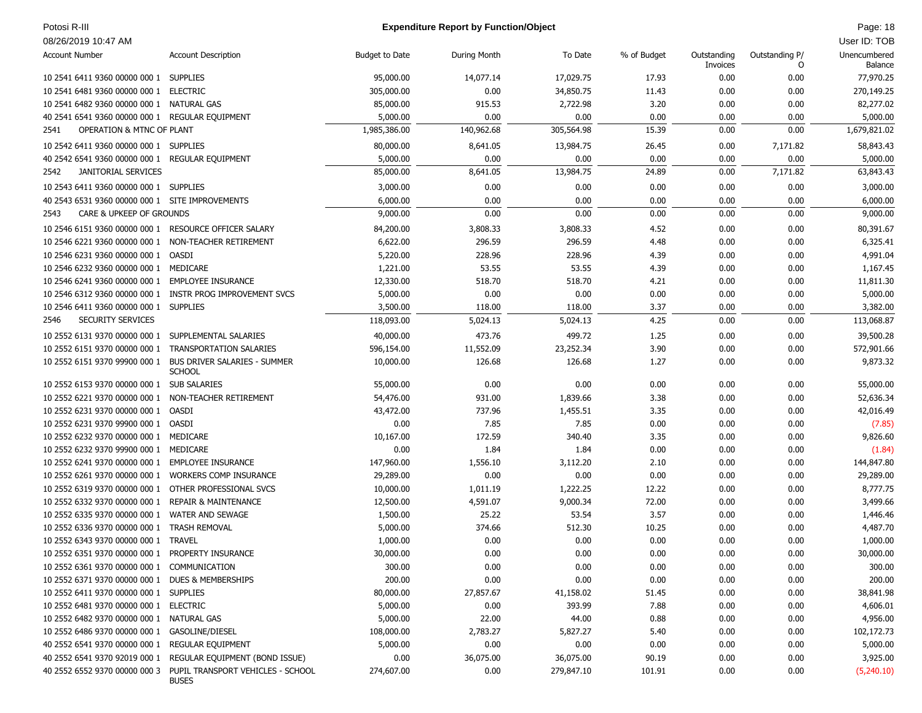# Potosi R-III **Page: 18** Page: 18 **Expenditure Report by Function/Object** Page: 18 Page: 18

| 08/26/2019 10:47 AM                                   |                                                           |                       |              |            |             |                         |                     | User ID: TOB            |
|-------------------------------------------------------|-----------------------------------------------------------|-----------------------|--------------|------------|-------------|-------------------------|---------------------|-------------------------|
| <b>Account Number</b>                                 | <b>Account Description</b>                                | <b>Budget to Date</b> | During Month | To Date    | % of Budget | Outstanding<br>Invoices | Outstanding P/<br>O | Unencumbered<br>Balance |
| 10 2541 6411 9360 00000 000 1 SUPPLIES                |                                                           | 95,000.00             | 14,077.14    | 17,029.75  | 17.93       | 0.00                    | 0.00                | 77,970.25               |
| 10 2541 6481 9360 00000 000 1 ELECTRIC                |                                                           | 305,000.00            | 0.00         | 34,850.75  | 11.43       | 0.00                    | 0.00                | 270,149.25              |
| 10 2541 6482 9360 00000 000 1 NATURAL GAS             |                                                           | 85,000.00             | 915.53       | 2,722.98   | 3.20        | 0.00                    | 0.00                | 82,277.02               |
| 40 2541 6541 9360 00000 000 1 REGULAR EQUIPMENT       |                                                           | 5,000.00              | 0.00         | 0.00       | 0.00        | 0.00                    | 0.00                | 5,000.00                |
| OPERATION & MTNC OF PLANT<br>2541                     |                                                           | 1,985,386.00          | 140,962.68   | 305,564.98 | 15.39       | 0.00                    | 0.00                | 1,679,821.02            |
| 10 2542 6411 9360 00000 000 1 SUPPLIES                |                                                           | 80,000.00             | 8,641.05     | 13,984.75  | 26.45       | 0.00                    | 7,171.82            | 58,843.43               |
| 40 2542 6541 9360 00000 000 1 REGULAR EQUIPMENT       |                                                           | 5,000.00              | 0.00         | 0.00       | 0.00        | 0.00                    | 0.00                | 5,000.00                |
| <b>JANITORIAL SERVICES</b><br>2542                    |                                                           | 85,000.00             | 8,641.05     | 13,984.75  | 24.89       | 0.00                    | 7,171.82            | 63,843.43               |
| 10 2543 6411 9360 00000 000 1 SUPPLIES                |                                                           | 3,000.00              | 0.00         | 0.00       | 0.00        | 0.00                    | 0.00                | 3,000.00                |
| 40 2543 6531 9360 00000 000 1 SITE IMPROVEMENTS       |                                                           | 6,000.00              | 0.00         | 0.00       | 0.00        | 0.00                    | 0.00                | 6,000.00                |
| CARE & UPKEEP OF GROUNDS<br>2543                      |                                                           | 9,000.00              | 0.00         | 0.00       | 0.00        | 0.00                    | 0.00                | 9,000.00                |
|                                                       |                                                           |                       |              |            |             |                         |                     |                         |
| 10 2546 6151 9360 00000 000 1 RESOURCE OFFICER SALARY |                                                           | 84,200.00             | 3,808.33     | 3,808.33   | 4.52        | 0.00                    | 0.00                | 80,391.67               |
| 10 2546 6221 9360 00000 000 1                         | NON-TEACHER RETIREMENT                                    | 6,622.00              | 296.59       | 296.59     | 4.48        | 0.00                    | 0.00                | 6,325.41                |
| 10 2546 6231 9360 00000 000 1                         | OASDI                                                     | 5,220.00              | 228.96       | 228.96     | 4.39        | 0.00                    | 0.00                | 4,991.04                |
| 10 2546 6232 9360 00000 000 1 MEDICARE                |                                                           | 1,221.00              | 53.55        | 53.55      | 4.39        | 0.00                    | 0.00                | 1,167.45                |
| 10 2546 6241 9360 00000 000 1                         | <b>EMPLOYEE INSURANCE</b>                                 | 12,330.00             | 518.70       | 518.70     | 4.21        | 0.00                    | 0.00                | 11,811.30               |
|                                                       | 10 2546 6312 9360 00000 000 1 INSTR PROG IMPROVEMENT SVCS | 5,000.00              | 0.00         | 0.00       | 0.00        | 0.00                    | 0.00                | 5,000.00                |
| 10 2546 6411 9360 00000 000 1 SUPPLIES                |                                                           | 3,500.00              | 118.00       | 118.00     | 3.37        | 0.00                    | 0.00                | 3,382.00                |
| SECURITY SERVICES<br>2546                             |                                                           | 118,093.00            | 5,024.13     | 5,024.13   | 4.25        | 0.00                    | 0.00                | 113,068.87              |
| 10 2552 6131 9370 00000 000 1 SUPPLEMENTAL SALARIES   |                                                           | 40,000.00             | 473.76       | 499.72     | 1.25        | 0.00                    | 0.00                | 39,500.28               |
| 10 2552 6151 9370 00000 000 1 TRANSPORTATION SALARIES |                                                           | 596,154.00            | 11,552.09    | 23,252.34  | 3.90        | 0.00                    | 0.00                | 572,901.66              |
| 10 2552 6151 9370 99900 000 1                         | <b>BUS DRIVER SALARIES - SUMMER</b><br><b>SCHOOL</b>      | 10,000.00             | 126.68       | 126.68     | 1.27        | 0.00                    | 0.00                | 9,873.32                |
| 10 2552 6153 9370 00000 000 1 SUB SALARIES            |                                                           | 55,000.00             | 0.00         | 0.00       | 0.00        | 0.00                    | 0.00                | 55,000.00               |
| 10 2552 6221 9370 00000 000 1                         | NON-TEACHER RETIREMENT                                    | 54,476.00             | 931.00       | 1,839.66   | 3.38        | 0.00                    | 0.00                | 52,636.34               |
| 10 2552 6231 9370 00000 000 1                         | OASDI                                                     | 43,472.00             | 737.96       | 1,455.51   | 3.35        | 0.00                    | 0.00                | 42,016.49               |
| 10 2552 6231 9370 99900 000 1 OASDI                   |                                                           | 0.00                  | 7.85         | 7.85       | 0.00        | 0.00                    | 0.00                | (7.85)                  |
| 10 2552 6232 9370 00000 000 1                         | MEDICARE                                                  | 10,167.00             | 172.59       | 340.40     | 3.35        | 0.00                    | 0.00                | 9,826.60                |
| 10 2552 6232 9370 99900 000 1                         | MEDICARE                                                  | 0.00                  | 1.84         | 1.84       | 0.00        | 0.00                    | 0.00                | (1.84)                  |
| 10 2552 6241 9370 00000 000 1                         | <b>EMPLOYEE INSURANCE</b>                                 | 147,960.00            | 1,556.10     | 3,112.20   | 2.10        | 0.00                    | 0.00                | 144,847.80              |
| 10 2552 6261 9370 00000 000 1 WORKERS COMP INSURANCE  |                                                           | 29,289.00             | 0.00         | 0.00       | 0.00        | 0.00                    | 0.00                | 29,289.00               |
| 10 2552 6319 9370 00000 000 1 OTHER PROFESSIONAL SVCS |                                                           | 10,000.00             | 1,011.19     | 1,222.25   | 12.22       | 0.00                    | 0.00                | 8,777.75                |
| 10 2552 6332 9370 00000 000 1                         | <b>REPAIR &amp; MAINTENANCE</b>                           | 12,500.00             | 4,591.07     | 9,000.34   | 72.00       | 0.00                    | 0.00                | 3,499.66                |
| 10 2552 6335 9370 00000 000 1                         | <b>WATER AND SEWAGE</b>                                   | 1,500.00              | 25.22        | 53.54      | 3.57        | 0.00                    | 0.00                | 1,446.46                |
| 10 2552 6336 9370 00000 000 1 TRASH REMOVAL           |                                                           | 5,000.00              | 374.66       | 512.30     | 10.25       | 0.00                    | 0.00                | 4,487.70                |
| 10 2552 6343 9370 00000 000 1 TRAVEL                  |                                                           | 1,000.00              | 0.00         | 0.00       | 0.00        | 0.00                    | 0.00                | 1,000.00                |
| 10 2552 6351 9370 00000 000 1 PROPERTY INSURANCE      |                                                           | 30,000.00             | 0.00         | 0.00       | 0.00        | 0.00                    | 0.00                | 30,000.00               |
| 10 2552 6361 9370 00000 000 1 COMMUNICATION           |                                                           | 300.00                | 0.00         | 0.00       | 0.00        | 0.00                    | 0.00                | 300.00                  |
| 10 2552 6371 9370 00000 000 1 DUES & MEMBERSHIPS      |                                                           | 200.00                | 0.00         | 0.00       | 0.00        | 0.00                    | 0.00                | 200.00                  |
| 10 2552 6411 9370 00000 000 1 SUPPLIES                |                                                           | 80,000.00             | 27,857.67    | 41,158.02  | 51.45       | 0.00                    | 0.00                | 38,841.98               |
| 10 2552 6481 9370 00000 000 1 ELECTRIC                |                                                           | 5,000.00              | 0.00         | 393.99     | 7.88        | 0.00                    | 0.00                | 4,606.01                |
| 10 2552 6482 9370 00000 000 1 NATURAL GAS             |                                                           | 5,000.00              | 22.00        | 44.00      | 0.88        | 0.00                    | 0.00                | 4,956.00                |
| 10 2552 6486 9370 00000 000 1                         | GASOLINE/DIESEL                                           | 108,000.00            | 2,783.27     | 5,827.27   | 5.40        | 0.00                    | 0.00                | 102,172.73              |
| 40 2552 6541 9370 00000 000 1                         | REGULAR EQUIPMENT                                         | 5,000.00              | 0.00         | 0.00       | 0.00        | 0.00                    | 0.00                | 5,000.00                |
| 40 2552 6541 9370 92019 000 1                         | REGULAR EQUIPMENT (BOND ISSUE)                            | 0.00                  | 36,075.00    | 36,075.00  | 90.19       | 0.00                    | 0.00                | 3,925.00                |
| 40 2552 6552 9370 00000 000 3                         | PUPIL TRANSPORT VEHICLES - SCHOOL<br><b>BUSES</b>         | 274,607.00            | 0.00         | 279,847.10 | 101.91      | 0.00                    | 0.00                | (5,240.10)              |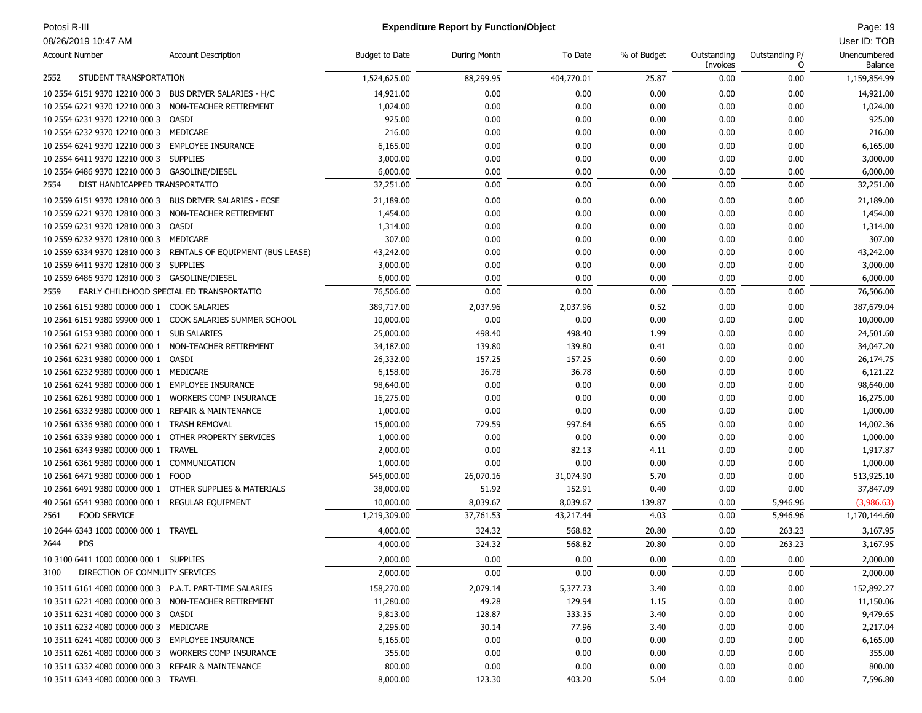### Potosi R-III **Page: 19 Contains a later contains a later contains a later contains a later contains a later contains a later contains a later contains a later contains a later contains a later contains a later contains a l**

| <b>Account Number</b>                                    | <b>Account Description</b>                                     | <b>Budget to Date</b> | During Month | To Date    | % of Budget | Outstanding<br>Invoices | Outstanding P/<br>O | Unencumbered<br>Balance |
|----------------------------------------------------------|----------------------------------------------------------------|-----------------------|--------------|------------|-------------|-------------------------|---------------------|-------------------------|
| 2552<br>STUDENT TRANSPORTATION                           |                                                                | 1,524,625.00          | 88,299.95    | 404,770.01 | 25.87       | 0.00                    | 0.00                | 1,159,854.99            |
| 10 2554 6151 9370 12210 000 3 BUS DRIVER SALARIES - H/C  |                                                                | 14,921.00             | 0.00         | 0.00       | 0.00        | 0.00                    | 0.00                | 14,921.00               |
| 10 2554 6221 9370 12210 000 3 NON-TEACHER RETIREMENT     |                                                                | 1,024.00              | 0.00         | 0.00       | 0.00        | 0.00                    | 0.00                | 1,024.00                |
| 10 2554 6231 9370 12210 000 3 OASDI                      |                                                                | 925.00                | 0.00         | 0.00       | 0.00        | 0.00                    | 0.00                | 925.00                  |
| 10 2554 6232 9370 12210 000 3 MEDICARE                   |                                                                | 216.00                | 0.00         | 0.00       | 0.00        | 0.00                    | 0.00                | 216.00                  |
| 10 2554 6241 9370 12210 000 3 EMPLOYEE INSURANCE         |                                                                | 6,165.00              | 0.00         | 0.00       | 0.00        | 0.00                    | 0.00                | 6,165.00                |
| 10 2554 6411 9370 12210 000 3 SUPPLIES                   |                                                                | 3,000.00              | 0.00         | 0.00       | 0.00        | 0.00                    | 0.00                | 3,000.00                |
| 10 2554 6486 9370 12210 000 3 GASOLINE/DIESEL            |                                                                | 6,000.00              | 0.00         | 0.00       | 0.00        | 0.00                    | 0.00                | 6,000.00                |
| DIST HANDICAPPED TRANSPORTATIO<br>2554                   |                                                                | 32,251.00             | 0.00         | 0.00       | 0.00        | 0.00                    | 0.00                | 32,251.00               |
| 10 2559 6151 9370 12810 000 3 BUS DRIVER SALARIES - ECSE |                                                                | 21,189.00             | 0.00         | 0.00       | 0.00        | 0.00                    | 0.00                | 21,189.00               |
| 10 2559 6221 9370 12810 000 3 NON-TEACHER RETIREMENT     |                                                                | 1,454.00              | 0.00         | 0.00       | 0.00        | 0.00                    | 0.00                | 1,454.00                |
| 10 2559 6231 9370 12810 000 3 OASDI                      |                                                                | 1,314.00              | 0.00         | 0.00       | 0.00        | 0.00                    | 0.00                | 1,314.00                |
| 10 2559 6232 9370 12810 000 3 MEDICARE                   |                                                                | 307.00                | 0.00         | 0.00       | 0.00        | 0.00                    | 0.00                | 307.00                  |
|                                                          | 10 2559 6334 9370 12810 000 3 RENTALS OF EQUIPMENT (BUS LEASE) | 43,242.00             | 0.00         | 0.00       | 0.00        | 0.00                    | 0.00                | 43,242.00               |
| 10 2559 6411 9370 12810 000 3 SUPPLIES                   |                                                                | 3,000.00              | 0.00         | 0.00       | 0.00        | 0.00                    | 0.00                | 3,000.00                |
| 10 2559 6486 9370 12810 000 3 GASOLINE/DIESEL            |                                                                | 6,000.00              | 0.00         | 0.00       | 0.00        | 0.00                    | 0.00                | 6,000.00                |
| 2559                                                     | EARLY CHILDHOOD SPECIAL ED TRANSPORTATIO                       | 76,506.00             | 0.00         | 0.00       | 0.00        | 0.00                    | 0.00                | 76,506.00               |
| 10 2561 6151 9380 00000 000 1 COOK SALARIES              |                                                                | 389,717.00            | 2,037.96     | 2,037.96   | 0.52        | 0.00                    | 0.00                | 387,679.04              |
|                                                          | 10 2561 6151 9380 99900 000 1 COOK SALARIES SUMMER SCHOOL      | 10,000.00             | 0.00         | 0.00       | 0.00        | 0.00                    | 0.00                | 10,000.00               |
| 10 2561 6153 9380 00000 000 1 SUB SALARIES               |                                                                | 25,000.00             | 498.40       | 498.40     | 1.99        | 0.00                    | 0.00                | 24,501.60               |
| 10 2561 6221 9380 00000 000 1 NON-TEACHER RETIREMENT     |                                                                | 34,187.00             | 139.80       | 139.80     | 0.41        | 0.00                    | 0.00                | 34,047.20               |
| 10 2561 6231 9380 00000 000 1 OASDI                      |                                                                | 26,332.00             | 157.25       | 157.25     | 0.60        | 0.00                    | 0.00                | 26,174.75               |
| 10 2561 6232 9380 00000 000 1 MEDICARE                   |                                                                | 6,158.00              | 36.78        | 36.78      | 0.60        | 0.00                    | 0.00                | 6,121.22                |
| 10 2561 6241 9380 00000 000 1 EMPLOYEE INSURANCE         |                                                                | 98,640.00             | 0.00         | 0.00       | 0.00        | 0.00                    | 0.00                | 98,640.00               |
| 10 2561 6261 9380 00000 000 1 WORKERS COMP INSURANCE     |                                                                | 16,275.00             | 0.00         | 0.00       | 0.00        | 0.00                    | 0.00                | 16,275.00               |
| 10 2561 6332 9380 00000 000 1 REPAIR & MAINTENANCE       |                                                                | 1,000.00              | 0.00         | 0.00       | 0.00        | 0.00                    | 0.00                | 1,000.00                |
| 10 2561 6336 9380 00000 000 1 TRASH REMOVAL              |                                                                | 15,000.00             | 729.59       | 997.64     | 6.65        | 0.00                    | 0.00                | 14,002.36               |
| 10 2561 6339 9380 00000 000 1 OTHER PROPERTY SERVICES    |                                                                | 1,000.00              | 0.00         | 0.00       | 0.00        | 0.00                    | 0.00                | 1,000.00                |
| 10 2561 6343 9380 00000 000 1 TRAVEL                     |                                                                | 2,000.00              | 0.00         | 82.13      | 4.11        | 0.00                    | 0.00                | 1,917.87                |
| 10 2561 6361 9380 00000 000 1 COMMUNICATION              |                                                                | 1,000.00              | 0.00         | 0.00       | 0.00        | 0.00                    | 0.00                | 1,000.00                |
| 10 2561 6471 9380 00000 000 1 FOOD                       |                                                                | 545,000.00            | 26,070.16    | 31,074.90  | 5.70        | 0.00                    | 0.00                | 513,925.10              |
| 10 2561 6491 9380 00000 000 1 OTHER SUPPLIES & MATERIALS |                                                                | 38,000.00             | 51.92        | 152.91     | 0.40        | 0.00                    | 0.00                | 37,847.09               |
| 40 2561 6541 9380 00000 000 1 REGULAR EQUIPMENT          |                                                                | 10,000.00             | 8,039.67     | 8,039.67   | 139.87      | 0.00                    | 5,946.96            | (3,986.63)              |
| <b>FOOD SERVICE</b><br>2561                              |                                                                | 1,219,309.00          | 37,761.53    | 43,217.44  | 4.03        | 0.00                    | 5,946.96            | 1,170,144.60            |
| 10 2644 6343 1000 00000 000 1 TRAVEL                     |                                                                | 4,000.00              | 324.32       | 568.82     | 20.80       | 0.00                    | 263.23              | 3,167.95                |
| <b>PDS</b><br>2644                                       |                                                                | 4,000.00              | 324.32       | 568.82     | 20.80       | 0.00                    | 263.23              | 3,167.95                |
| 10 3100 6411 1000 00000 000 1 SUPPLIES                   |                                                                | 2,000.00              | 0.00         | 0.00       | 0.00        | 0.00                    | 0.00                | 2,000.00                |
| DIRECTION OF COMMUITY SERVICES<br>3100                   |                                                                | 2,000.00              | 0.00         | $0.00\,$   | $0.00\,$    | 0.00                    | 0.00                | 2,000.00                |
| 10 3511 6161 4080 00000 000 3 P.A.T. PART-TIME SALARIES  |                                                                | 158,270.00            | 2,079.14     | 5,377.73   | 3.40        | 0.00                    | 0.00                | 152,892.27              |
| 10 3511 6221 4080 00000 000 3 NON-TEACHER RETIREMENT     |                                                                | 11,280.00             | 49.28        | 129.94     | 1.15        | 0.00                    | 0.00                | 11,150.06               |
| 10 3511 6231 4080 00000 000 3 OASDI                      |                                                                | 9,813.00              | 128.87       | 333.35     | 3.40        | 0.00                    | 0.00                | 9,479.65                |
| 10 3511 6232 4080 00000 000 3 MEDICARE                   |                                                                | 2,295.00              | 30.14        | 77.96      | 3.40        | 0.00                    | 0.00                | 2,217.04                |
| 10 3511 6241 4080 00000 000 3 EMPLOYEE INSURANCE         |                                                                | 6,165.00              | 0.00         | 0.00       | 0.00        | 0.00                    | 0.00                | 6,165.00                |
| 10 3511 6261 4080 00000 000 3 WORKERS COMP INSURANCE     |                                                                | 355.00                | 0.00         | 0.00       | 0.00        | 0.00                    | 0.00                | 355.00                  |
| 10 3511 6332 4080 00000 000 3 REPAIR & MAINTENANCE       |                                                                | 800.00                | 0.00         | 0.00       | 0.00        | 0.00                    | 0.00                | 800.00                  |
| 10 3511 6343 4080 00000 000 3 TRAVEL                     |                                                                | 8,000.00              | 123.30       | 403.20     | 5.04        | 0.00                    | 0.00                | 7,596.80                |
|                                                          |                                                                |                       |              |            |             |                         |                     |                         |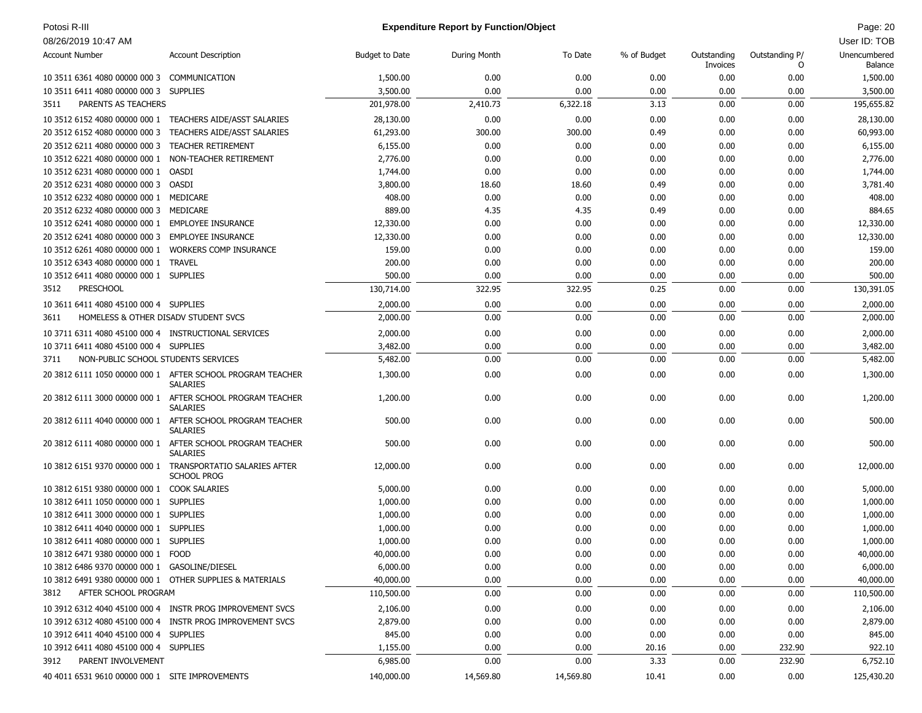| Potosi R-III |
|--------------|
|--------------|

# Potosi R-III Page: 20 **Expenditure Report by Function/Object** Page: 20 **Page: 20** Page: 20

| <b>Account Number</b>                                    | <b>Account Description</b>                                                    | <b>Budget to Date</b> | During Month | To Date   | % of Budget | Outstanding<br>Invoices | Outstanding P/<br>0 | Unencumbered<br><b>Balance</b> |
|----------------------------------------------------------|-------------------------------------------------------------------------------|-----------------------|--------------|-----------|-------------|-------------------------|---------------------|--------------------------------|
| 10 3511 6361 4080 00000 000 3 COMMUNICATION              |                                                                               | 1,500.00              | 0.00         | 0.00      | 0.00        | 0.00                    | 0.00                | 1,500.00                       |
| 10 3511 6411 4080 00000 000 3 SUPPLIES                   |                                                                               | 3,500.00              | 0.00         | 0.00      | 0.00        | 0.00                    | 0.00                | 3,500.00                       |
| PARENTS AS TEACHERS<br>3511                              |                                                                               | 201,978.00            | 2,410.73     | 6,322.18  | 3.13        | 0.00                    | 0.00                | 195,655.82                     |
|                                                          | 10 3512 6152 4080 00000 000 1 TEACHERS AIDE/ASST SALARIES                     | 28,130.00             | 0.00         | 0.00      | 0.00        | 0.00                    | 0.00                | 28,130.00                      |
| 20 3512 6152 4080 00000 000 3                            | TEACHERS AIDE/ASST SALARIES                                                   | 61,293.00             | 300.00       | 300.00    | 0.49        | 0.00                    | 0.00                | 60,993.00                      |
| 20 3512 6211 4080 00000 000 3 TEACHER RETIREMENT         |                                                                               | 6,155.00              | 0.00         | 0.00      | 0.00        | 0.00                    | 0.00                | 6,155.00                       |
| 10 3512 6221 4080 00000 000 1                            | NON-TEACHER RETIREMENT                                                        | 2,776.00              | 0.00         | 0.00      | 0.00        | 0.00                    | 0.00                | 2,776.00                       |
| 10 3512 6231 4080 00000 000 1 OASDI                      |                                                                               | 1,744.00              | 0.00         | 0.00      | 0.00        | 0.00                    | 0.00                | 1,744.00                       |
| 20 3512 6231 4080 00000 000 3 OASDI                      |                                                                               | 3,800.00              | 18.60        | 18.60     | 0.49        | 0.00                    | 0.00                | 3,781.40                       |
| 10 3512 6232 4080 00000 000 1 MEDICARE                   |                                                                               | 408.00                | 0.00         | 0.00      | 0.00        | 0.00                    | 0.00                | 408.00                         |
| 20 3512 6232 4080 00000 000 3 MEDICARE                   |                                                                               | 889.00                | 4.35         | 4.35      | 0.49        | 0.00                    | 0.00                | 884.65                         |
| 10 3512 6241 4080 00000 000 1 EMPLOYEE INSURANCE         |                                                                               | 12,330.00             | 0.00         | 0.00      | 0.00        | 0.00                    | 0.00                | 12,330.00                      |
| 20 3512 6241 4080 00000 000 3 EMPLOYEE INSURANCE         |                                                                               | 12,330.00             | 0.00         | 0.00      | 0.00        | 0.00                    | 0.00                | 12,330.00                      |
| 10 3512 6261 4080 00000 000 1 WORKERS COMP INSURANCE     |                                                                               | 159.00                | 0.00         | 0.00      | 0.00        | 0.00                    | 0.00                | 159.00                         |
| 10 3512 6343 4080 00000 000 1 TRAVEL                     |                                                                               | 200.00                | 0.00         | 0.00      | 0.00        | 0.00                    | 0.00                | 200.00                         |
| 10 3512 6411 4080 00000 000 1 SUPPLIES                   |                                                                               | 500.00                | 0.00         | 0.00      | 0.00        | 0.00                    | 0.00                | 500.00                         |
| <b>PRESCHOOL</b><br>3512                                 |                                                                               | 130,714.00            | 322.95       | 322.95    | 0.25        | 0.00                    | 0.00                | 130,391.05                     |
| 10 3611 6411 4080 45100 000 4 SUPPLIES                   |                                                                               | 2,000.00              | 0.00         | 0.00      | 0.00        | 0.00                    | 0.00                | 2,000.00                       |
| HOMELESS & OTHER DISADV STUDENT SVCS<br>3611             |                                                                               | 2,000.00              | 0.00         | 0.00      | 0.00        | 0.00                    | 0.00                | 2,000.00                       |
| 10 3711 6311 4080 45100 000 4 INSTRUCTIONAL SERVICES     |                                                                               | 2,000.00              | 0.00         | 0.00      | 0.00        | 0.00                    | 0.00                | 2,000.00                       |
| 10 3711 6411 4080 45100 000 4 SUPPLIES                   |                                                                               | 3,482.00              | 0.00         | 0.00      | 0.00        | 0.00                    | 0.00                | 3,482.00                       |
| NON-PUBLIC SCHOOL STUDENTS SERVICES<br>3711              |                                                                               | 5,482.00              | 0.00         | 0.00      | 0.00        | 0.00                    | 0.00                | 5,482.00                       |
|                                                          | 20 3812 6111 1050 00000 000 1 AFTER SCHOOL PROGRAM TEACHER<br><b>SALARIES</b> | 1,300.00              | 0.00         | 0.00      | 0.00        | 0.00                    | 0.00                | 1,300.00                       |
|                                                          | 20 3812 6111 3000 00000 000 1 AFTER SCHOOL PROGRAM TEACHER<br><b>SALARIES</b> | 1,200.00              | 0.00         | 0.00      | 0.00        | 0.00                    | 0.00                | 1,200.00                       |
|                                                          | 20 3812 6111 4040 00000 000 1 AFTER SCHOOL PROGRAM TEACHER<br><b>SALARIES</b> | 500.00                | 0.00         | 0.00      | 0.00        | 0.00                    | 0.00                | 500.00                         |
|                                                          | 20 3812 6111 4080 00000 000 1 AFTER SCHOOL PROGRAM TEACHER<br><b>SALARIES</b> | 500.00                | 0.00         | 0.00      | 0.00        | 0.00                    | 0.00                | 500.00                         |
|                                                          | 10 3812 6151 9370 00000 000 1 TRANSPORTATIO SALARIES AFTER<br>SCHOOL PROG     | 12,000.00             | 0.00         | 0.00      | 0.00        | 0.00                    | 0.00                | 12,000.00                      |
| 10 3812 6151 9380 00000 000 1 COOK SALARIES              |                                                                               | 5,000.00              | 0.00         | 0.00      | 0.00        | 0.00                    | 0.00                | 5,000.00                       |
| 10 3812 6411 1050 00000 000 1 SUPPLIES                   |                                                                               | 1,000.00              | 0.00         | 0.00      | 0.00        | 0.00                    | 0.00                | 1,000.00                       |
| 10 3812 6411 3000 00000 000 1 SUPPLIES                   |                                                                               | 1,000.00              | 0.00         | 0.00      | 0.00        | 0.00                    | 0.00                | 1,000.00                       |
| 10 3812 6411 4040 00000 000 1 SUPPLIES                   |                                                                               | 1,000.00              | 0.00         | 0.00      | 0.00        | 0.00                    | 0.00                | 1,000.00                       |
| 10 3812 6411 4080 00000 000 1 SUPPLIES                   |                                                                               | 1,000.00              | 0.00         | 0.00      | 0.00        | 0.00                    | 0.00                | 1,000.00                       |
| 10 3812 6471 9380 00000 000 1 FOOD                       |                                                                               | 40,000.00             | 0.00         | 0.00      | 0.00        | 0.00                    | 0.00                | 40,000.00                      |
| 10 3812 6486 9370 00000 000 1 GASOLINE/DIESEL            |                                                                               | 6,000.00              | 0.00         | 0.00      | 0.00        | 0.00                    | 0.00                | 6,000.00                       |
| 10 3812 6491 9380 00000 000 1 OTHER SUPPLIES & MATERIALS |                                                                               | 40,000.00             | 0.00         | 0.00      | 0.00        | 0.00                    | 0.00                | 40,000.00                      |
| AFTER SCHOOL PROGRAM<br>3812                             |                                                                               | 110,500.00            | 0.00         | 0.00      | 0.00        | 0.00                    | 0.00                | 110,500.00                     |
|                                                          | 10 3912 6312 4040 45100 000 4 INSTR PROG IMPROVEMENT SVCS                     | 2,106.00              | 0.00         | 0.00      | 0.00        | 0.00                    | 0.00                | 2,106.00                       |
|                                                          | 10 3912 6312 4080 45100 000 4 INSTR PROG IMPROVEMENT SVCS                     | 2,879.00              | 0.00         | 0.00      | 0.00        | 0.00                    | 0.00                | 2,879.00                       |
| 10 3912 6411 4040 45100 000 4 SUPPLIES                   |                                                                               | 845.00                | 0.00         | 0.00      | 0.00        | 0.00                    | 0.00                | 845.00                         |
| 10 3912 6411 4080 45100 000 4 SUPPLIES                   |                                                                               | 1,155.00              | 0.00         | 0.00      | 20.16       | 0.00                    | 232.90              | 922.10                         |
| PARENT INVOLVEMENT<br>3912                               |                                                                               | 6,985.00              | 0.00         | 0.00      | 3.33        | 0.00                    | 232.90              | 6,752.10                       |
| 40 4011 6531 9610 00000 000 1 SITE IMPROVEMENTS          |                                                                               | 140,000.00            | 14,569.80    | 14,569.80 | 10.41       | 0.00                    | 0.00                | 125,430.20                     |